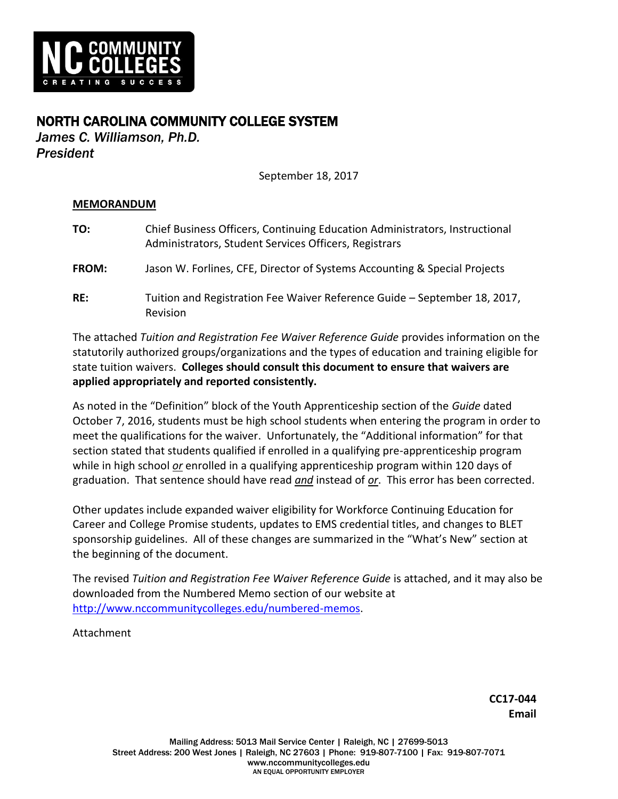

## NORTH CAROLINA COMMUNITY COLLEGE SYSTEM

*James C. Williamson, Ph.D. President*

September 18, 2017

## **MEMORANDUM**

| TO:          | Chief Business Officers, Continuing Education Administrators, Instructional<br>Administrators, Student Services Officers, Registrars |
|--------------|--------------------------------------------------------------------------------------------------------------------------------------|
| <b>FROM:</b> | Jason W. Forlines, CFE, Director of Systems Accounting & Special Projects                                                            |
| RE:          | Tuition and Registration Fee Waiver Reference Guide - September 18, 2017,<br>Revision                                                |

The attached *Tuition and Registration Fee Waiver Reference Guide* provides information on the statutorily authorized groups/organizations and the types of education and training eligible for state tuition waivers. **Colleges should consult this document to ensure that waivers are applied appropriately and reported consistently.**

As noted in the "Definition" block of the Youth Apprenticeship section of the *Guide* dated October 7, 2016, students must be high school students when entering the program in order to meet the qualifications for the waiver. Unfortunately, the "Additional information" for that section stated that students qualified if enrolled in a qualifying pre-apprenticeship program while in high school *or* enrolled in a qualifying apprenticeship program within 120 days of graduation. That sentence should have read *and* instead of *or*. This error has been corrected.

Other updates include expanded waiver eligibility for Workforce Continuing Education for Career and College Promise students, updates to EMS credential titles, and changes to BLET sponsorship guidelines. All of these changes are summarized in the "What's New" section at the beginning of the document.

The revised *Tuition and Registration Fee Waiver Reference Guide* is attached, and it may also be downloaded from the Numbered Memo section of our website at http://www.nccommunitycolleges.edu/numbered-memos.

Attachment

**CC17-044 Email**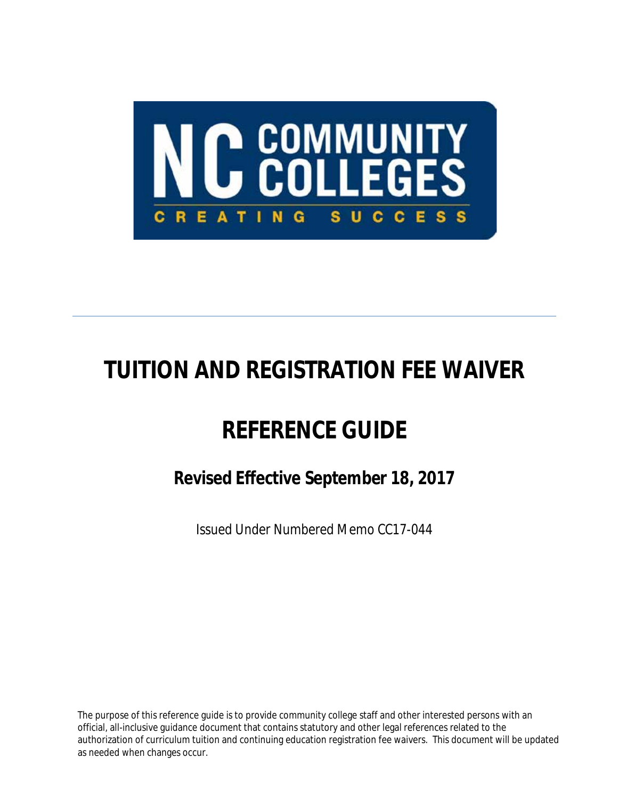

# **TUITION AND REGISTRATION FEE WAIVER**

# **REFERENCE GUIDE**

*Revised Effective September 18, 2017*

*Issued Under Numbered Memo CC17-044*

The purpose of this reference guide is to provide community college staff and other interested persons with an official, all-inclusive guidance document that contains statutory and other legal references related to the authorization of curriculum tuition and continuing education registration fee waivers. This document will be updated as needed when changes occur.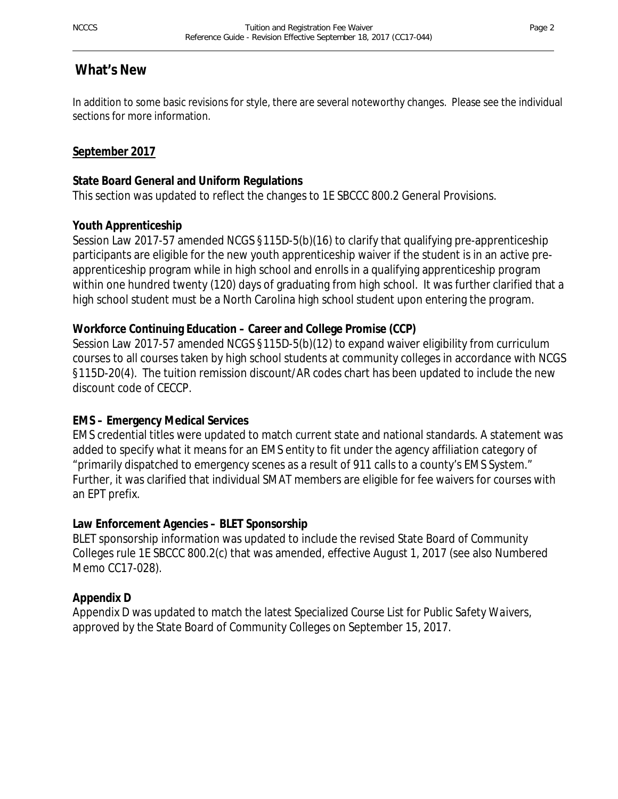## **What's New**

In addition to some basic revisions for style, there are several noteworthy changes. Please see the individual sections for more information.

## **September 2017**

## **State Board General and Uniform Regulations**

This section was updated to reflect the changes to 1E SBCCC 800.2 General Provisions.

## **Youth Apprenticeship**

Session Law 2017-57 amended NCGS §115D-5(b)(16) to clarify that qualifying pre-apprenticeship participants are eligible for the new youth apprenticeship waiver if the student is in an active preapprenticeship program while in high school and enrolls in a qualifying apprenticeship program within one hundred twenty (120) days of graduating from high school. It was further clarified that a high school student must be a North Carolina high school student upon entering the program.

## **Workforce Continuing Education – Career and College Promise (CCP)**

Session Law 2017-57 amended NCGS §115D-5(b)(12) to expand waiver eligibility from curriculum courses to all courses taken by high school students at community colleges in accordance with NCGS §115D-20(4). The tuition remission discount/AR codes chart has been updated to include the new discount code of CECCP.

## **EMS – Emergency Medical Services**

EMS credential titles were updated to match current state and national standards. A statement was added to specify what it means for an EMS entity to fit under the agency affiliation category of "primarily dispatched to emergency scenes as a result of 911 calls to a county's EMS System." Further, it was clarified that individual SMAT members are eligible for fee waivers for courses with an EPT prefix.

## **Law Enforcement Agencies – BLET Sponsorship**

BLET sponsorship information was updated to include the revised State Board of Community Colleges rule 1E SBCCC 800.2(c) that was amended, effective August 1, 2017 (see also Numbered Memo CC17-028).

## **Appendix D**

Appendix D was updated to match the latest *Specialized Course List for Public Safety Waivers*, approved by the State Board of Community Colleges on September 15, 2017.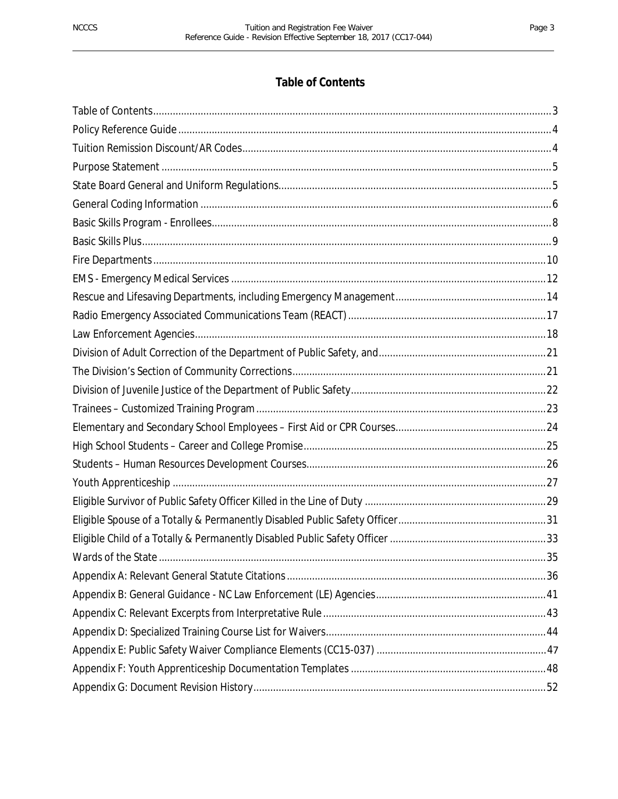## **Table of Contents**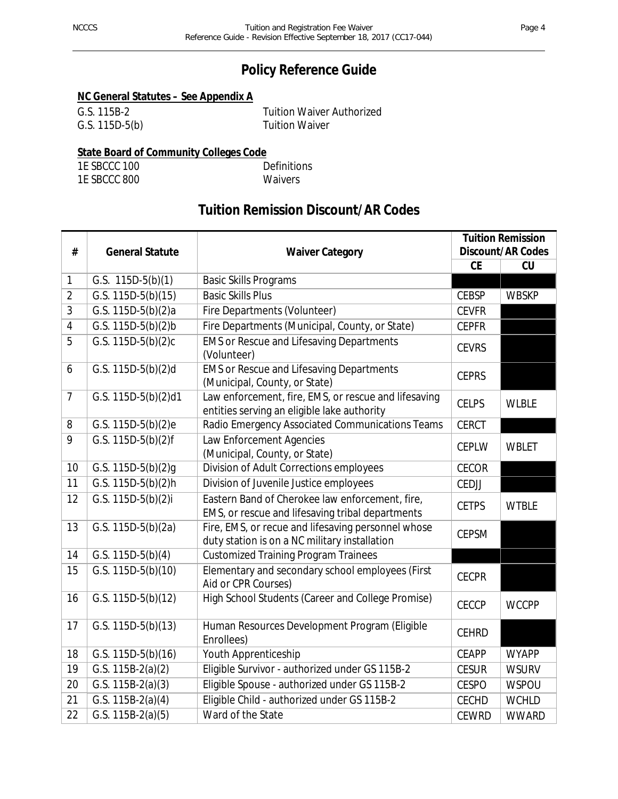## **Policy Reference Guide**

## **NC General Statutes – See Appendix A**

| G.S. 115B-2    | <b>Tuition Waiver Authorized</b> |
|----------------|----------------------------------|
| G.S. 115D-5(b) | <b>Tuition Waiver</b>            |

## **State Board of Community Colleges Code**

1E SBCCC 100 Definitions 1E SBCCC 800 Waivers

## **Tuition Remission Discount/AR Codes**

|                |                                 |                                                                                                     |              | <b>Tuition Remission</b> |
|----------------|---------------------------------|-----------------------------------------------------------------------------------------------------|--------------|--------------------------|
| #              | <b>General Statute</b>          | <b>Waiver Category</b>                                                                              |              | <b>Discount/AR Codes</b> |
|                |                                 |                                                                                                     | <b>CE</b>    | CU                       |
| $\mathbf{1}$   | G.S. $115D-5(b)(1)$             | <b>Basic Skills Programs</b>                                                                        |              |                          |
| $\overline{2}$ | $\overline{G.S. 115D-5(b)}(15)$ | <b>Basic Skills Plus</b>                                                                            | <b>CEBSP</b> | <b>WBSKP</b>             |
| 3              | G.S. 115D-5(b)(2)a              | Fire Departments (Volunteer)                                                                        | <b>CEVFR</b> |                          |
| $\overline{4}$ | G.S. 115D-5(b)(2)b              | Fire Departments (Municipal, County, or State)                                                      | <b>CEPFR</b> |                          |
| 5              | G.S. 115D-5(b)(2)c              | <b>EMS or Rescue and Lifesaving Departments</b><br>(Volunteer)                                      | <b>CEVRS</b> |                          |
| 6              | G.S. 115D-5(b)(2)d              | <b>EMS or Rescue and Lifesaving Departments</b><br>(Municipal, County, or State)                    | <b>CEPRS</b> |                          |
| $\overline{7}$ | G.S. $115D-5(b)(2)d1$           | Law enforcement, fire, EMS, or rescue and lifesaving<br>entities serving an eligible lake authority | <b>CELPS</b> | <b>WLBLE</b>             |
| 8              | G.S. 115D-5(b)(2)e              | Radio Emergency Associated Communications Teams                                                     | <b>CERCT</b> |                          |
| 9              | G.S. 115D-5(b)(2)f              | Law Enforcement Agencies<br>(Municipal, County, or State)                                           | <b>CEPLW</b> | <b>WBLET</b>             |
| 10             | $\overline{G.S.}$ 115D-5(b)(2)g | Division of Adult Corrections employees                                                             | <b>CECOR</b> |                          |
| 11             | G.S. 115D-5(b)(2)h              | Division of Juvenile Justice employees                                                              | CEDJJ        |                          |
| 12             | G.S. 115D-5(b)(2)i              | Eastern Band of Cherokee law enforcement, fire,<br>EMS, or rescue and lifesaving tribal departments | <b>CETPS</b> | <b>WTBLE</b>             |
| 13             | G.S. 115D-5(b)(2a)              | Fire, EMS, or recue and lifesaving personnel whose<br>duty station is on a NC military installation | <b>CEPSM</b> |                          |
| 14             | G.S. $115D-5(b)(4)$             | <b>Customized Training Program Trainees</b>                                                         |              |                          |
| 15             | G.S. 115D-5(b)(10)              | Elementary and secondary school employees (First<br>Aid or CPR Courses)                             | <b>CECPR</b> |                          |
| 16             | G.S. 115D-5(b)(12)              | High School Students (Career and College Promise)                                                   | <b>CECCP</b> | <b>WCCPP</b>             |
| 17             | G.S. 115D-5(b)(13)              | Human Resources Development Program (Eligible<br>Enrollees)                                         | <b>CEHRD</b> |                          |
| 18             | G.S. 115D-5(b)(16)              | Youth Apprenticeship                                                                                | <b>CEAPP</b> | <b>WYAPP</b>             |
| 19             | G.S. 115B-2(a)(2)               | Eligible Survivor - authorized under GS 115B-2                                                      | <b>CESUR</b> | <b>WSURV</b>             |
| 20             | G.S. $115B-2(a)(3)$             | Eligible Spouse - authorized under GS 115B-2                                                        | <b>CESPO</b> | <b>WSPOU</b>             |
| 21             | G.S. $115B-2(a)(4)$             | Eligible Child - authorized under GS 115B-2                                                         | <b>CECHD</b> | <b>WCHLD</b>             |
| 22             | G.S. $115B-2(a)(5)$             | Ward of the State                                                                                   | <b>CEWRD</b> | <b>WWARD</b>             |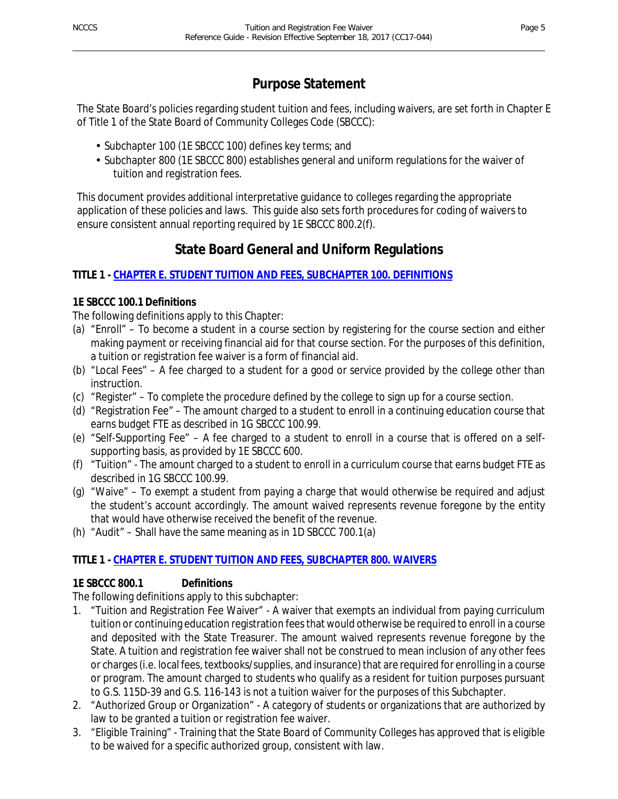## **Purpose Statement**

The State Board's policies regarding student tuition and fees, including waivers, are set forth in Chapter E of Title 1 of the State Board of Community Colleges Code (SBCCC):

- Subchapter 100 (1E SBCCC 100) defines key terms; and
- Subchapter 800 (1E SBCCC 800) establishes general and uniform regulations for the waiver of tuition and registration fees.

This document provides additional interpretative guidance to colleges regarding the appropriate application of these policies and laws. This guide also sets forth procedures for coding of waivers to ensure consistent annual reporting required by 1E SBCCC 800.2(f).

## **State Board General and Uniform Regulations**

## **TITLE 1 - CHAPTER E. STUDENT TUITION AND FEES, SUBCHAPTER 100. DEFINITIONS**

## **1E SBCCC 100.1 Definitions**

The following definitions apply to this Chapter:

- (a) "Enroll" To become a student in a course section by registering for the course section and either making payment or receiving financial aid for that course section. For the purposes of this definition, a tuition or registration fee waiver is a form of financial aid.
- (b) "Local Fees" A fee charged to a student for a good or service provided by the college other than instruction.
- (c) "Register" To complete the procedure defined by the college to sign up for a course section.
- (d) "Registration Fee" The amount charged to a student to enroll in a continuing education course that earns budget FTE as described in 1G SBCCC 100.99.
- (e) "Self-Supporting Fee" A fee charged to a student to enroll in a course that is offered on a selfsupporting basis, as provided by 1E SBCCC 600.
- (f) "Tuition" The amount charged to a student to enroll in a curriculum course that earns budget FTE as described in 1G SBCCC 100.99.
- (g) "Waive" To exempt a student from paying a charge that would otherwise be required and adjust the student's account accordingly. The amount waived represents revenue foregone by the entity that would have otherwise received the benefit of the revenue.
- (h) "Audit" Shall have the same meaning as in 1D SBCCC 700.1(a)

## **TITLE 1 - CHAPTER E. STUDENT TUITION AND FEES, SUBCHAPTER 800. WAIVERS**

## **1E SBCCC 800.1 Definitions**

The following definitions apply to this subchapter:

- 1. "Tuition and Registration Fee Waiver" A waiver that exempts an individual from paying curriculum tuition or continuing education registration fees that would otherwise be required to enroll in a course and deposited with the State Treasurer. The amount waived represents revenue foregone by the State. A tuition and registration fee waiver shall not be construed to mean inclusion of any other fees or charges (i.e. local fees, textbooks/supplies, and insurance) that are required for enrolling in a course or program. The amount charged to students who qualify as a resident for tuition purposes pursuant to G.S. 115D-39 and G.S. 116-143 is not a tuition waiver for the purposes of this Subchapter.
- 2. "Authorized Group or Organization" A category of students or organizations that are authorized by law to be granted a tuition or registration fee waiver.
- 3. "Eligible Training" Training that the State Board of Community Colleges has approved that is eligible to be waived for a specific authorized group, consistent with law.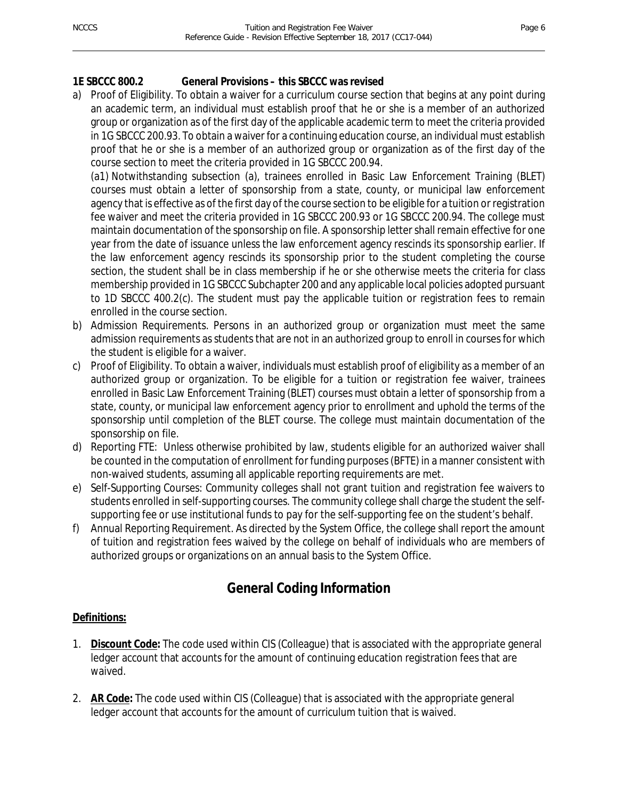## **1E SBCCC 800.2 General Provisions – this SBCCC was revised**

a) Proof of Eligibility. To obtain a waiver for a curriculum course section that begins at any point during an academic term, an individual must establish proof that he or she is a member of an authorized group or organization as of the first day of the applicable academic term to meet the criteria provided in 1G SBCCC 200.93. To obtain a waiver for a continuing education course, an individual must establish proof that he or she is a member of an authorized group or organization as of the first day of the course section to meet the criteria provided in 1G SBCCC 200.94.

(a1) Notwithstanding subsection (a), trainees enrolled in Basic Law Enforcement Training (BLET) courses must obtain a letter of sponsorship from a state, county, or municipal law enforcement agency that is effective as of the first day of the course section to be eligible for a tuition or registration fee waiver and meet the criteria provided in 1G SBCCC 200.93 or 1G SBCCC 200.94. The college must maintain documentation of the sponsorship on file. A sponsorship letter shall remain effective for one year from the date of issuance unless the law enforcement agency rescinds its sponsorship earlier. If the law enforcement agency rescinds its sponsorship prior to the student completing the course section, the student shall be in class membership if he or she otherwise meets the criteria for class membership provided in 1G SBCCC Subchapter 200 and any applicable local policies adopted pursuant to 1D SBCCC 400.2(c). The student must pay the applicable tuition or registration fees to remain enrolled in the course section.

- b) Admission Requirements. Persons in an authorized group or organization must meet the same admission requirements as students that are not in an authorized group to enroll in courses for which the student is eligible for a waiver.
- c) Proof of Eligibility. To obtain a waiver, individuals must establish proof of eligibility as a member of an authorized group or organization. To be eligible for a tuition or registration fee waiver, trainees enrolled in Basic Law Enforcement Training (BLET) courses must obtain a letter of sponsorship from a state, county, or municipal law enforcement agency prior to enrollment and uphold the terms of the sponsorship until completion of the BLET course. The college must maintain documentation of the sponsorship on file.
- d) Reporting FTE: Unless otherwise prohibited by law, students eligible for an authorized waiver shall be counted in the computation of enrollment for funding purposes (BFTE) in a manner consistent with non-waived students, assuming all applicable reporting requirements are met.
- e) Self-Supporting Courses: Community colleges shall not grant tuition and registration fee waivers to students enrolled in self-supporting courses. The community college shall charge the student the selfsupporting fee or use institutional funds to pay for the self-supporting fee on the student's behalf.
- f) Annual Reporting Requirement. As directed by the System Office, the college shall report the amount of tuition and registration fees waived by the college on behalf of individuals who are members of authorized groups or organizations on an annual basis to the System Office.

## **General Coding Information**

#### **Definitions:**

- 1. **Discount Code:** The code used within CIS (Colleague) that is associated with the appropriate general ledger account that accounts for the amount of continuing education registration fees that are waived.
- 2. **AR Code:** The code used within CIS (Colleague) that is associated with the appropriate general ledger account that accounts for the amount of curriculum tuition that is waived.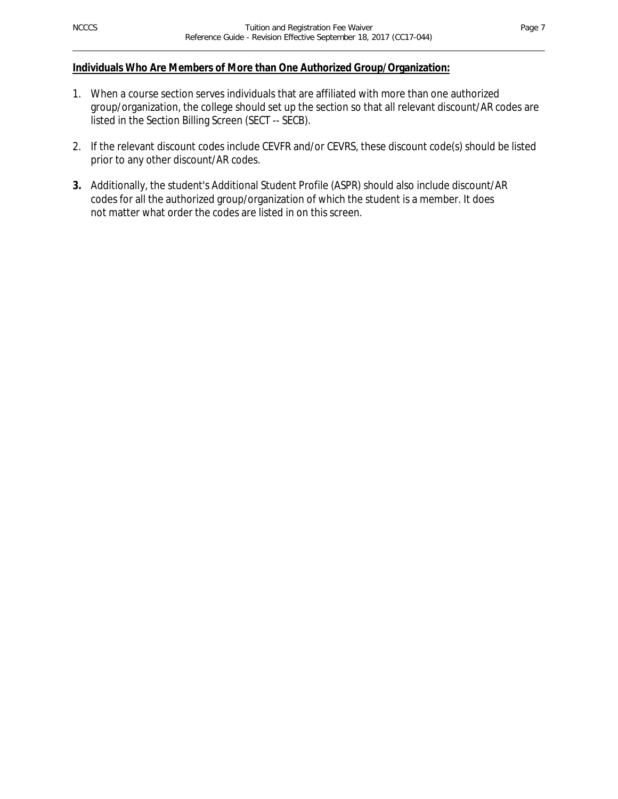#### **Individuals Who Are Members of More than One Authorized Group/Organization:**

- 1. When a course section serves individuals that are affiliated with more than one authorized group/organization, the college should set up the section so that all relevant discount/AR codes are listed in the Section Billing Screen (SECT -- SECB).
- 2. If the relevant discount codes include CEVFR and/or CEVRS, these discount code(s) should be listed prior to any other discount/AR codes.
- **3.** Additionally, the student's Additional Student Profile (ASPR) should also include discount/AR codes for all the authorized group/organization of which the student is a member. It does not matter what order the codes are listed in on this screen.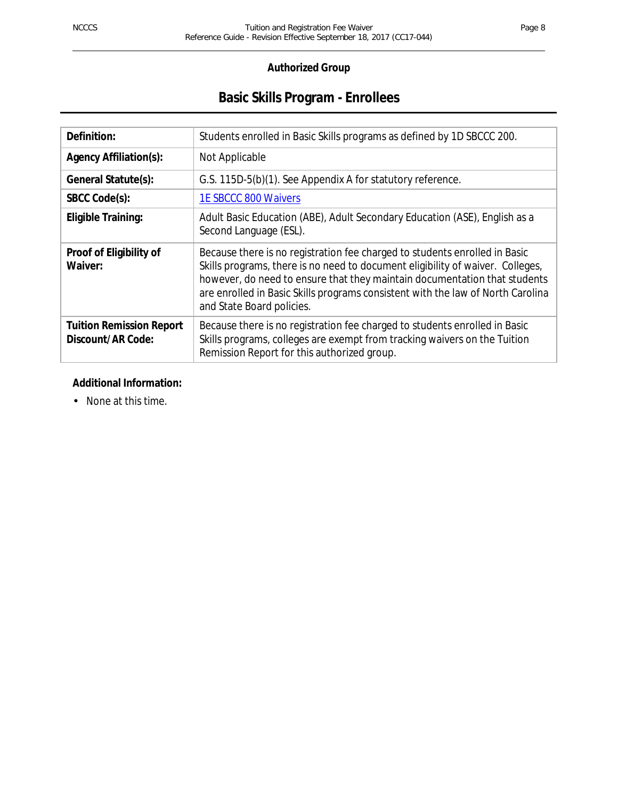## **Basic Skills Program - Enrollees**

| Definition:                                          | Students enrolled in Basic Skills programs as defined by 1D SBCCC 200.                                                                                                                                                                                                                                                                                    |
|------------------------------------------------------|-----------------------------------------------------------------------------------------------------------------------------------------------------------------------------------------------------------------------------------------------------------------------------------------------------------------------------------------------------------|
| <b>Agency Affiliation(s):</b>                        | Not Applicable                                                                                                                                                                                                                                                                                                                                            |
| General Statute(s):                                  | G.S. 115D-5(b)(1). See Appendix A for statutory reference.                                                                                                                                                                                                                                                                                                |
| SBCC Code(s):                                        | 1E SBCCC 800 Waivers                                                                                                                                                                                                                                                                                                                                      |
| Eligible Training:                                   | Adult Basic Education (ABE), Adult Secondary Education (ASE), English as a<br>Second Language (ESL).                                                                                                                                                                                                                                                      |
| Proof of Eligibility of<br>Waiver:                   | Because there is no registration fee charged to students enrolled in Basic<br>Skills programs, there is no need to document eligibility of waiver. Colleges,<br>however, do need to ensure that they maintain documentation that students<br>are enrolled in Basic Skills programs consistent with the law of North Carolina<br>and State Board policies. |
| <b>Tuition Remission Report</b><br>Discount/AR Code: | Because there is no registration fee charged to students enrolled in Basic<br>Skills programs, colleges are exempt from tracking waivers on the Tuition<br>Remission Report for this authorized group.                                                                                                                                                    |

#### **Additional Information:**

. None at this time.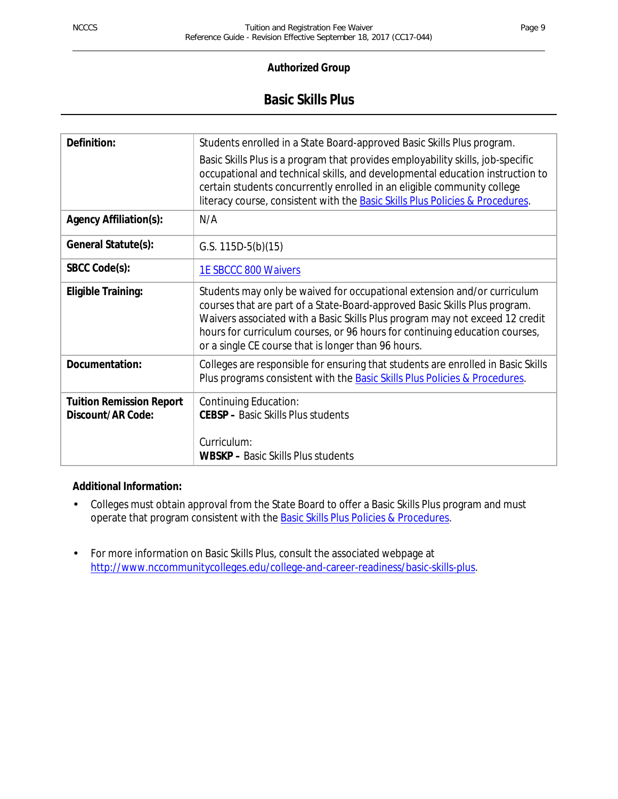## **Basic Skills Plus**

| Definition:                                          | Students enrolled in a State Board-approved Basic Skills Plus program.                                                                                                                                                                                                                                                                                                       |
|------------------------------------------------------|------------------------------------------------------------------------------------------------------------------------------------------------------------------------------------------------------------------------------------------------------------------------------------------------------------------------------------------------------------------------------|
|                                                      | Basic Skills Plus is a program that provides employability skills, job-specific<br>occupational and technical skills, and developmental education instruction to<br>certain students concurrently enrolled in an eligible community college<br>literacy course, consistent with the Basic Skills Plus Policies & Procedures.                                                 |
| <b>Agency Affiliation(s):</b>                        | N/A                                                                                                                                                                                                                                                                                                                                                                          |
| General Statute(s):                                  | G.S. $115D-5(b)(15)$                                                                                                                                                                                                                                                                                                                                                         |
| SBCC Code(s):                                        | <b>1E SBCCC 800 Waivers</b>                                                                                                                                                                                                                                                                                                                                                  |
| <b>Eligible Training:</b>                            | Students may only be waived for occupational extension and/or curriculum<br>courses that are part of a State-Board-approved Basic Skills Plus program.<br>Waivers associated with a Basic Skills Plus program may not exceed 12 credit<br>hours for curriculum courses, or 96 hours for continuing education courses,<br>or a single CE course that is longer than 96 hours. |
| Documentation:                                       | Colleges are responsible for ensuring that students are enrolled in Basic Skills<br>Plus programs consistent with the Basic Skills Plus Policies & Procedures.                                                                                                                                                                                                               |
| <b>Tuition Remission Report</b><br>Discount/AR Code: | Continuing Education:<br><b>CEBSP</b> - Basic Skills Plus students                                                                                                                                                                                                                                                                                                           |
|                                                      | Curriculum:<br><b>WBSKP</b> – Basic Skills Plus students                                                                                                                                                                                                                                                                                                                     |

## **Additional Information:**

- Colleges must obtain approval from the State Board to offer a Basic Skills Plus program and must ÷. operate that program consistent with the **Basic Skills Plus Policies & Procedures**.
- For more information on Basic Skills Plus, consult the associated webpage at ä, http://www.nccommunitycolleges.edu/college-and-career-readiness/basic-skills-plus.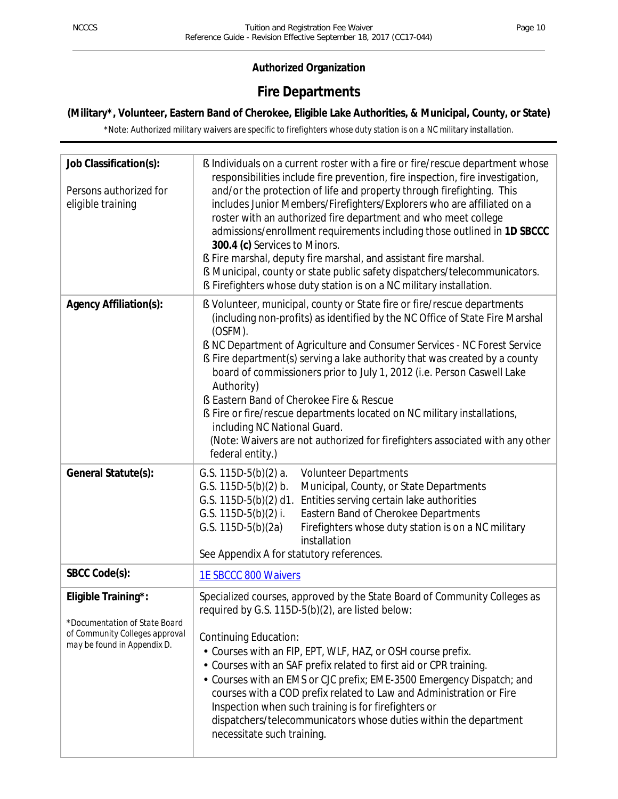## **Authorized Organization**

## **Fire Departments**

## **(Military\*, Volunteer, Eastern Band of Cherokee, Eligible Lake Authorities, & Municipal, County, or State)**

*\*Note: Authorized military waivers are specific to firefighters whose duty station is on a NC military installation.*

| Job Classification(s):<br>Persons authorized for<br>eligible training                                                 | § Individuals on a current roster with a fire or fire/rescue department whose<br>responsibilities include fire prevention, fire inspection, fire investigation,<br>and/or the protection of life and property through firefighting. This<br>includes Junior Members/Firefighters/Explorers who are affiliated on a<br>roster with an authorized fire department and who meet college<br>admissions/enrollment requirements including those outlined in 1D SBCCC<br>300.4 (c) Services to Minors.<br>§ Fire marshal, deputy fire marshal, and assistant fire marshal.<br><b>§</b> Municipal, county or state public safety dispatchers/telecommunicators.<br>S Firefighters whose duty station is on a NC military installation. |
|-----------------------------------------------------------------------------------------------------------------------|---------------------------------------------------------------------------------------------------------------------------------------------------------------------------------------------------------------------------------------------------------------------------------------------------------------------------------------------------------------------------------------------------------------------------------------------------------------------------------------------------------------------------------------------------------------------------------------------------------------------------------------------------------------------------------------------------------------------------------|
| Agency Affiliation(s):                                                                                                | S Volunteer, municipal, county or State fire or fire/rescue departments<br>(including non-profits) as identified by the NC Office of State Fire Marshal<br>(OSFM).<br>S NC Department of Agriculture and Consumer Services - NC Forest Service<br>S Fire department(s) serving a lake authority that was created by a county<br>board of commissioners prior to July 1, 2012 (i.e. Person Caswell Lake<br>Authority)<br>S Eastern Band of Cherokee Fire & Rescue<br>§ Fire or fire/rescue departments located on NC military installations,<br>including NC National Guard.<br>(Note: Waivers are not authorized for firefighters associated with any other<br>federal entity.)                                                 |
| General Statute(s):                                                                                                   | G.S. $115D-5(b)(2)$ a.<br><b>Volunteer Departments</b><br>G.S. $115D-5(b)(2)$ b.<br>Municipal, County, or State Departments<br>Entities serving certain lake authorities<br>G.S. 115D-5(b)(2) d1.<br>G.S. $115D-5(b)(2)$ i.<br>Eastern Band of Cherokee Departments<br>G.S. $115D-5(b)(2a)$<br>Firefighters whose duty station is on a NC military<br>installation<br>See Appendix A for statutory references.                                                                                                                                                                                                                                                                                                                  |
| SBCC Code(s):                                                                                                         | <b>1E SBCCC 800 Waivers</b>                                                                                                                                                                                                                                                                                                                                                                                                                                                                                                                                                                                                                                                                                                     |
| Eligible Training*:<br>*Documentation of State Board<br>of Community Colleges approval<br>may be found in Appendix D. | Specialized courses, approved by the State Board of Community Colleges as<br>required by G.S. 115D-5(b)(2), are listed below:<br><b>Continuing Education:</b><br>Courses with an FIP, EPT, WLF, HAZ, or OSH course prefix.<br>Courses with an SAF prefix related to first aid or CPR training.<br>• Courses with an EMS or CJC prefix; EME-3500 Emergency Dispatch; and<br>courses with a COD prefix related to Law and Administration or Fire<br>Inspection when such training is for firefighters or<br>dispatchers/telecommunicators whose duties within the department<br>necessitate such training.                                                                                                                        |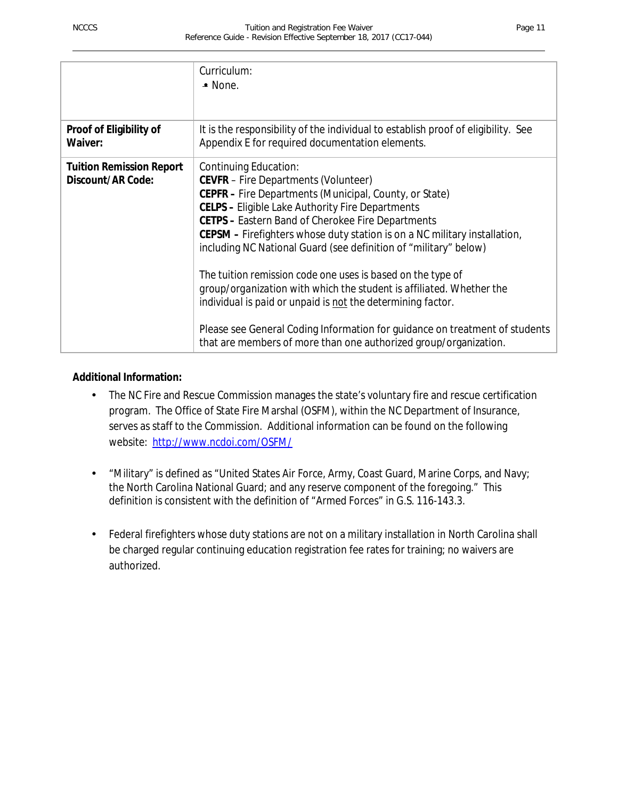|                                                      | Curriculum:<br>$-$ None.                                                                                                                                                                                                                                                                                                                                                                                                                                                                                                                                                                                                                                                                                                                                        |
|------------------------------------------------------|-----------------------------------------------------------------------------------------------------------------------------------------------------------------------------------------------------------------------------------------------------------------------------------------------------------------------------------------------------------------------------------------------------------------------------------------------------------------------------------------------------------------------------------------------------------------------------------------------------------------------------------------------------------------------------------------------------------------------------------------------------------------|
| Proof of Eligibility of                              | It is the responsibility of the individual to establish proof of eligibility. See                                                                                                                                                                                                                                                                                                                                                                                                                                                                                                                                                                                                                                                                               |
| Waiver:                                              | Appendix E for required documentation elements.                                                                                                                                                                                                                                                                                                                                                                                                                                                                                                                                                                                                                                                                                                                 |
| <b>Tuition Remission Report</b><br>Discount/AR Code: | Continuing Education:<br><b>CEVFR</b> – Fire Departments (Volunteer)<br>CEPFR - Fire Departments (Municipal, County, or State)<br><b>CELPS - Eligible Lake Authority Fire Departments</b><br><b>CETPS - Eastern Band of Cherokee Fire Departments</b><br>CEPSM – Firefighters whose duty station is on a NC military installation,<br>including NC National Guard (see definition of "military" below)<br>The tuition remission code one uses is based on the type of<br>group/organization with which the student is affiliated. Whether the<br>individual is paid or unpaid is not the determining factor.<br>Please see General Coding Information for guidance on treatment of students<br>that are members of more than one authorized group/organization. |

## **Additional Information:**

- The NC Fire and Rescue Commission manages the state's voluntary fire and rescue certification J. program. The Office of State Fire Marshal (OSFM), within the NC Department of Insurance, serves as staff to the Commission. Additional information can be found on the following website: http://www.ncdoi.com/OSFM/
- "Military" is defined as "United States Air Force, Army, Coast Guard, Marine Corps, and Navy; the North Carolina National Guard; and any reserve component of the foregoing." This definition is consistent with the definition of "Armed Forces" in G.S. 116-143.3.
- Federal firefighters whose duty stations are not on a military installation in North Carolina shall be charged regular continuing education registration fee rates for training; no waivers are authorized.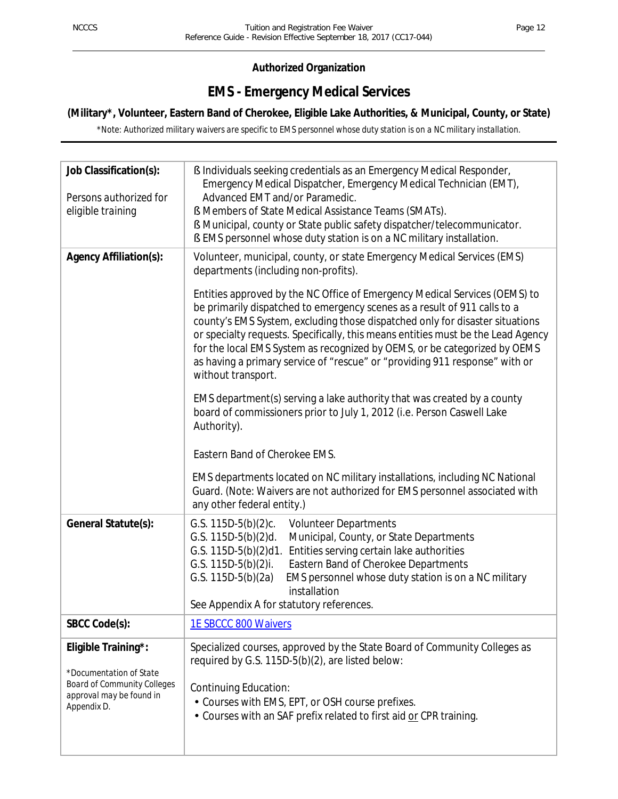## **Authorized Organization**

## **EMS - Emergency Medical Services**

## **(Military\*, Volunteer, Eastern Band of Cherokee, Eligible Lake Authorities, & Municipal, County, or State)**

*\*Note: Authorized military waivers are specific to EMS personnel whose duty station is on a NC military installation.*

| Job Classification(s):<br>Persons authorized for<br>eligible training                                                           | § Individuals seeking credentials as an Emergency Medical Responder,<br>Emergency Medical Dispatcher, Emergency Medical Technician (EMT),<br>Advanced EMT and/or Paramedic.<br><b>§ Members of State Medical Assistance Teams (SMATs).</b><br>§ Municipal, county or State public safety dispatcher/telecommunicator.<br><b>§</b> EMS personnel whose duty station is on a NC military installation.                                                                                                                                                                                                                                                                                                                                                                                                 |
|---------------------------------------------------------------------------------------------------------------------------------|------------------------------------------------------------------------------------------------------------------------------------------------------------------------------------------------------------------------------------------------------------------------------------------------------------------------------------------------------------------------------------------------------------------------------------------------------------------------------------------------------------------------------------------------------------------------------------------------------------------------------------------------------------------------------------------------------------------------------------------------------------------------------------------------------|
| <b>Agency Affiliation(s):</b>                                                                                                   | Volunteer, municipal, county, or state Emergency Medical Services (EMS)<br>departments (including non-profits).<br>Entities approved by the NC Office of Emergency Medical Services (OEMS) to<br>be primarily dispatched to emergency scenes as a result of 911 calls to a<br>county's EMS System, excluding those dispatched only for disaster situations<br>or specialty requests. Specifically, this means entities must be the Lead Agency<br>for the local EMS System as recognized by OEMS, or be categorized by OEMS<br>as having a primary service of "rescue" or "providing 911 response" with or<br>without transport.<br>EMS department(s) serving a lake authority that was created by a county<br>board of commissioners prior to July 1, 2012 (i.e. Person Caswell Lake<br>Authority). |
|                                                                                                                                 | Eastern Band of Cherokee EMS.<br>EMS departments located on NC military installations, including NC National<br>Guard. (Note: Waivers are not authorized for EMS personnel associated with<br>any other federal entity.)                                                                                                                                                                                                                                                                                                                                                                                                                                                                                                                                                                             |
| General Statute(s):                                                                                                             | G.S. $115D-5(b)(2)c$ .<br><b>Volunteer Departments</b><br>G.S. $115D-5(b)(2)d$ .<br>Municipal, County, or State Departments<br>G.S. $115D-5(b)(2)d1$ .<br>Entities serving certain lake authorities<br>G.S. $115D-5(b)(2)$ i.<br>Eastern Band of Cherokee Departments<br>EMS personnel whose duty station is on a NC military<br>G.S. $115D-5(b)(2a)$<br>installation<br>See Appendix A for statutory references.                                                                                                                                                                                                                                                                                                                                                                                    |
| SBCC Code(s):                                                                                                                   | <b>1E SBCCC 800 Waivers</b>                                                                                                                                                                                                                                                                                                                                                                                                                                                                                                                                                                                                                                                                                                                                                                          |
| Eligible Training*:<br>*Documentation of State<br><b>Board of Community Colleges</b><br>approval may be found in<br>Appendix D. | Specialized courses, approved by the State Board of Community Colleges as<br>required by G.S. 115D-5(b)(2), are listed below:<br>Continuing Education:<br>Courses with EMS, EPT, or OSH course prefixes.<br>Courses with an SAF prefix related to first aid or CPR training.                                                                                                                                                                                                                                                                                                                                                                                                                                                                                                                         |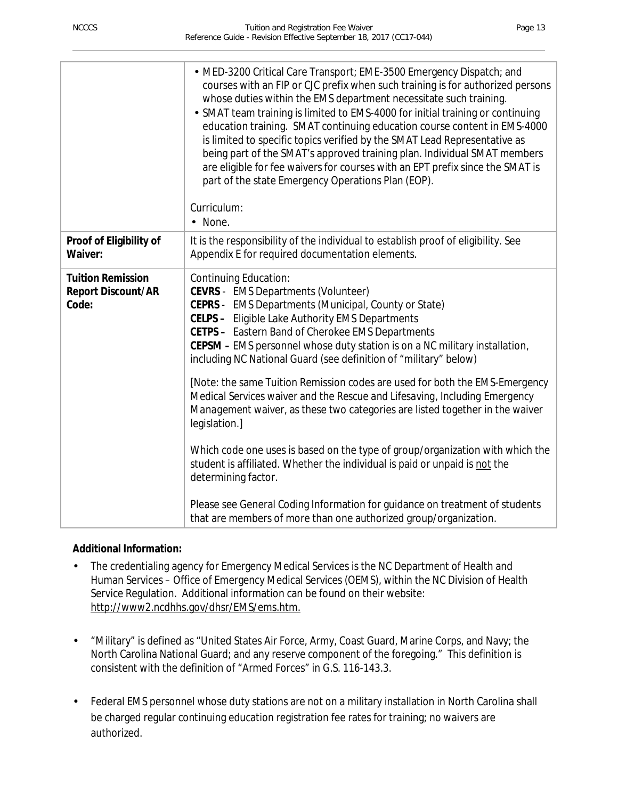|                                                                | • MED-3200 Critical Care Transport; EME-3500 Emergency Dispatch; and<br>courses with an FIP or CJC prefix when such training is for authorized persons<br>whose duties within the EMS department necessitate such training.<br>· SMAT team training is limited to EMS-4000 for initial training or continuing<br>education training. SMAT continuing education course content in EMS-4000<br>is limited to specific topics verified by the SMAT Lead Representative as<br>being part of the SMAT's approved training plan. Individual SMAT members<br>are eligible for fee waivers for courses with an EPT prefix since the SMAT is<br>part of the state Emergency Operations Plan (EOP).<br>Curriculum:<br>· None.                                                                                                                                                                                                                                                                         |
|----------------------------------------------------------------|---------------------------------------------------------------------------------------------------------------------------------------------------------------------------------------------------------------------------------------------------------------------------------------------------------------------------------------------------------------------------------------------------------------------------------------------------------------------------------------------------------------------------------------------------------------------------------------------------------------------------------------------------------------------------------------------------------------------------------------------------------------------------------------------------------------------------------------------------------------------------------------------------------------------------------------------------------------------------------------------|
| Proof of Eligibility of<br>Waiver:                             | It is the responsibility of the individual to establish proof of eligibility. See<br>Appendix E for required documentation elements.                                                                                                                                                                                                                                                                                                                                                                                                                                                                                                                                                                                                                                                                                                                                                                                                                                                        |
| <b>Tuition Remission</b><br><b>Report Discount/AR</b><br>Code: | Continuing Education:<br><b>CEVRS</b> - EMS Departments (Volunteer)<br>CEPRS - EMS Departments (Municipal, County or State)<br>CELPS - Eligible Lake Authority EMS Departments<br>CETPS - Eastern Band of Cherokee EMS Departments<br>CEPSM - EMS personnel whose duty station is on a NC military installation,<br>including NC National Guard (see definition of "military" below)<br>[Note: the same Tuition Remission codes are used for both the EMS-Emergency<br>Medical Services waiver and the Rescue and Lifesaving, Including Emergency<br>Management waiver, as these two categories are listed together in the waiver<br>legislation.]<br>Which code one uses is based on the type of group/organization with which the<br>student is affiliated. Whether the individual is paid or unpaid is not the<br>determining factor.<br>Please see General Coding Information for guidance on treatment of students<br>that are members of more than one authorized group/organization. |

## **Additional Information:**

- The credentialing agency for Emergency Medical Services is the NC Department of Health and Human Services – Office of Emergency Medical Services (OEMS), within the NC Division of Health Service Regulation. Additional information can be found on their website: http://www2.ncdhhs.gov/dhsr/EMS/ems.htm.
- "Military" is defined as "United States Air Force, Army, Coast Guard, Marine Corps, and Navy; the North Carolina National Guard; and any reserve component of the foregoing." This definition is consistent with the definition of "Armed Forces" in G.S. 116-143.3.
- Federal EMS personnel whose duty stations are not on a military installation in North Carolina shall be charged regular continuing education registration fee rates for training; no waivers are authorized.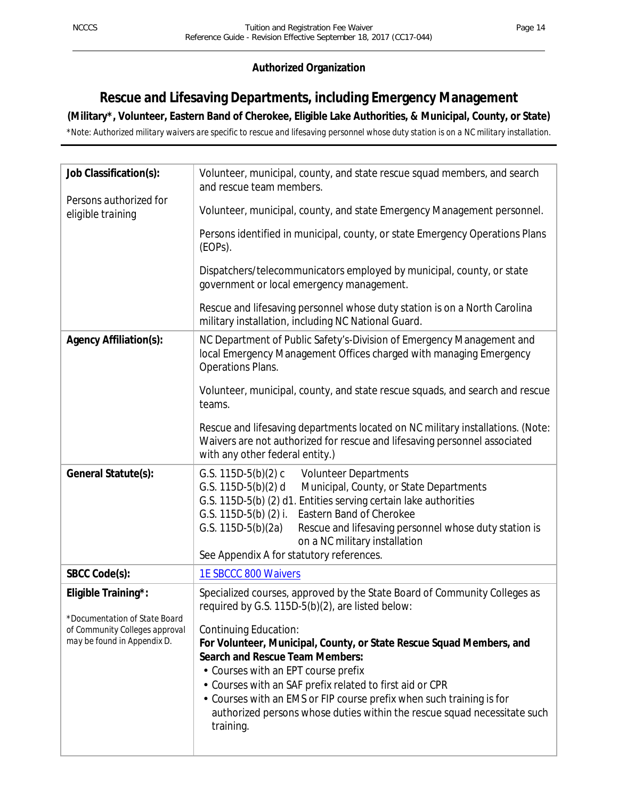## **Authorized Organization**

## **Rescue and Lifesaving Departments, including Emergency Management**

## **(Military\*, Volunteer, Eastern Band of Cherokee, Eligible Lake Authorities, & Municipal, County, or State)**

*\*Note: Authorized military waivers are specific to rescue and lifesaving personnel whose duty station is on a NC military installation.*

| Job Classification(s):                                                                                                | Volunteer, municipal, county, and state rescue squad members, and search<br>and rescue team members.                                                                                                                                                                                                                                                                                                                                                                                                                                     |
|-----------------------------------------------------------------------------------------------------------------------|------------------------------------------------------------------------------------------------------------------------------------------------------------------------------------------------------------------------------------------------------------------------------------------------------------------------------------------------------------------------------------------------------------------------------------------------------------------------------------------------------------------------------------------|
| Persons authorized for<br>eligible training                                                                           | Volunteer, municipal, county, and state Emergency Management personnel.                                                                                                                                                                                                                                                                                                                                                                                                                                                                  |
|                                                                                                                       | Persons identified in municipal, county, or state Emergency Operations Plans<br>(EOPs).                                                                                                                                                                                                                                                                                                                                                                                                                                                  |
|                                                                                                                       | Dispatchers/telecommunicators employed by municipal, county, or state<br>government or local emergency management.                                                                                                                                                                                                                                                                                                                                                                                                                       |
|                                                                                                                       | Rescue and lifesaving personnel whose duty station is on a North Carolina<br>military installation, including NC National Guard.                                                                                                                                                                                                                                                                                                                                                                                                         |
| <b>Agency Affiliation(s):</b>                                                                                         | NC Department of Public Safety's-Division of Emergency Management and<br>local Emergency Management Offices charged with managing Emergency<br><b>Operations Plans.</b>                                                                                                                                                                                                                                                                                                                                                                  |
|                                                                                                                       | Volunteer, municipal, county, and state rescue squads, and search and rescue<br>teams.                                                                                                                                                                                                                                                                                                                                                                                                                                                   |
|                                                                                                                       | Rescue and lifesaving departments located on NC military installations. (Note:<br>Waivers are not authorized for rescue and lifesaving personnel associated<br>with any other federal entity.)                                                                                                                                                                                                                                                                                                                                           |
| General Statute(s):                                                                                                   | G.S. $115D-5(b)(2)$ c<br><b>Volunteer Departments</b><br>G.S. 115D-5(b)(2) d<br>Municipal, County, or State Departments<br>G.S. 115D-5(b) (2) d1. Entities serving certain lake authorities<br>Eastern Band of Cherokee<br>G.S. $115D-5(b)$ (2) i.<br>G.S. $115D-5(b)(2a)$<br>Rescue and lifesaving personnel whose duty station is<br>on a NC military installation<br>See Appendix A for statutory references.                                                                                                                         |
| SBCC Code(s):                                                                                                         | 1E SBCCC 800 Waivers                                                                                                                                                                                                                                                                                                                                                                                                                                                                                                                     |
| Eligible Training*:<br>*Documentation of State Board<br>of Community Colleges approval<br>may be found in Appendix D. | Specialized courses, approved by the State Board of Community Colleges as<br>required by G.S. 115D-5(b)(2), are listed below:<br>Continuing Education:<br>For Volunteer, Municipal, County, or State Rescue Squad Members, and<br><b>Search and Rescue Team Members:</b><br>Courses with an EPT course prefix<br>Courses with an SAF prefix related to first aid or CPR<br>• Courses with an EMS or FIP course prefix when such training is for<br>authorized persons whose duties within the rescue squad necessitate such<br>training. |
|                                                                                                                       |                                                                                                                                                                                                                                                                                                                                                                                                                                                                                                                                          |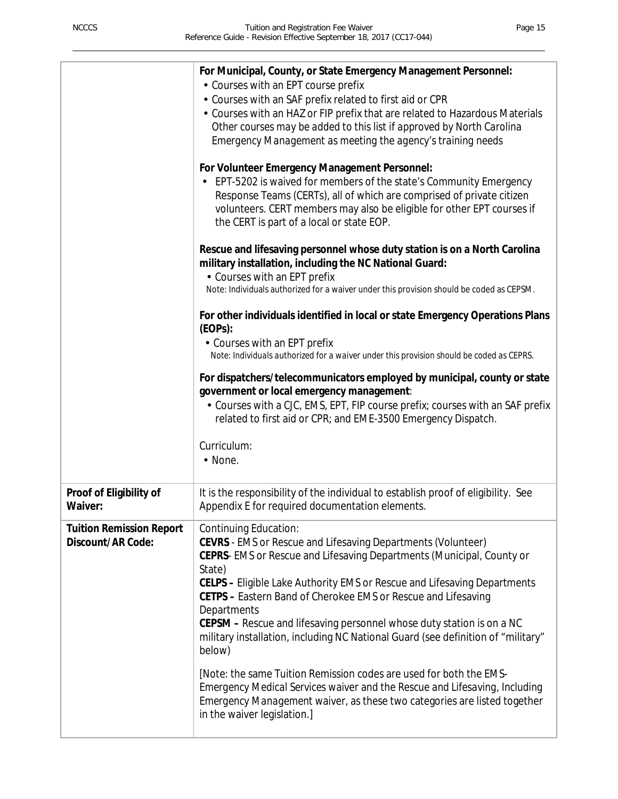|                                                      | For Municipal, County, or State Emergency Management Personnel:<br>• Courses with an EPT course prefix<br>· Courses with an SAF prefix related to first aid or CPR<br>• Courses with an HAZ or FIP prefix that are related to Hazardous Materials<br>Other courses may be added to this list if approved by North Carolina<br>Emergency Management as meeting the agency's training needs<br>For Volunteer Emergency Management Personnel:<br>EPT-5202 is waived for members of the state's Community Emergency<br>Response Teams (CERTs), all of which are comprised of private citizen<br>volunteers. CERT members may also be eligible for other EPT courses if<br>the CERT is part of a local or state EOP.<br>Rescue and lifesaving personnel whose duty station is on a North Carolina<br>military installation, including the NC National Guard:<br>• Courses with an EPT prefix<br>Note: Individuals authorized for a waiver under this provision should be coded as CEPSM.<br>For other individuals identified in local or state Emergency Operations Plans<br>(EOPs):<br>• Courses with an EPT prefix<br>Note: Individuals authorized for a waiver under this provision should be coded as CEPRS.<br>For dispatchers/telecommunicators employed by municipal, county or state<br>government or local emergency management:<br>- Courses with a CJC, EMS, EPT, FIP course prefix; courses with an SAF prefix<br>related to first aid or CPR; and EME-3500 Emergency Dispatch.<br>Curriculum:<br>· None. |
|------------------------------------------------------|------------------------------------------------------------------------------------------------------------------------------------------------------------------------------------------------------------------------------------------------------------------------------------------------------------------------------------------------------------------------------------------------------------------------------------------------------------------------------------------------------------------------------------------------------------------------------------------------------------------------------------------------------------------------------------------------------------------------------------------------------------------------------------------------------------------------------------------------------------------------------------------------------------------------------------------------------------------------------------------------------------------------------------------------------------------------------------------------------------------------------------------------------------------------------------------------------------------------------------------------------------------------------------------------------------------------------------------------------------------------------------------------------------------------------------------------------------------------------------------------------------------|
| Proof of Eligibility of<br>Waiver:                   | It is the responsibility of the individual to establish proof of eligibility. See<br>Appendix E for required documentation elements.                                                                                                                                                                                                                                                                                                                                                                                                                                                                                                                                                                                                                                                                                                                                                                                                                                                                                                                                                                                                                                                                                                                                                                                                                                                                                                                                                                             |
| <b>Tuition Remission Report</b><br>Discount/AR Code: | <b>Continuing Education:</b><br><b>CEVRS</b> - EMS or Rescue and Lifesaving Departments (Volunteer)<br>CEPRS- EMS or Rescue and Lifesaving Departments (Municipal, County or<br>State)<br>CELPS - Eligible Lake Authority EMS or Rescue and Lifesaving Departments<br>CETPS - Eastern Band of Cherokee EMS or Rescue and Lifesaving<br>Departments<br>CEPSM – Rescue and lifesaving personnel whose duty station is on a NC<br>military installation, including NC National Guard (see definition of "military"<br>below)<br>[Note: the same Tuition Remission codes are used for both the EMS-<br>Emergency Medical Services waiver and the Rescue and Lifesaving, Including<br>Emergency Management waiver, as these two categories are listed together<br>in the waiver legislation.]                                                                                                                                                                                                                                                                                                                                                                                                                                                                                                                                                                                                                                                                                                                         |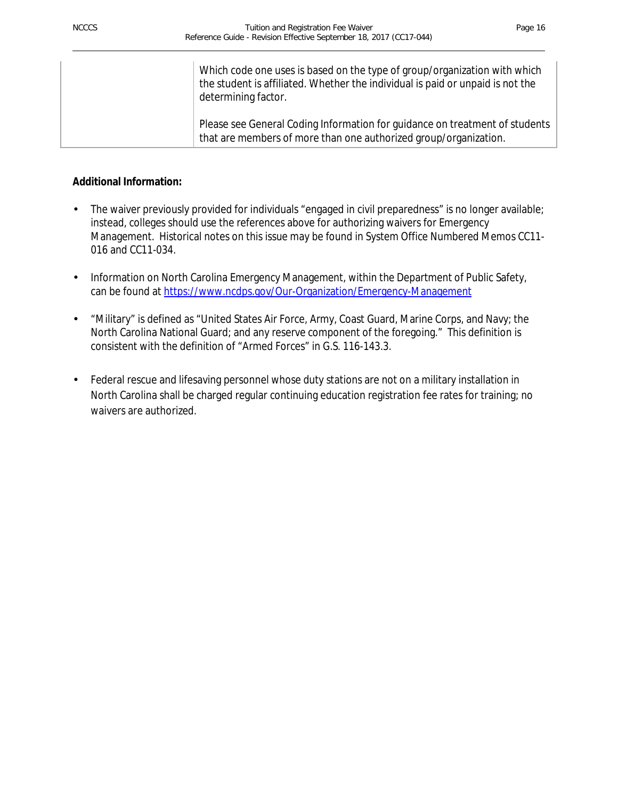| Which code one uses is based on the type of group/organization with which<br>the student is affiliated. Whether the individual is paid or unpaid is not the<br>determining factor. |
|------------------------------------------------------------------------------------------------------------------------------------------------------------------------------------|
| Please see General Coding Information for guidance on treatment of students<br>that are members of more than one authorized group/organization.                                    |

#### **Additional Information:**

- The waiver previously provided for individuals "engaged in civil preparedness" is no longer available; instead, colleges should use the references above for authorizing waivers for Emergency Management. Historical notes on this issue may be found in System Office Numbered Memos CC11- 016 and CC11-034.
- Information on North Carolina Emergency Management, within the Department of Public Safety,  $\blacksquare$ can be found at https://www.ncdps.gov/Our-Organization/Emergency-Management
- "Military" is defined as "United States Air Force, Army, Coast Guard, Marine Corps, and Navy; the North Carolina National Guard; and any reserve component of the foregoing." This definition is consistent with the definition of "Armed Forces" in G.S. 116-143.3.
- Federal rescue and lifesaving personnel whose duty stations are not on a military installation in  $\epsilon$ North Carolina shall be charged regular continuing education registration fee rates for training; no waivers are authorized.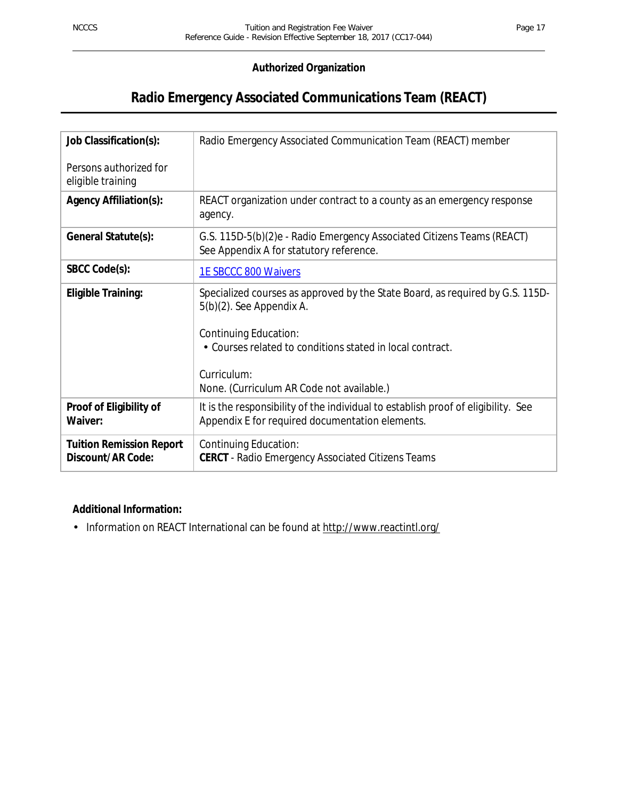## **Authorized Organization**

## **Radio Emergency Associated Communications Team (REACT)**

| Job Classification(s):<br>Persons authorized for<br>eligible training | Radio Emergency Associated Communication Team (REACT) member                                                                                                                                                                                                 |
|-----------------------------------------------------------------------|--------------------------------------------------------------------------------------------------------------------------------------------------------------------------------------------------------------------------------------------------------------|
| <b>Agency Affiliation(s):</b>                                         | REACT organization under contract to a county as an emergency response<br>agency.                                                                                                                                                                            |
| General Statute(s):                                                   | G.S. 115D-5(b)(2)e - Radio Emergency Associated Citizens Teams (REACT)<br>See Appendix A for statutory reference.                                                                                                                                            |
| SBCC Code(s):                                                         | <b>1E SBCCC 800 Waivers</b>                                                                                                                                                                                                                                  |
| <b>Eligible Training:</b>                                             | Specialized courses as approved by the State Board, as required by G.S. 115D-<br>$5(b)(2)$ . See Appendix A.<br>Continuing Education:<br>Courses related to conditions stated in local contract.<br>Curriculum:<br>None. (Curriculum AR Code not available.) |
| Proof of Eligibility of<br>Waiver:                                    | It is the responsibility of the individual to establish proof of eligibility. See<br>Appendix E for required documentation elements.                                                                                                                         |
| <b>Tuition Remission Report</b><br>Discount/AR Code:                  | Continuing Education:<br><b>CERCT</b> - Radio Emergency Associated Citizens Teams                                                                                                                                                                            |

## **Additional Information:**

Information on REACT International can be found at http://www.reactintl.org/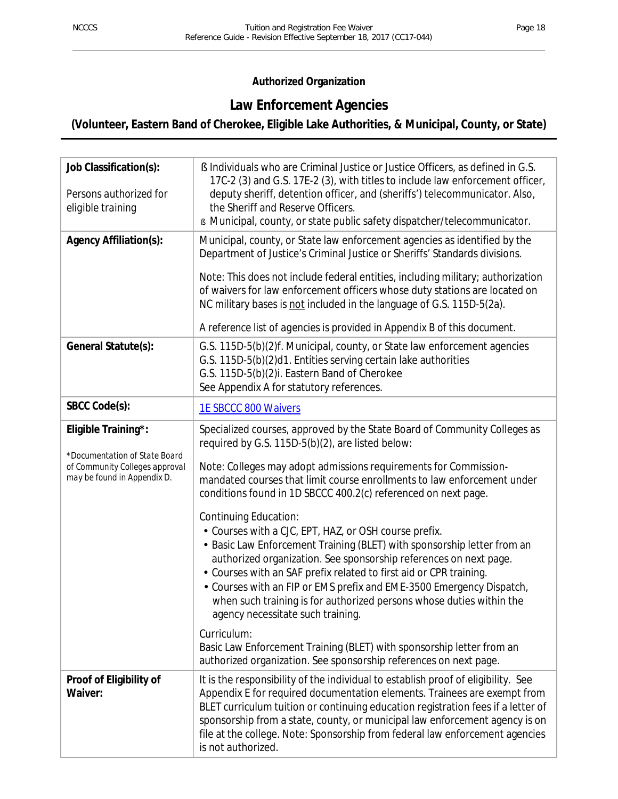## **Authorized Organization**

## **Law Enforcement Agencies**

## **(Volunteer, Eastern Band of Cherokee, Eligible Lake Authorities, & Municipal, County, or State)**

| Job Classification(s):<br>Persons authorized for<br>eligible training                                                 | § Individuals who are Criminal Justice or Justice Officers, as defined in G.S.<br>17C-2 (3) and G.S. 17E-2 (3), with titles to include law enforcement officer,<br>deputy sheriff, detention officer, and (sheriffs') telecommunicator. Also,<br>the Sheriff and Reserve Officers.<br><b>s</b> Municipal, county, or state public safety dispatcher/telecommunicator.                                                                                                                                                                                                                                                                                                                                                                                                                                                                                                                                                                                                                                         |
|-----------------------------------------------------------------------------------------------------------------------|---------------------------------------------------------------------------------------------------------------------------------------------------------------------------------------------------------------------------------------------------------------------------------------------------------------------------------------------------------------------------------------------------------------------------------------------------------------------------------------------------------------------------------------------------------------------------------------------------------------------------------------------------------------------------------------------------------------------------------------------------------------------------------------------------------------------------------------------------------------------------------------------------------------------------------------------------------------------------------------------------------------|
| <b>Agency Affiliation(s):</b>                                                                                         | Municipal, county, or State law enforcement agencies as identified by the<br>Department of Justice's Criminal Justice or Sheriffs' Standards divisions.<br>Note: This does not include federal entities, including military; authorization<br>of waivers for law enforcement officers whose duty stations are located on<br>NC military bases is not included in the language of G.S. 115D-5(2a).<br>A reference list of agencies is provided in Appendix B of this document.                                                                                                                                                                                                                                                                                                                                                                                                                                                                                                                                 |
| General Statute(s):                                                                                                   | G.S. 115D-5(b)(2)f. Municipal, county, or State law enforcement agencies<br>G.S. 115D-5(b)(2)d1. Entities serving certain lake authorities<br>G.S. 115D-5(b)(2)i. Eastern Band of Cherokee<br>See Appendix A for statutory references.                                                                                                                                                                                                                                                                                                                                                                                                                                                                                                                                                                                                                                                                                                                                                                        |
| SBCC Code(s):                                                                                                         | 1E SBCCC 800 Waivers                                                                                                                                                                                                                                                                                                                                                                                                                                                                                                                                                                                                                                                                                                                                                                                                                                                                                                                                                                                          |
| Eligible Training*:<br>*Documentation of State Board<br>of Community Colleges approval<br>may be found in Appendix D. | Specialized courses, approved by the State Board of Community Colleges as<br>required by G.S. 115D-5(b)(2), are listed below:<br>Note: Colleges may adopt admissions requirements for Commission-<br>mandated courses that limit course enrollments to law enforcement under<br>conditions found in 1D SBCCC 400.2(c) referenced on next page.<br><b>Continuing Education:</b><br>· Courses with a CJC, EPT, HAZ, or OSH course prefix.<br>- Basic Law Enforcement Training (BLET) with sponsorship letter from an<br>authorized organization. See sponsorship references on next page.<br>Courses with an SAF prefix related to first aid or CPR training.<br>· Courses with an FIP or EMS prefix and EME-3500 Emergency Dispatch,<br>when such training is for authorized persons whose duties within the<br>agency necessitate such training.<br>Curriculum:<br>Basic Law Enforcement Training (BLET) with sponsorship letter from an<br>authorized organization. See sponsorship references on next page. |
| Proof of Eligibility of<br>Waiver:                                                                                    | It is the responsibility of the individual to establish proof of eligibility. See<br>Appendix E for required documentation elements. Trainees are exempt from<br>BLET curriculum tuition or continuing education registration fees if a letter of<br>sponsorship from a state, county, or municipal law enforcement agency is on<br>file at the college. Note: Sponsorship from federal law enforcement agencies<br>is not authorized.                                                                                                                                                                                                                                                                                                                                                                                                                                                                                                                                                                        |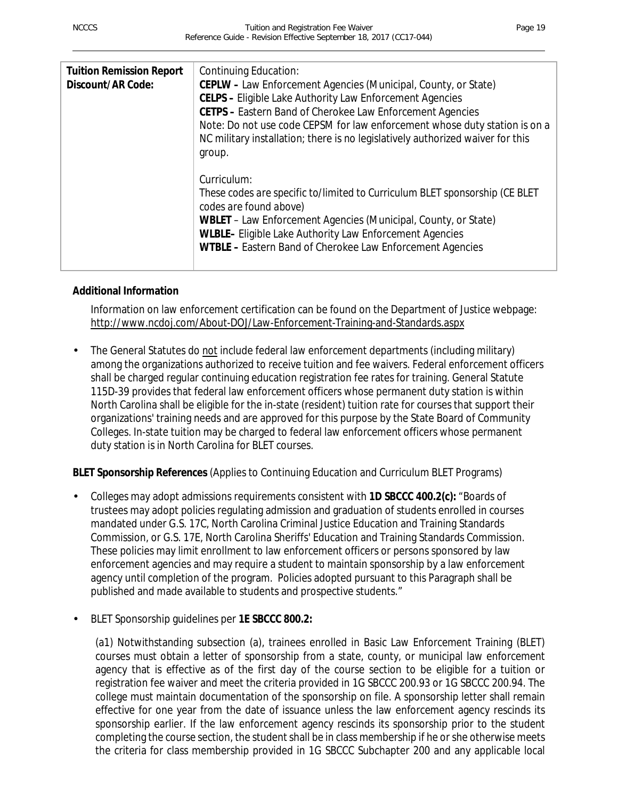| <b>Tuition Remission Report</b> | Continuing Education:                                                                                                                                        |
|---------------------------------|--------------------------------------------------------------------------------------------------------------------------------------------------------------|
| Discount/AR Code:               | CEPLW - Law Enforcement Agencies (Municipal, County, or State)                                                                                               |
|                                 |                                                                                                                                                              |
|                                 | <b>CELPS - Eligible Lake Authority Law Enforcement Agencies</b>                                                                                              |
|                                 | <b>CETPS - Eastern Band of Cherokee Law Enforcement Agencies</b>                                                                                             |
|                                 | Note: Do not use code CEPSM for law enforcement whose duty station is on a<br>NC military installation; there is no legislatively authorized waiver for this |
|                                 | group.                                                                                                                                                       |
|                                 |                                                                                                                                                              |
|                                 |                                                                                                                                                              |
|                                 | Curriculum:                                                                                                                                                  |
|                                 | These codes are specific to/limited to Curriculum BLET sponsorship (CE BLET<br>codes are found above)                                                        |
|                                 | WBLET - Law Enforcement Agencies (Municipal, County, or State)                                                                                               |
|                                 | WLBLE- Eligible Lake Authority Law Enforcement Agencies                                                                                                      |
|                                 |                                                                                                                                                              |
|                                 | WTBLE - Eastern Band of Cherokee Law Enforcement Agencies                                                                                                    |
|                                 |                                                                                                                                                              |

## **Additional Information**

Information on law enforcement certification can be found on the Department of Justice webpage: http://www.ncdoj.com/About-DOJ/Law-Enforcement-Training-and-Standards.aspx

The General Statutes do not include federal law enforcement departments (including military) among the organizations authorized to receive tuition and fee waivers. Federal enforcement officers shall be charged regular continuing education registration fee rates for training. General Statute 115D-39 provides that federal law enforcement officers whose permanent duty station is within North Carolina shall be eligible for the in-state (resident) tuition rate for courses that support their organizations' training needs and are approved for this purpose by the State Board of Community Colleges. In-state tuition may be charged to federal law enforcement officers whose permanent duty station is in North Carolina for BLET courses.

## **BLET Sponsorship References** (Applies to Continuing Education and Curriculum BLET Programs)

- Colleges may adopt admissions requirements consistent with **1D SBCCC 400.2(c):** "Boards of trustees may adopt policies regulating admission and graduation of students enrolled in courses mandated under G.S. 17C, North Carolina Criminal Justice Education and Training Standards Commission, or G.S. 17E, North Carolina Sheriffs' Education and Training Standards Commission. These policies may limit enrollment to law enforcement officers or persons sponsored by law enforcement agencies and may require a student to maintain sponsorship by a law enforcement agency until completion of the program. Policies adopted pursuant to this Paragraph shall be published and made available to students and prospective students."
- BLET Sponsorship guidelines per **1E SBCCC 800.2:**

(a1) Notwithstanding subsection (a), trainees enrolled in Basic Law Enforcement Training (BLET) courses must obtain a letter of sponsorship from a state, county, or municipal law enforcement agency that is effective as of the first day of the course section to be eligible for a tuition or registration fee waiver and meet the criteria provided in 1G SBCCC 200.93 or 1G SBCCC 200.94. The college must maintain documentation of the sponsorship on file. A sponsorship letter shall remain effective for one year from the date of issuance unless the law enforcement agency rescinds its sponsorship earlier. If the law enforcement agency rescinds its sponsorship prior to the student completing the course section, the student shall be in class membership if he or she otherwise meets the criteria for class membership provided in 1G SBCCC Subchapter 200 and any applicable local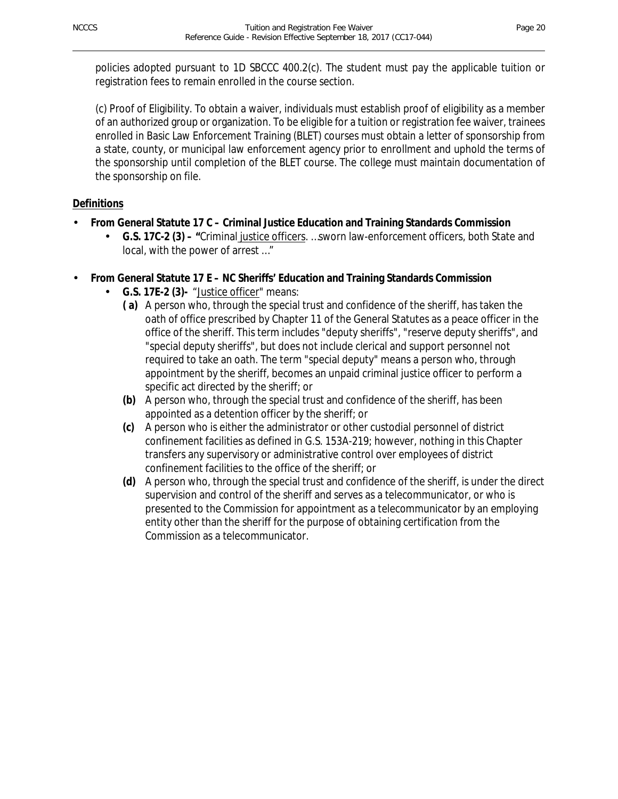policies adopted pursuant to 1D SBCCC 400.2(c). The student must pay the applicable tuition or registration fees to remain enrolled in the course section.

(c) Proof of Eligibility. To obtain a waiver, individuals must establish proof of eligibility as a member of an authorized group or organization. To be eligible for a tuition or registration fee waiver, trainees enrolled in Basic Law Enforcement Training (BLET) courses must obtain a letter of sponsorship from a state, county, or municipal law enforcement agency prior to enrollment and uphold the terms of the sponsorship until completion of the BLET course. The college must maintain documentation of the sponsorship on file.

## **Definitions**

- **From General Statute 17 C – Criminal Justice Education and Training Standards Commission**
	- **G.S. 17C-2 (3) – "**Criminal justice officers. …sworn law-enforcement officers, both State and local, with the power of arrest …"

## **From General Statute 17 E – NC Sheriffs' Education and Training Standards Commission**

- **G.S. 17E-2 (3)-** "Justice officer" means:
	- **( a)** A person who, through the special trust and confidence of the sheriff, has taken the oath of office prescribed by Chapter 11 of the General Statutes as a peace officer in the office of the sheriff. This term includes "deputy sheriffs", "reserve deputy sheriffs", and "special deputy sheriffs", but does not include clerical and support personnel not required to take an oath. The term "special deputy" means a person who, through appointment by the sheriff, becomes an unpaid criminal justice officer to perform a specific act directed by the sheriff; or
	- **(b)** A person who, through the special trust and confidence of the sheriff, has been appointed as a detention officer by the sheriff; or
	- **(c)** A person who is either the administrator or other custodial personnel of district confinement facilities as defined in G.S. 153A-219; however, nothing in this Chapter transfers any supervisory or administrative control over employees of district confinement facilities to the office of the sheriff; or
	- **(d)** A person who, through the special trust and confidence of the sheriff, is under the direct supervision and control of the sheriff and serves as a telecommunicator, or who is presented to the Commission for appointment as a telecommunicator by an employing entity other than the sheriff for the purpose of obtaining certification from the Commission as a telecommunicator.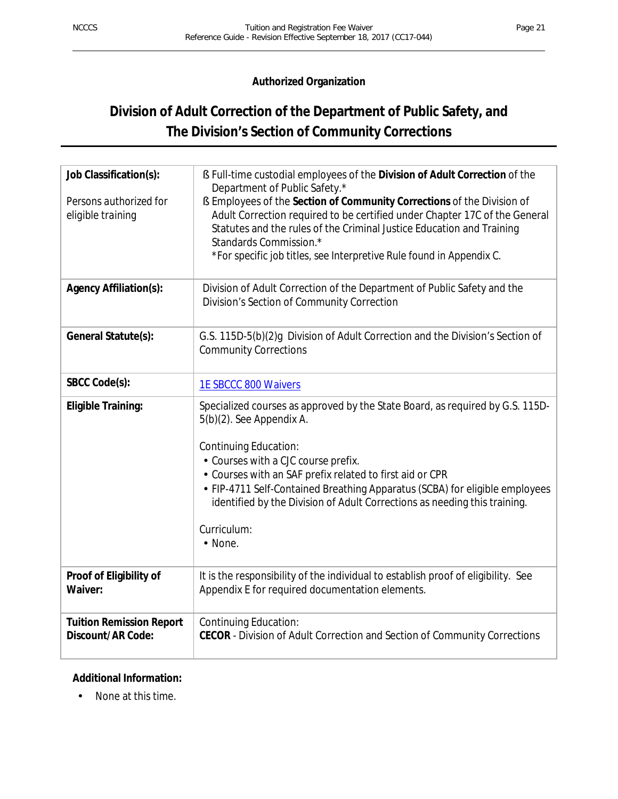## **Authorized Organization**

## **Division of Adult Correction of the Department of Public Safety, and The Division's Section of Community Corrections**

| Job Classification(s):                               | § Full-time custodial employees of the Division of Adult Correction of the<br>Department of Public Safety.*                                                                                                                                                                                                                     |
|------------------------------------------------------|---------------------------------------------------------------------------------------------------------------------------------------------------------------------------------------------------------------------------------------------------------------------------------------------------------------------------------|
| Persons authorized for<br>eligible training          | § Employees of the Section of Community Corrections of the Division of<br>Adult Correction required to be certified under Chapter 17C of the General<br>Statutes and the rules of the Criminal Justice Education and Training<br>Standards Commission.*<br>*For specific job titles, see Interpretive Rule found in Appendix C. |
| Agency Affiliation(s):                               | Division of Adult Correction of the Department of Public Safety and the<br>Division's Section of Community Correction                                                                                                                                                                                                           |
| General Statute(s):                                  | G.S. 115D-5(b)(2)g Division of Adult Correction and the Division's Section of<br><b>Community Corrections</b>                                                                                                                                                                                                                   |
| SBCC Code(s):                                        | 1E SBCCC 800 Waivers                                                                                                                                                                                                                                                                                                            |
| <b>Eligible Training:</b>                            | Specialized courses as approved by the State Board, as required by G.S. 115D-<br>5(b)(2). See Appendix A.<br><b>Continuing Education:</b><br>· Courses with a CJC course prefix.                                                                                                                                                |
|                                                      | · Courses with an SAF prefix related to first aid or CPR<br>- FIP-4711 Self-Contained Breathing Apparatus (SCBA) for eligible employees<br>identified by the Division of Adult Corrections as needing this training.                                                                                                            |
|                                                      | Curriculum:<br>· None.                                                                                                                                                                                                                                                                                                          |
| Proof of Eligibility of<br>Waiver:                   | It is the responsibility of the individual to establish proof of eligibility. See<br>Appendix E for required documentation elements.                                                                                                                                                                                            |
| <b>Tuition Remission Report</b><br>Discount/AR Code: | <b>Continuing Education:</b><br>CECOR - Division of Adult Correction and Section of Community Corrections                                                                                                                                                                                                                       |

## **Additional Information:**

None at this time. $\overline{a}$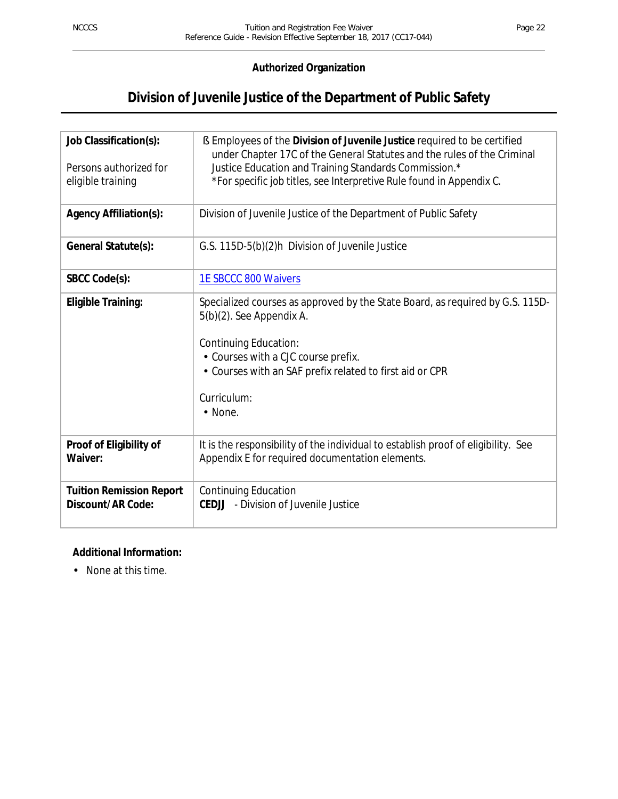## **Authorized Organization**

## **Division of Juvenile Justice of the Department of Public Safety**

| Job Classification(s):<br>Persons authorized for<br>eligible training | S Employees of the Division of Juvenile Justice required to be certified<br>under Chapter 17C of the General Statutes and the rules of the Criminal<br>Justice Education and Training Standards Commission.*<br>* For specific job titles, see Interpretive Rule found in Appendix C. |
|-----------------------------------------------------------------------|---------------------------------------------------------------------------------------------------------------------------------------------------------------------------------------------------------------------------------------------------------------------------------------|
| <b>Agency Affiliation(s):</b>                                         | Division of Juvenile Justice of the Department of Public Safety                                                                                                                                                                                                                       |
| General Statute(s):                                                   | G.S. 115D-5(b)(2)h Division of Juvenile Justice                                                                                                                                                                                                                                       |
| SBCC Code(s):                                                         | <b>1E SBCCC 800 Waivers</b>                                                                                                                                                                                                                                                           |
| <b>Eligible Training:</b>                                             | Specialized courses as approved by the State Board, as required by G.S. 115D-<br>5(b)(2). See Appendix A.<br><b>Continuing Education:</b><br>· Courses with a CJC course prefix.<br>Courses with an SAF prefix related to first aid or CPR<br>Curriculum:<br>· None.                  |
| Proof of Eligibility of<br>Waiver:                                    | It is the responsibility of the individual to establish proof of eligibility. See<br>Appendix E for required documentation elements.                                                                                                                                                  |
| <b>Tuition Remission Report</b><br>Discount/AR Code:                  | <b>Continuing Education</b><br>- Division of Juvenile Justice<br>CEDJJ                                                                                                                                                                                                                |

## **Additional Information:**

None at this time.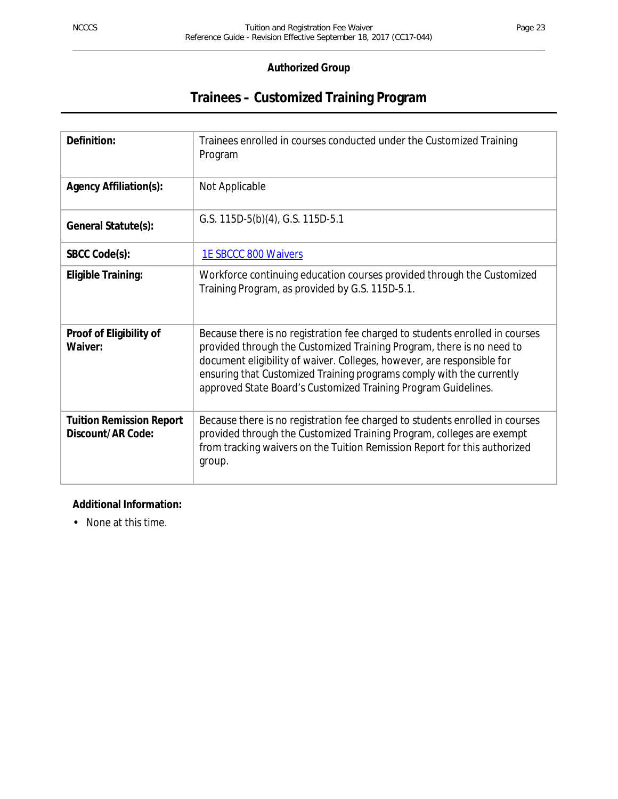## **Trainees – Customized Training Program**

| Definition:                                          | Trainees enrolled in courses conducted under the Customized Training<br>Program                                                                                                                                                                                                                                                                                           |
|------------------------------------------------------|---------------------------------------------------------------------------------------------------------------------------------------------------------------------------------------------------------------------------------------------------------------------------------------------------------------------------------------------------------------------------|
| <b>Agency Affiliation(s):</b>                        | Not Applicable                                                                                                                                                                                                                                                                                                                                                            |
| General Statute(s):                                  | G.S. 115D-5(b)(4), G.S. 115D-5.1                                                                                                                                                                                                                                                                                                                                          |
| SBCC Code(s):                                        | <b>1E SBCCC 800 Waivers</b>                                                                                                                                                                                                                                                                                                                                               |
| <b>Eligible Training:</b>                            | Workforce continuing education courses provided through the Customized<br>Training Program, as provided by G.S. 115D-5.1.                                                                                                                                                                                                                                                 |
| Proof of Eligibility of<br>Waiver:                   | Because there is no registration fee charged to students enrolled in courses<br>provided through the Customized Training Program, there is no need to<br>document eligibility of waiver. Colleges, however, are responsible for<br>ensuring that Customized Training programs comply with the currently<br>approved State Board's Customized Training Program Guidelines. |
| <b>Tuition Remission Report</b><br>Discount/AR Code: | Because there is no registration fee charged to students enrolled in courses<br>provided through the Customized Training Program, colleges are exempt<br>from tracking waivers on the Tuition Remission Report for this authorized<br>group.                                                                                                                              |

## **Additional Information:**

None at this time.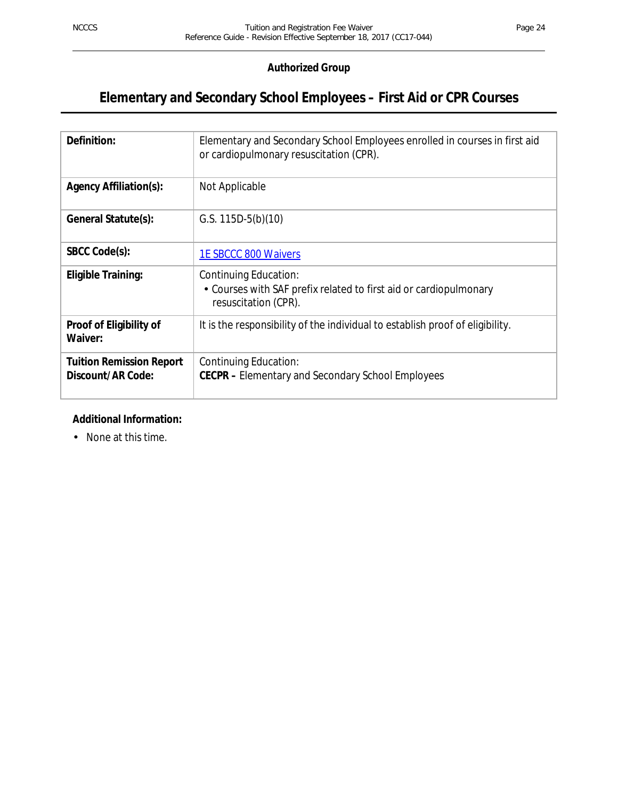## **Elementary and Secondary School Employees – First Aid or CPR Courses**

| Definition:                                          | Elementary and Secondary School Employees enrolled in courses in first aid<br>or cardiopulmonary resuscitation (CPR). |
|------------------------------------------------------|-----------------------------------------------------------------------------------------------------------------------|
| <b>Agency Affiliation(s):</b>                        | Not Applicable                                                                                                        |
| General Statute(s):                                  | G.S. $115D-5(b)(10)$                                                                                                  |
| SBCC Code(s):                                        | <b>1E SBCCC 800 Waivers</b>                                                                                           |
| Eligible Training:                                   | Continuing Education:<br>• Courses with SAF prefix related to first aid or cardiopulmonary<br>resuscitation (CPR).    |
| Proof of Eligibility of<br>Waiver:                   | It is the responsibility of the individual to establish proof of eligibility.                                         |
| <b>Tuition Remission Report</b><br>Discount/AR Code: | Continuing Education:<br><b>CECPR</b> – Elementary and Secondary School Employees                                     |

#### **Additional Information:**

None at this time. $\mathcal{L}^{\mathcal{L}}$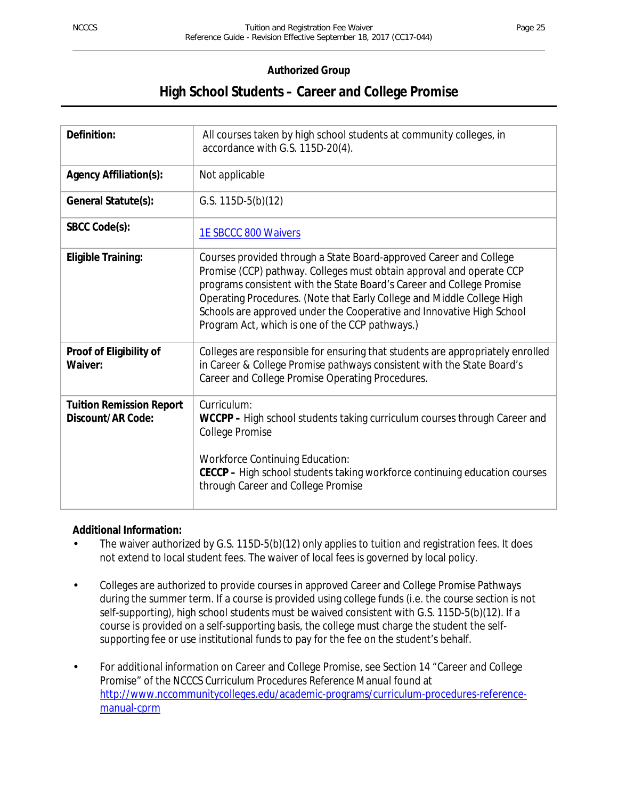## **High School Students – Career and College Promise**

| Definition:                                          | All courses taken by high school students at community colleges, in<br>accordance with G.S. 115D-20(4).                                                                                                                                                                                                                                                                                                                   |
|------------------------------------------------------|---------------------------------------------------------------------------------------------------------------------------------------------------------------------------------------------------------------------------------------------------------------------------------------------------------------------------------------------------------------------------------------------------------------------------|
| <b>Agency Affiliation(s):</b>                        | Not applicable                                                                                                                                                                                                                                                                                                                                                                                                            |
| General Statute(s):                                  | G.S. $115D-5(b)(12)$                                                                                                                                                                                                                                                                                                                                                                                                      |
| SBCC Code(s):                                        | <b>1E SBCCC 800 Waivers</b>                                                                                                                                                                                                                                                                                                                                                                                               |
| <b>Eligible Training:</b>                            | Courses provided through a State Board-approved Career and College<br>Promise (CCP) pathway. Colleges must obtain approval and operate CCP<br>programs consistent with the State Board's Career and College Promise<br>Operating Procedures. (Note that Early College and Middle College High<br>Schools are approved under the Cooperative and Innovative High School<br>Program Act, which is one of the CCP pathways.) |
| Proof of Eligibility of<br>Waiver:                   | Colleges are responsible for ensuring that students are appropriately enrolled<br>in Career & College Promise pathways consistent with the State Board's<br>Career and College Promise Operating Procedures.                                                                                                                                                                                                              |
| <b>Tuition Remission Report</b><br>Discount/AR Code: | Curriculum:<br>WCCPP - High school students taking curriculum courses through Career and<br>College Promise<br><b>Workforce Continuing Education:</b><br>CECCP - High school students taking workforce continuing education courses<br>through Career and College Promise                                                                                                                                                 |

#### **Additional Information:**

- The waiver authorized by G.S. 115D-5(b)(12) only applies to tuition and registration fees. It does not extend to local student fees. The waiver of local fees is governed by local policy.
- Colleges are authorized to provide courses in approved Career and College Promise Pathways during the summer term. If a course is provided using college funds (i.e. the course section is not self-supporting), high school students must be waived consistent with G.S. 115D-5(b)(12). If a course is provided on a self-supporting basis, the college must charge the student the selfsupporting fee or use institutional funds to pay for the fee on the student's behalf.
- For additional information on Career and College Promise, see Section 14 "Career and College ÷, Promise" of the *NCCCS Curriculum Procedures Reference Manual* found at http://www.nccommunitycolleges.edu/academic-programs/curriculum-procedures-referencemanual-cprm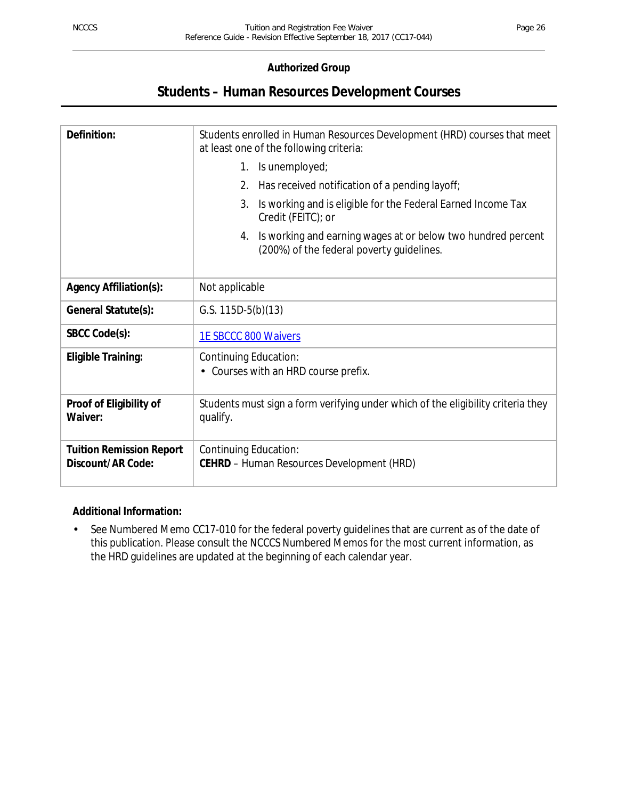## **Students – Human Resources Development Courses**

| Definition:                                          | Students enrolled in Human Resources Development (HRD) courses that meet<br>at least one of the following criteria: |
|------------------------------------------------------|---------------------------------------------------------------------------------------------------------------------|
|                                                      | 1. Is unemployed;                                                                                                   |
|                                                      | Has received notification of a pending layoff;<br>2.                                                                |
|                                                      | Is working and is eligible for the Federal Earned Income Tax<br>3.<br>Credit (FEITC); or                            |
|                                                      | Is working and earning wages at or below two hundred percent<br>4.<br>(200%) of the federal poverty guidelines.     |
| <b>Agency Affiliation(s):</b>                        | Not applicable                                                                                                      |
| General Statute(s):                                  | G.S. $115D-5(b)(13)$                                                                                                |
| SBCC Code(s):                                        | 1E SBCCC 800 Waivers                                                                                                |
| <b>Eligible Training:</b>                            | Continuing Education:<br>Courses with an HRD course prefix.                                                         |
| Proof of Eligibility of<br>Waiver:                   | Students must sign a form verifying under which of the eligibility criteria they<br>qualify.                        |
| <b>Tuition Remission Report</b><br>Discount/AR Code: | <b>Continuing Education:</b><br><b>CEHRD</b> - Human Resources Development (HRD)                                    |

#### **Additional Information:**

See Numbered Memo CC17-010 for the federal poverty guidelines that are current as of the date of ä, this publication. Please consult the NCCCS Numbered Memos for the most current information, as the HRD guidelines are updated at the beginning of each calendar year.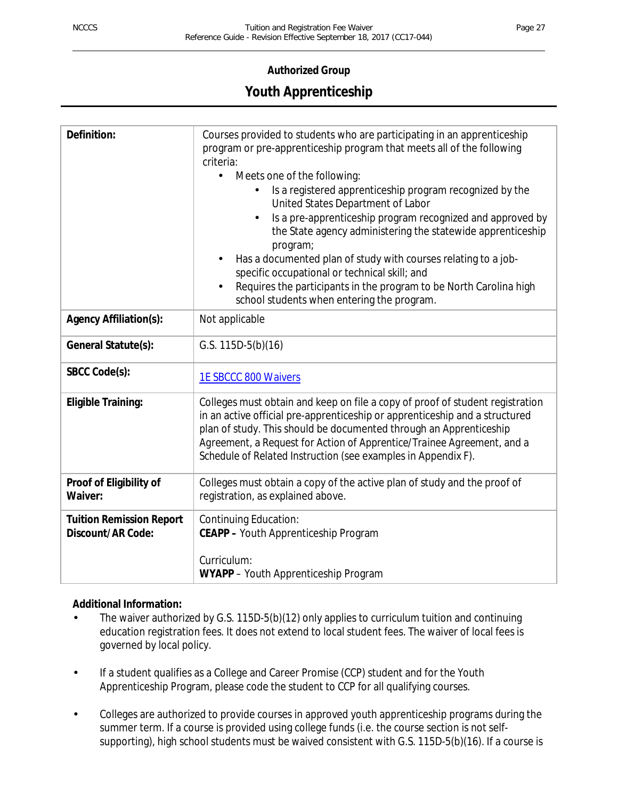## **Youth Apprenticeship**

| Definition:                                          | Courses provided to students who are participating in an apprenticeship<br>program or pre-apprenticeship program that meets all of the following<br>criteria:<br>Meets one of the following:<br>Is a registered apprenticeship program recognized by the<br>United States Department of Labor<br>Is a pre-apprenticeship program recognized and approved by<br>the State agency administering the statewide apprenticeship<br>program;<br>Has a documented plan of study with courses relating to a job-<br>specific occupational or technical skill; and<br>Requires the participants in the program to be North Carolina high<br>school students when entering the program. |
|------------------------------------------------------|-------------------------------------------------------------------------------------------------------------------------------------------------------------------------------------------------------------------------------------------------------------------------------------------------------------------------------------------------------------------------------------------------------------------------------------------------------------------------------------------------------------------------------------------------------------------------------------------------------------------------------------------------------------------------------|
| <b>Agency Affiliation(s):</b>                        | Not applicable                                                                                                                                                                                                                                                                                                                                                                                                                                                                                                                                                                                                                                                                |
| General Statute(s):                                  | G.S. $115D-5(b)(16)$                                                                                                                                                                                                                                                                                                                                                                                                                                                                                                                                                                                                                                                          |
| SBCC Code(s):                                        | 1E SBCCC 800 Waivers                                                                                                                                                                                                                                                                                                                                                                                                                                                                                                                                                                                                                                                          |
| <b>Eligible Training:</b>                            | Colleges must obtain and keep on file a copy of proof of student registration<br>in an active official pre-apprenticeship or apprenticeship and a structured<br>plan of study. This should be documented through an Apprenticeship<br>Agreement, a Request for Action of Apprentice/Trainee Agreement, and a<br>Schedule of Related Instruction (see examples in Appendix F).                                                                                                                                                                                                                                                                                                 |
| Proof of Eligibility of<br>Waiver:                   | Colleges must obtain a copy of the active plan of study and the proof of<br>registration, as explained above.                                                                                                                                                                                                                                                                                                                                                                                                                                                                                                                                                                 |
| <b>Tuition Remission Report</b><br>Discount/AR Code: | <b>Continuing Education:</b><br><b>CEAPP - Youth Apprenticeship Program</b>                                                                                                                                                                                                                                                                                                                                                                                                                                                                                                                                                                                                   |
|                                                      | Curriculum:<br>WYAPP - Youth Apprenticeship Program                                                                                                                                                                                                                                                                                                                                                                                                                                                                                                                                                                                                                           |

## **Additional Information:**

- The waiver authorized by G.S. 115D-5(b)(12) only applies to curriculum tuition and continuing education registration fees. It does not extend to local student fees. The waiver of local fees is governed by local policy.
- If a student qualifies as a College and Career Promise (CCP) student and for the Youth  $\blacksquare$ Apprenticeship Program, please code the student to CCP for all qualifying courses.
- Colleges are authorized to provide courses in approved youth apprenticeship programs during the ÷, summer term. If a course is provided using college funds (i.e. the course section is not selfsupporting), high school students must be waived consistent with G.S. 115D-5(b)(16). If a course is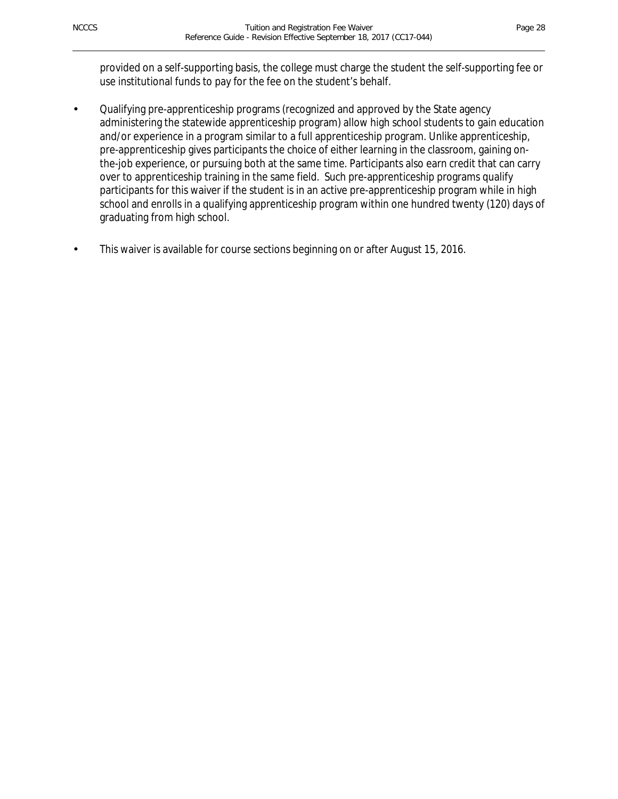provided on a self-supporting basis, the college must charge the student the self-supporting fee or use institutional funds to pay for the fee on the student's behalf.

Qualifying pre-apprenticeship programs (recognized and approved by the State agency administering the statewide apprenticeship program) allow high school students to gain education and/or experience in a program similar to a full apprenticeship program. Unlike apprenticeship, pre-apprenticeship gives participants the choice of either learning in the classroom, gaining onthe-job experience, or pursuing both at the same time. Participants also earn credit that can carry over to apprenticeship training in the same field. Such pre-apprenticeship programs qualify participants for this waiver if the student is in an active pre-apprenticeship program while in high school and enrolls in a qualifying apprenticeship program within one hundred twenty (120) days of graduating from high school.

This waiver is available for course sections beginning on or after August 15, 2016.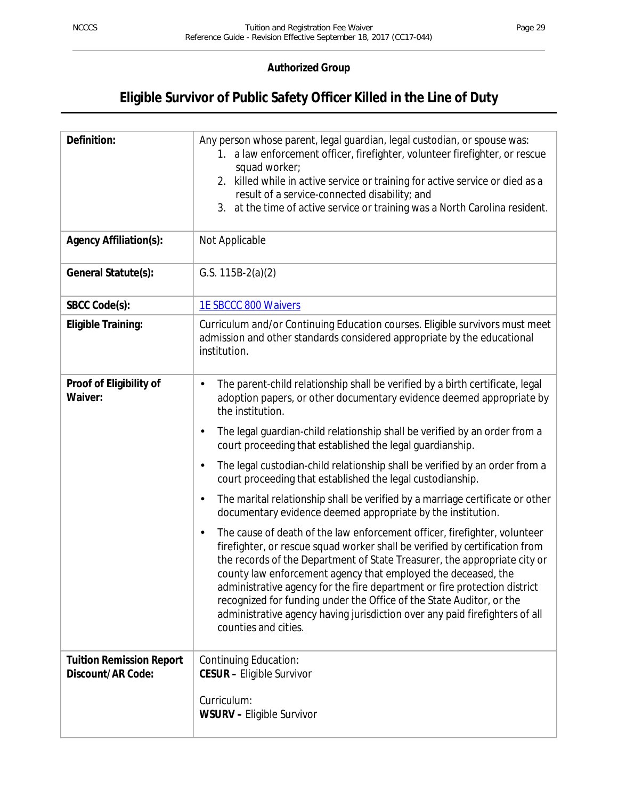## **Eligible Survivor of Public Safety Officer Killed in the Line of Duty**

| Definition:                                          | Any person whose parent, legal guardian, legal custodian, or spouse was:<br>1. a law enforcement officer, firefighter, volunteer firefighter, or rescue<br>squad worker;<br>2. killed while in active service or training for active service or died as a<br>result of a service-connected disability; and<br>3. at the time of active service or training was a North Carolina resident.                                                                                                                                                                                            |
|------------------------------------------------------|--------------------------------------------------------------------------------------------------------------------------------------------------------------------------------------------------------------------------------------------------------------------------------------------------------------------------------------------------------------------------------------------------------------------------------------------------------------------------------------------------------------------------------------------------------------------------------------|
| <b>Agency Affiliation(s):</b>                        | Not Applicable                                                                                                                                                                                                                                                                                                                                                                                                                                                                                                                                                                       |
| General Statute(s):                                  | G.S. $115B-2(a)(2)$                                                                                                                                                                                                                                                                                                                                                                                                                                                                                                                                                                  |
| SBCC Code(s):                                        | 1E SBCCC 800 Waivers                                                                                                                                                                                                                                                                                                                                                                                                                                                                                                                                                                 |
| <b>Eligible Training:</b>                            | Curriculum and/or Continuing Education courses. Eligible survivors must meet<br>admission and other standards considered appropriate by the educational<br>institution.                                                                                                                                                                                                                                                                                                                                                                                                              |
| Proof of Eligibility of<br>Waiver:                   | The parent-child relationship shall be verified by a birth certificate, legal<br>adoption papers, or other documentary evidence deemed appropriate by<br>the institution.                                                                                                                                                                                                                                                                                                                                                                                                            |
|                                                      | The legal guardian-child relationship shall be verified by an order from a<br>$\blacksquare$<br>court proceeding that established the legal guardianship.                                                                                                                                                                                                                                                                                                                                                                                                                            |
|                                                      | The legal custodian-child relationship shall be verified by an order from a<br>$\blacksquare$<br>court proceeding that established the legal custodianship.                                                                                                                                                                                                                                                                                                                                                                                                                          |
|                                                      | The marital relationship shall be verified by a marriage certificate or other<br>٠<br>documentary evidence deemed appropriate by the institution.                                                                                                                                                                                                                                                                                                                                                                                                                                    |
|                                                      | The cause of death of the law enforcement officer, firefighter, volunteer<br>$\blacksquare$<br>firefighter, or rescue squad worker shall be verified by certification from<br>the records of the Department of State Treasurer, the appropriate city or<br>county law enforcement agency that employed the deceased, the<br>administrative agency for the fire department or fire protection district<br>recognized for funding under the Office of the State Auditor, or the<br>administrative agency having jurisdiction over any paid firefighters of all<br>counties and cities. |
| <b>Tuition Remission Report</b><br>Discount/AR Code: | <b>Continuing Education:</b><br><b>CESUR - Eligible Survivor</b>                                                                                                                                                                                                                                                                                                                                                                                                                                                                                                                     |
|                                                      | Curriculum:<br><b>WSURV - Eligible Survivor</b>                                                                                                                                                                                                                                                                                                                                                                                                                                                                                                                                      |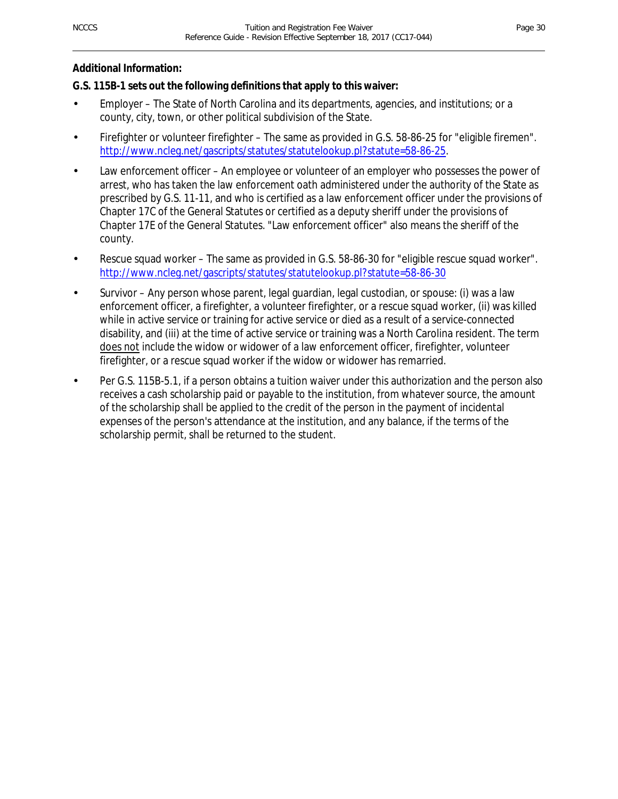#### **Additional Information:**

## **G.S. 115B-1 sets out the following definitions that apply to this waiver:**

- Employer The State of North Carolina and its departments, agencies, and institutions; or a county, city, town, or other political subdivision of the State.
- Firefighter or volunteer firefighter The same as provided in G.S. 58-86-25 for "eligible firemen". http://www.ncleg.net/gascripts/statutes/statutelookup.pl?statute=58-86-25.
- Law enforcement officer An employee or volunteer of an employer who possesses the power of arrest, who has taken the law enforcement oath administered under the authority of the State as prescribed by G.S. 11-11, and who is certified as a law enforcement officer under the provisions of Chapter 17C of the General Statutes or certified as a deputy sheriff under the provisions of Chapter 17E of the General Statutes. "Law enforcement officer" also means the sheriff of the county.
- Rescue squad worker The same as provided in G.S. 58-86-30 for "eligible rescue squad worker". http://www.ncleg.net/gascripts/statutes/statutelookup.pl?statute=58-86-30
- Survivor Any person whose parent, legal guardian, legal custodian, or spouse: (i) was a law enforcement officer, a firefighter, a volunteer firefighter, or a rescue squad worker, (ii) was killed while in active service or training for active service or died as a result of a service-connected disability, and (iii) at the time of active service or training was a North Carolina resident. The term does not include the widow or widower of a law enforcement officer, firefighter, volunteer firefighter, or a rescue squad worker if the widow or widower has remarried.
- Per G.S. 115B-5.1, if a person obtains a tuition waiver under this authorization and the person also receives a cash scholarship paid or payable to the institution, from whatever source, the amount of the scholarship shall be applied to the credit of the person in the payment of incidental expenses of the person's attendance at the institution, and any balance, if the terms of the scholarship permit, shall be returned to the student.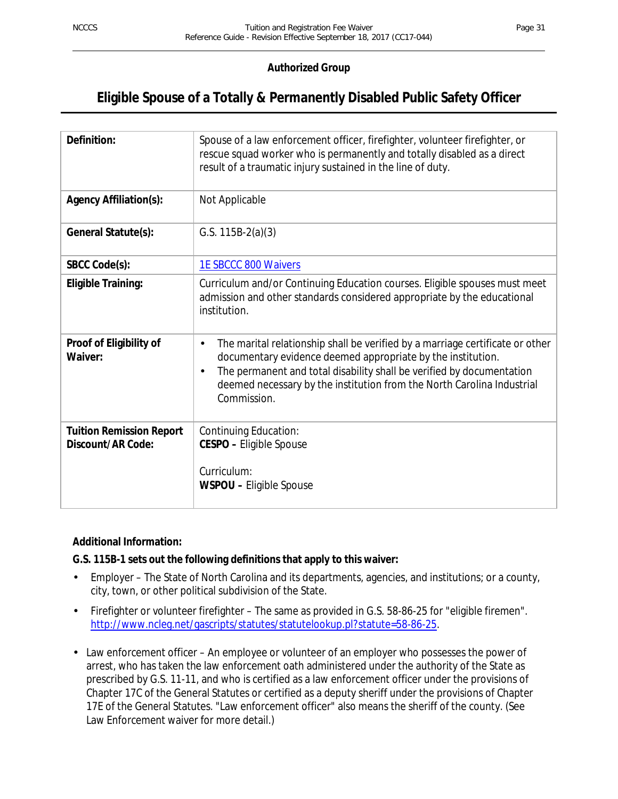## **Eligible Spouse of a Totally & Permanently Disabled Public Safety Officer**

| Definition:                                          | Spouse of a law enforcement officer, firefighter, volunteer firefighter, or<br>rescue squad worker who is permanently and totally disabled as a direct<br>result of a traumatic injury sustained in the line of duty.                                                                                                                              |
|------------------------------------------------------|----------------------------------------------------------------------------------------------------------------------------------------------------------------------------------------------------------------------------------------------------------------------------------------------------------------------------------------------------|
| <b>Agency Affiliation(s):</b>                        | Not Applicable                                                                                                                                                                                                                                                                                                                                     |
| General Statute(s):                                  | G.S. $115B-2(a)(3)$                                                                                                                                                                                                                                                                                                                                |
| SBCC Code(s):                                        | <b>1E SBCCC 800 Waivers</b>                                                                                                                                                                                                                                                                                                                        |
| <b>Eligible Training:</b>                            | Curriculum and/or Continuing Education courses. Eligible spouses must meet<br>admission and other standards considered appropriate by the educational<br>institution.                                                                                                                                                                              |
| Proof of Eligibility of<br>Waiver:                   | The marital relationship shall be verified by a marriage certificate or other<br>$\blacksquare$<br>documentary evidence deemed appropriate by the institution.<br>The permanent and total disability shall be verified by documentation<br>$\blacksquare$<br>deemed necessary by the institution from the North Carolina Industrial<br>Commission. |
| <b>Tuition Remission Report</b><br>Discount/AR Code: | Continuing Education:<br><b>CESPO - Eligible Spouse</b><br>Curriculum:<br><b>WSPOU - Eligible Spouse</b>                                                                                                                                                                                                                                           |

#### **Additional Information:**

#### **G.S. 115B-1 sets out the following definitions that apply to this waiver:**

- Employer The State of North Carolina and its departments, agencies, and institutions; or a county,  $\overline{a}$ city, town, or other political subdivision of the State.
- Firefighter or volunteer firefighter The same as provided in G.S. 58-86-25 for "eligible firemen". http://www.ncleg.net/gascripts/statutes/statutelookup.pl?statute=58-86-25.
- Law enforcement officer An employee or volunteer of an employer who possesses the power of arrest, who has taken the law enforcement oath administered under the authority of the State as prescribed by G.S. 11-11, and who is certified as a law enforcement officer under the provisions of Chapter 17C of the General Statutes or certified as a deputy sheriff under the provisions of Chapter 17E of the General Statutes. "Law enforcement officer" also means the sheriff of the county. (See Law Enforcement waiver for more detail.)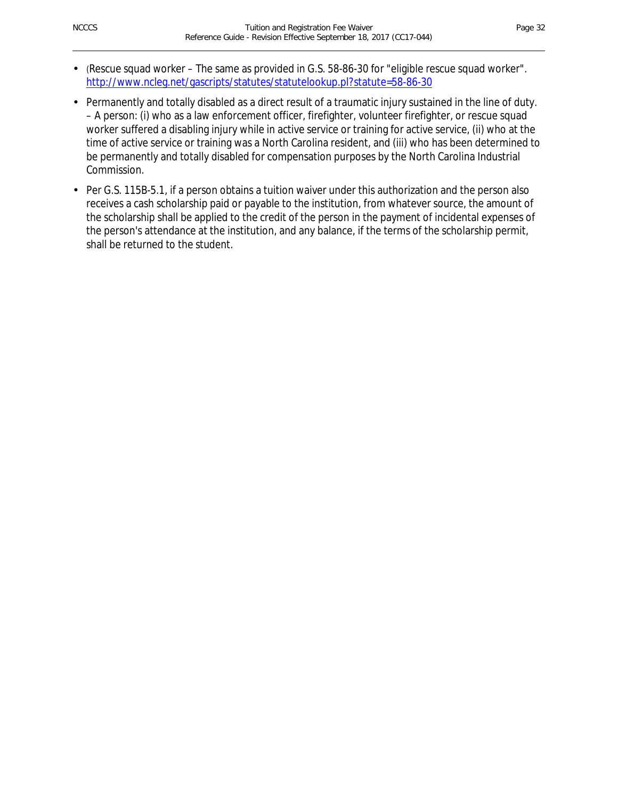- *(*Rescue squad worker The same as provided in G.S. 58-86-30 for "eligible rescue squad worker". http://www.ncleg.net/gascripts/statutes/statutelookup.pl?statute=58-86-30
- Permanently and totally disabled as a direct result of a traumatic injury sustained in the line of duty. – A person: (i) who as a law enforcement officer, firefighter, volunteer firefighter, or rescue squad worker suffered a disabling injury while in active service or training for active service, (ii) who at the time of active service or training was a North Carolina resident, and (iii) who has been determined to be permanently and totally disabled for compensation purposes by the North Carolina Industrial Commission.
- Per G.S. 115B-5.1, if a person obtains a tuition waiver under this authorization and the person also receives a cash scholarship paid or payable to the institution, from whatever source, the amount of the scholarship shall be applied to the credit of the person in the payment of incidental expenses of the person's attendance at the institution, and any balance, if the terms of the scholarship permit, shall be returned to the student.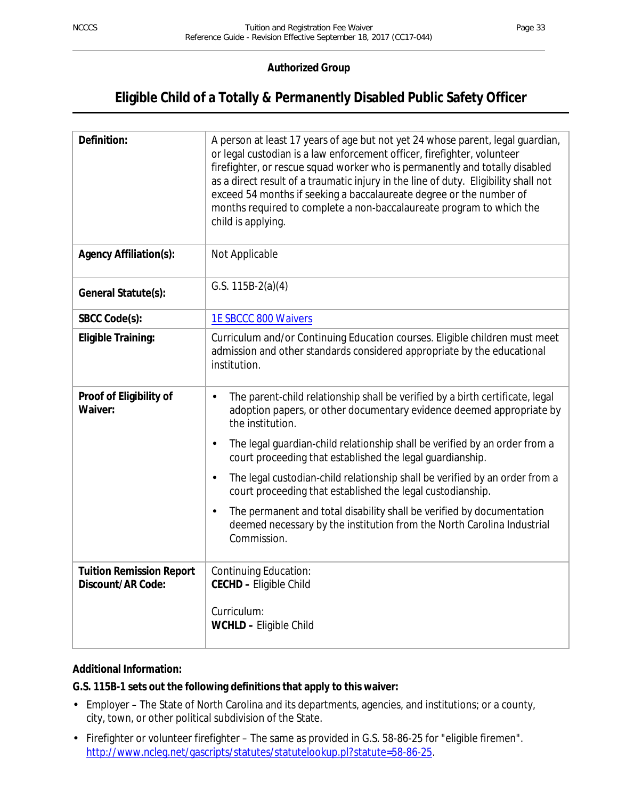## **Eligible Child of a Totally & Permanently Disabled Public Safety Officer**

| Definition:                                          | A person at least 17 years of age but not yet 24 whose parent, legal guardian,<br>or legal custodian is a law enforcement officer, firefighter, volunteer<br>firefighter, or rescue squad worker who is permanently and totally disabled<br>as a direct result of a traumatic injury in the line of duty. Eligibility shall not<br>exceed 54 months if seeking a baccalaureate degree or the number of<br>months required to complete a non-baccalaureate program to which the<br>child is applying. |  |  |
|------------------------------------------------------|------------------------------------------------------------------------------------------------------------------------------------------------------------------------------------------------------------------------------------------------------------------------------------------------------------------------------------------------------------------------------------------------------------------------------------------------------------------------------------------------------|--|--|
| Agency Affiliation(s):                               | Not Applicable                                                                                                                                                                                                                                                                                                                                                                                                                                                                                       |  |  |
| General Statute(s):                                  | G.S. $115B-2(a)(4)$                                                                                                                                                                                                                                                                                                                                                                                                                                                                                  |  |  |
| SBCC Code(s):                                        | 1E SBCCC 800 Waivers                                                                                                                                                                                                                                                                                                                                                                                                                                                                                 |  |  |
| <b>Eligible Training:</b>                            | Curriculum and/or Continuing Education courses. Eligible children must meet<br>admission and other standards considered appropriate by the educational<br>institution.                                                                                                                                                                                                                                                                                                                               |  |  |
| Proof of Eligibility of<br>Waiver:                   | The parent-child relationship shall be verified by a birth certificate, legal<br>$\blacksquare$<br>adoption papers, or other documentary evidence deemed appropriate by<br>the institution.<br>The legal guardian-child relationship shall be verified by an order from a<br>$\blacksquare$<br>court proceeding that established the legal guardianship.                                                                                                                                             |  |  |
|                                                      | The legal custodian-child relationship shall be verified by an order from a<br>$\blacksquare$<br>court proceeding that established the legal custodianship.                                                                                                                                                                                                                                                                                                                                          |  |  |
|                                                      | The permanent and total disability shall be verified by documentation<br>$\blacksquare$<br>deemed necessary by the institution from the North Carolina Industrial<br>Commission.                                                                                                                                                                                                                                                                                                                     |  |  |
| <b>Tuition Remission Report</b><br>Discount/AR Code: | Continuing Education:<br><b>CECHD - Eligible Child</b><br>Curriculum:<br>WCHLD - Eligible Child                                                                                                                                                                                                                                                                                                                                                                                                      |  |  |

## **Additional Information:**

## **G.S. 115B-1 sets out the following definitions that apply to this waiver:**

- Employer The State of North Carolina and its departments, agencies, and institutions; or a county, city, town, or other political subdivision of the State.
- Firefighter or volunteer firefighter The same as provided in G.S. 58-86-25 for "eligible firemen". http://www.ncleg.net/gascripts/statutes/statutelookup.pl?statute=58-86-25.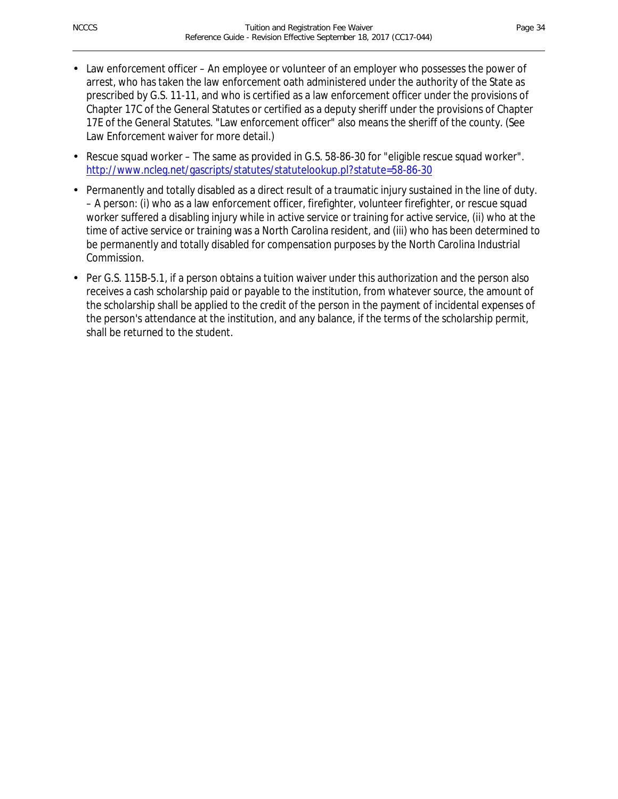- Law enforcement officer An employee or volunteer of an employer who possesses the power of arrest, who has taken the law enforcement oath administered under the authority of the State as prescribed by G.S. 11-11, and who is certified as a law enforcement officer under the provisions of Chapter 17C of the General Statutes or certified as a deputy sheriff under the provisions of Chapter 17E of the General Statutes. "Law enforcement officer" also means the sheriff of the county. (See Law Enforcement waiver for more detail.)
- Rescue squad worker The same as provided in G.S. 58-86-30 for "eligible rescue squad worker". http://www.ncleg.net/gascripts/statutes/statutelookup.pl?statute=58-86-30
- Permanently and totally disabled as a direct result of a traumatic injury sustained in the line of duty. – A person: (i) who as a law enforcement officer, firefighter, volunteer firefighter, or rescue squad worker suffered a disabling injury while in active service or training for active service, (ii) who at the time of active service or training was a North Carolina resident, and (iii) who has been determined to be permanently and totally disabled for compensation purposes by the North Carolina Industrial Commission.
- Per G.S. 115B-5.1, if a person obtains a tuition waiver under this authorization and the person also receives a cash scholarship paid or payable to the institution, from whatever source, the amount of the scholarship shall be applied to the credit of the person in the payment of incidental expenses of the person's attendance at the institution, and any balance, if the terms of the scholarship permit, shall be returned to the student.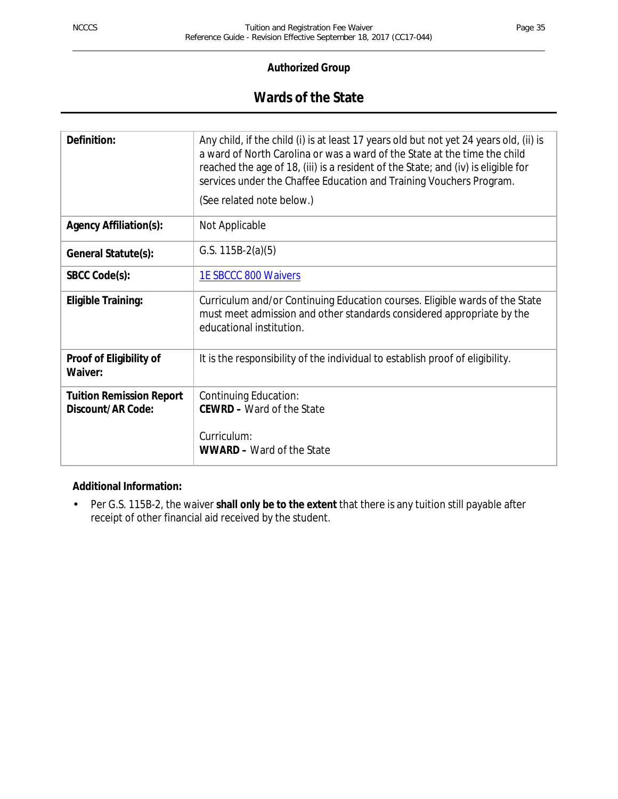## **Wards of the State**

| Any child, if the child (i) is at least 17 years old but not yet 24 years old, (ii) is<br>a ward of North Carolina or was a ward of the State at the time the child<br>reached the age of 18, (iii) is a resident of the State; and (iv) is eligible for<br>services under the Chaffee Education and Training Vouchers Program.<br>(See related note below.) |
|--------------------------------------------------------------------------------------------------------------------------------------------------------------------------------------------------------------------------------------------------------------------------------------------------------------------------------------------------------------|
| Not Applicable                                                                                                                                                                                                                                                                                                                                               |
| G.S. $115B-2(a)(5)$                                                                                                                                                                                                                                                                                                                                          |
| <b>1E SBCCC 800 Waivers</b>                                                                                                                                                                                                                                                                                                                                  |
| Curriculum and/or Continuing Education courses. Eligible wards of the State<br>must meet admission and other standards considered appropriate by the<br>educational institution.                                                                                                                                                                             |
| It is the responsibility of the individual to establish proof of eligibility.                                                                                                                                                                                                                                                                                |
| Continuing Education:<br><b>CEWRD - Ward of the State</b><br>Curriculum:<br><b>WWARD - Ward of the State</b>                                                                                                                                                                                                                                                 |
|                                                                                                                                                                                                                                                                                                                                                              |

#### **Additional Information:**

Per G.S. 115B-2, the waiver **shall only be to the extent** that there is any tuition still payable after  $\mathbf{r}$ receipt of other financial aid received by the student.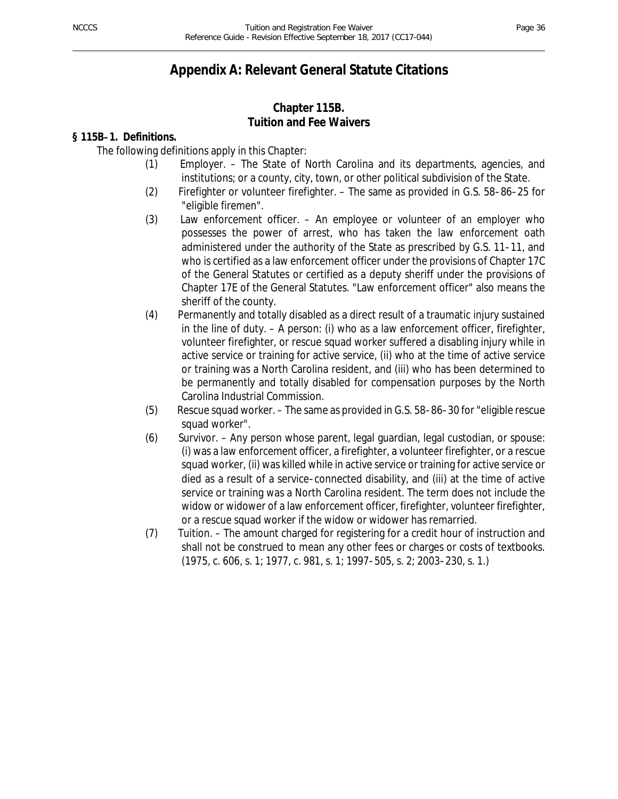## **Appendix A: Relevant General Statute Citations**

## **Chapter 115B. Tuition and Fee Waivers**

## **§ 115B**-**1. Definitions.**

The following definitions apply in this Chapter:

- (1) Employer. The State of North Carolina and its departments, agencies, and institutions; or a county, city, town, or other political subdivision of the State.
- (2) Firefighter or volunteer firefighter. The same as provided in G.S. 58-86-25 for "eligible firemen".
- (3) Law enforcement officer. An employee or volunteer of an employer who possesses the power of arrest, who has taken the law enforcement oath administered under the authority of the State as prescribed by G.S. 11-11, and who is certified as a law enforcement officer under the provisions of Chapter 17C of the General Statutes or certified as a deputy sheriff under the provisions of Chapter 17E of the General Statutes. "Law enforcement officer" also means the sheriff of the county.
- (4) Permanently and totally disabled as a direct result of a traumatic injury sustained in the line of duty. – A person: (i) who as a law enforcement officer, firefighter, volunteer firefighter, or rescue squad worker suffered a disabling injury while in active service or training for active service, (ii) who at the time of active service or training was a North Carolina resident, and (iii) who has been determined to be permanently and totally disabled for compensation purposes by the North Carolina Industrial Commission.
- (5) Rescue squad worker. The same as provided in G.S. 58-86-30 for "eligible rescue squad worker".
- (6) Survivor. Any person whose parent, legal guardian, legal custodian, or spouse: (i) was a law enforcement officer, a firefighter, a volunteer firefighter, or a rescue squad worker, (ii) was killed while in active service or training for active service or died as a result of a service-connected disability, and (iii) at the time of active service or training was a North Carolina resident. The term does not include the widow or widower of a law enforcement officer, firefighter, volunteer firefighter, or a rescue squad worker if the widow or widower has remarried.
- (7) Tuition. The amount charged for registering for a credit hour of instruction and shall not be construed to mean any other fees or charges or costs of textbooks. (1975, c. 606, s. 1; 1977, c. 981, s. 1; 1997-505, s. 2; 2003-230, s. 1.)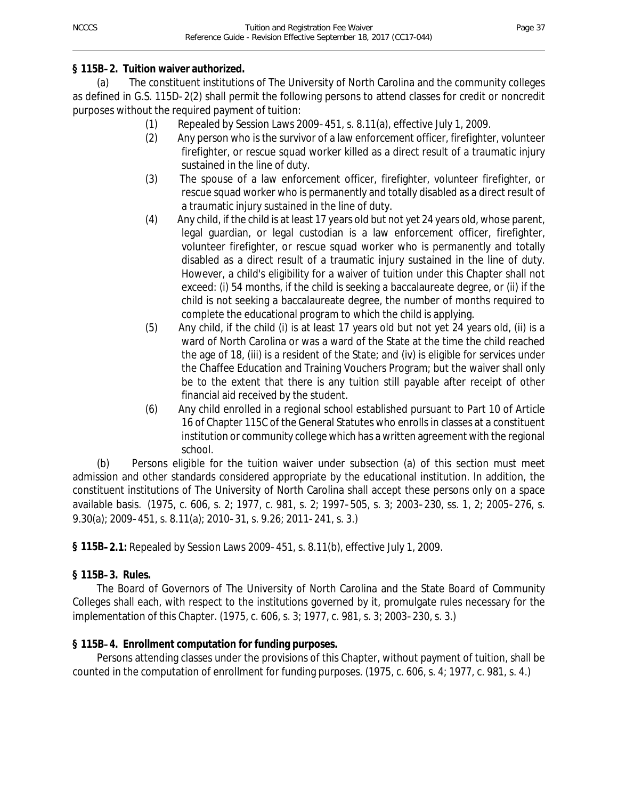## **§ 115B**-**2. Tuition waiver authorized.**

(a) The constituent institutions of The University of North Carolina and the community colleges as defined in G.S. 115D-2(2) shall permit the following persons to attend classes for credit or noncredit purposes without the required payment of tuition:

- (1) Repealed by Session Laws 2009-451, s. 8.11(a), effective July 1, 2009.
- (2) Any person who is the survivor of a law enforcement officer, firefighter, volunteer firefighter, or rescue squad worker killed as a direct result of a traumatic injury sustained in the line of duty.
- (3) The spouse of a law enforcement officer, firefighter, volunteer firefighter, or rescue squad worker who is permanently and totally disabled as a direct result of a traumatic injury sustained in the line of duty.
- (4) Any child, if the child is at least 17 years old but not yet 24 years old, whose parent, legal guardian, or legal custodian is a law enforcement officer, firefighter, volunteer firefighter, or rescue squad worker who is permanently and totally disabled as a direct result of a traumatic injury sustained in the line of duty. However, a child's eligibility for a waiver of tuition under this Chapter shall not exceed: (i) 54 months, if the child is seeking a baccalaureate degree, or (ii) if the child is not seeking a baccalaureate degree, the number of months required to complete the educational program to which the child is applying.
- (5) Any child, if the child (i) is at least 17 years old but not yet 24 years old, (ii) is a ward of North Carolina or was a ward of the State at the time the child reached the age of 18, (iii) is a resident of the State; and (iv) is eligible for services under the Chaffee Education and Training Vouchers Program; but the waiver shall only be to the extent that there is any tuition still payable after receipt of other financial aid received by the student.
- (6) Any child enrolled in a regional school established pursuant to Part 10 of Article 16 of Chapter 115C of the General Statutes who enrolls in classes at a constituent institution or community college which has a written agreement with the regional school.

(b) Persons eligible for the tuition waiver under subsection (a) of this section must meet admission and other standards considered appropriate by the educational institution. In addition, the constituent institutions of The University of North Carolina shall accept these persons only on a space available basis. (1975, c. 606, s. 2; 1977, c. 981, s. 2; 1997-505, s. 3; 2003-230, ss. 1, 2; 2005-276, s. 9.30(a); 2009-451, s. 8.11(a); 2010-31, s. 9.26; 2011-241, s. 3.)

**§ 115B**-**2.1:** Repealed by Session Laws 2009-451, s. 8.11(b), effective July 1, 2009.

## **§ 115B**-**3. Rules.**

The Board of Governors of The University of North Carolina and the State Board of Community Colleges shall each, with respect to the institutions governed by it, promulgate rules necessary for the implementation of this Chapter. (1975, c. 606, s. 3; 1977, c. 981, s. 3; 2003-230, s. 3.)

## **§ 115B**-**4. Enrollment computation for funding purposes.**

Persons attending classes under the provisions of this Chapter, without payment of tuition, shall be counted in the computation of enrollment for funding purposes. (1975, c. 606, s. 4; 1977, c. 981, s. 4.)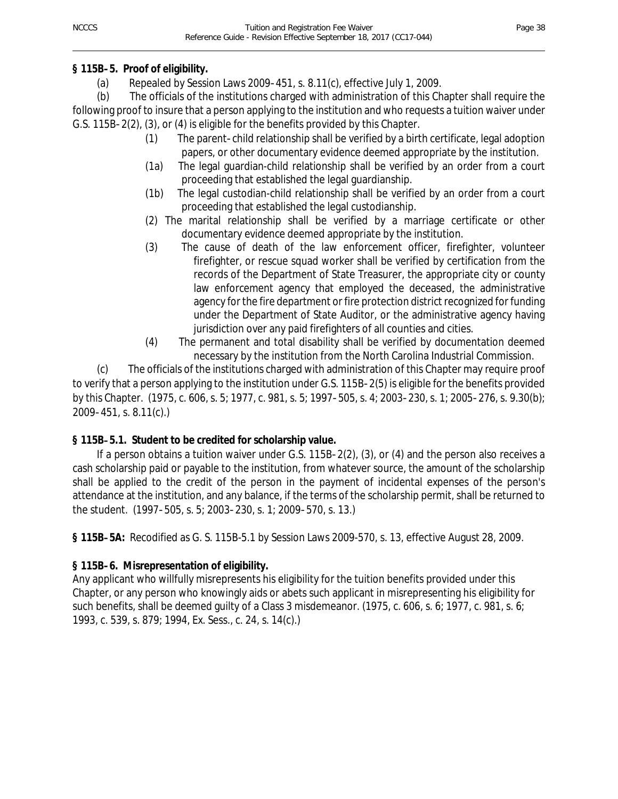## **§ 115B**-**5. Proof of eligibility.**

(a) Repealed by Session Laws 2009-451, s. 8.11(c), effective July 1, 2009.

(b) The officials of the institutions charged with administration of this Chapter shall require the following proof to insure that a person applying to the institution and who requests a tuition waiver under G.S. 115B-2(2), (3), or (4) is eligible for the benefits provided by this Chapter.

- (1) The parent-child relationship shall be verified by a birth certificate, legal adoption papers, or other documentary evidence deemed appropriate by the institution.
- (1a) The legal guardian-child relationship shall be verified by an order from a court proceeding that established the legal guardianship.
- (1b) The legal custodian-child relationship shall be verified by an order from a court proceeding that established the legal custodianship.
- (2) The marital relationship shall be verified by a marriage certificate or other documentary evidence deemed appropriate by the institution.
- (3) The cause of death of the law enforcement officer, firefighter, volunteer firefighter, or rescue squad worker shall be verified by certification from the records of the Department of State Treasurer, the appropriate city or county law enforcement agency that employed the deceased, the administrative agency for the fire department or fire protection district recognized for funding under the Department of State Auditor, or the administrative agency having jurisdiction over any paid firefighters of all counties and cities.
- (4) The permanent and total disability shall be verified by documentation deemed necessary by the institution from the North Carolina Industrial Commission.

(c) The officials of the institutions charged with administration of this Chapter may require proof to verify that a person applying to the institution under G.S. 115B-2(5) is eligible for the benefits provided by this Chapter. (1975, c. 606, s. 5; 1977, c. 981, s. 5; 1997-505, s. 4; 2003-230, s. 1; 2005-276, s. 9.30(b); 2009-451, s. 8.11(c).)

## **§ 115B**-**5.1. Student to be credited for scholarship value.**

If a person obtains a tuition waiver under G.S. 115B-2(2), (3), or (4) and the person also receives a cash scholarship paid or payable to the institution, from whatever source, the amount of the scholarship shall be applied to the credit of the person in the payment of incidental expenses of the person's attendance at the institution, and any balance, if the terms of the scholarship permit, shall be returned to the student. (1997-505, s. 5; 2003-230, s. 1; 2009-570, s. 13.)

**§ 115B**-**5A:** Recodified as G. S. 115B-5.1 by Session Laws 2009-570, s. 13, effective August 28, 2009.

## **§ 115B**-**6. Misrepresentation of eligibility.**

Any applicant who willfully misrepresents his eligibility for the tuition benefits provided under this Chapter, or any person who knowingly aids or abets such applicant in misrepresenting his eligibility for such benefits, shall be deemed guilty of a Class 3 misdemeanor. (1975, c. 606, s. 6; 1977, c. 981, s. 6; 1993, c. 539, s. 879; 1994, Ex. Sess., c. 24, s. 14(c).)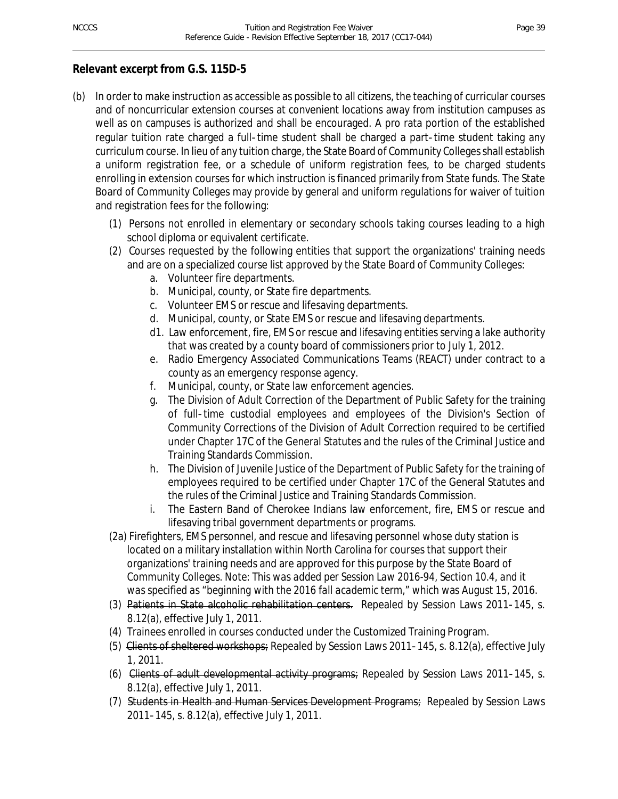## **Relevant excerpt from G.S. 115D-5**

- (b) In order to make instruction as accessible as possible to all citizens, the teaching of curricular courses and of noncurricular extension courses at convenient locations away from institution campuses as well as on campuses is authorized and shall be encouraged. A pro rata portion of the established regular tuition rate charged a full-time student shall be charged a part-time student taking any curriculum course. In lieu of any tuition charge, the State Board of Community Colleges shall establish a uniform registration fee, or a schedule of uniform registration fees, to be charged students enrolling in extension courses for which instruction is financed primarily from State funds. The State Board of Community Colleges may provide by general and uniform regulations for waiver of tuition and registration fees for the following:
	- (1) Persons not enrolled in elementary or secondary schools taking courses leading to a high school diploma or equivalent certificate.
	- (2) Courses requested by the following entities that support the organizations' training needs and are on a specialized course list approved by the State Board of Community Colleges:
		- a. Volunteer fire departments.
		- b. Municipal, county, or State fire departments.
		- c. Volunteer EMS or rescue and lifesaving departments.
		- d. Municipal, county, or State EMS or rescue and lifesaving departments.
		- d1. Law enforcement, fire, EMS or rescue and lifesaving entities serving a lake authority that was created by a county board of commissioners prior to July 1, 2012.
		- e. Radio Emergency Associated Communications Teams (REACT) under contract to a county as an emergency response agency.
		- f. Municipal, county, or State law enforcement agencies.
		- g. The Division of Adult Correction of the Department of Public Safety for the training of full-time custodial employees and employees of the Division's Section of Community Corrections of the Division of Adult Correction required to be certified under Chapter 17C of the General Statutes and the rules of the Criminal Justice and Training Standards Commission.
		- h. The Division of Juvenile Justice of the Department of Public Safety for the training of employees required to be certified under Chapter 17C of the General Statutes and the rules of the Criminal Justice and Training Standards Commission.
		- i. The Eastern Band of Cherokee Indians law enforcement, fire, EMS or rescue and lifesaving tribal government departments or programs.
	- (2a) Firefighters, EMS personnel, and rescue and lifesaving personnel whose duty station is located on a military installation within North Carolina for courses that support their organizations' training needs and are approved for this purpose by the State Board of Community Colleges. *Note: This was added per Session Law 2016-94, Section 10.4, and it was specified as "beginning with the 2016 fall academic term,*" which was August 15, 2016.
	- (3) Patients in State alcoholic rehabilitation centers. Repealed by Session Laws 2011-145, s. 8.12(a), effective July 1, 2011.
	- (4) Trainees enrolled in courses conducted under the Customized Training Program.
	- (5) Clients of sheltered workshops; Repealed by Session Laws 2011-145, s. 8.12(a), effective July 1, 2011.
	- (6) Clients of adult developmental activity programs; Repealed by Session Laws 2011-145, s. 8.12(a), effective July 1, 2011.
	- (7) Students in Health and Human Services Development Programs; Repealed by Session Laws 2011-145, s. 8.12(a), effective July 1, 2011.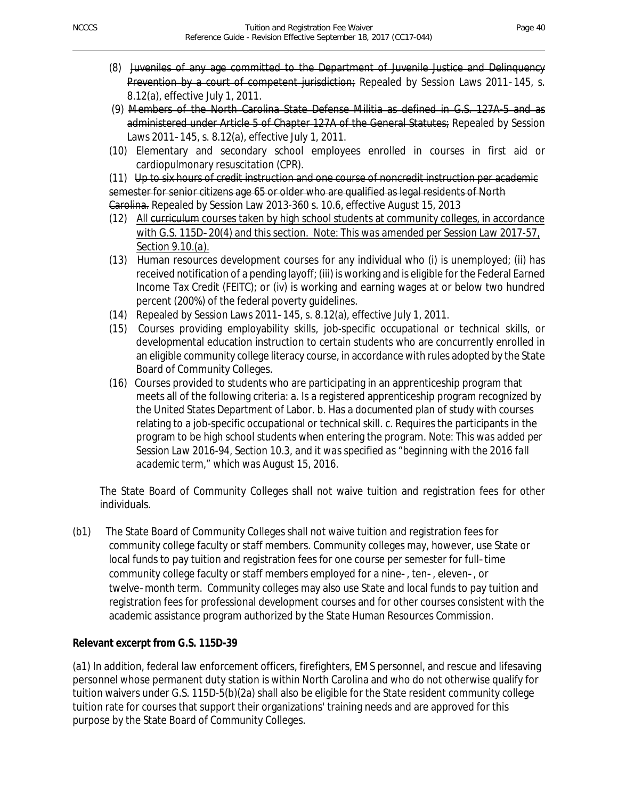- (8) Juveniles of any age committed to the Department of Juvenile Justice and Delinquency Prevention by a court of competent jurisdiction; Repealed by Session Laws 2011-145, s. 8.12(a), effective July 1, 2011.
- (9) Members of the North Carolina State Defense Militia as defined in G.S. 127A-5 and as administered under Article 5 of Chapter 127A of the General Statutes; Repealed by Session Laws 2011-145, s. 8.12(a), effective July 1, 2011.
- (10) Elementary and secondary school employees enrolled in courses in first aid or cardiopulmonary resuscitation (CPR).

(11) Up to six hours of credit instruction and one course of noncredit instruction per academic semester for senior citizens age 65 or older who are qualified as legal residents of North Garolina. Repealed by Session Law 2013-360 s. 10.6, effective August 15, 2013

- (12) All curriculum courses taken by high school students at community colleges, in accordance with G.S. 115D-20(4) and this section. *Note: This was amended per Session Law 2017-57, Section 9.10.(a).*
- (13) Human resources development courses for any individual who (i) is unemployed; (ii) has received notification of a pending layoff; (iii) is working and is eligible for the Federal Earned Income Tax Credit (FEITC); or (iv) is working and earning wages at or below two hundred percent (200%) of the federal poverty guidelines.
- (14) Repealed by Session Laws 2011-145, s. 8.12(a), effective July 1, 2011.
- (15) Courses providing employability skills, job-specific occupational or technical skills, or developmental education instruction to certain students who are concurrently enrolled in an eligible community college literacy course, in accordance with rules adopted by the State Board of Community Colleges.
- (16) Courses provided to students who are participating in an apprenticeship program that meets all of the following criteria: a. Is a registered apprenticeship program recognized by the United States Department of Labor. b. Has a documented plan of study with courses relating to a job-specific occupational or technical skill. c. Requires the participants in the program to be high school students when entering the program*. Note: This was added per Session Law 2016-94, Section 10.3, and it was specified as "beginning with the 2016 fall academic term," which was August 15, 2016.*

The State Board of Community Colleges shall not waive tuition and registration fees for other individuals.

(b1) The State Board of Community Colleges shall not waive tuition and registration fees for community college faculty or staff members. Community colleges may, however, use State or local funds to pay tuition and registration fees for one course per semester for full-time community college faculty or staff members employed for a nine-, ten-, eleven-, or twelve-month term. Community colleges may also use State and local funds to pay tuition and registration fees for professional development courses and for other courses consistent with the academic assistance program authorized by the State Human Resources Commission.

## **Relevant excerpt from G.S. 115D-39**

(a1) In addition, federal law enforcement officers, firefighters, EMS personnel, and rescue and lifesaving personnel whose permanent duty station is within North Carolina and who do not otherwise qualify for tuition waivers under G.S. 115D-5(b)(2a) shall also be eligible for the State resident community college tuition rate for courses that support their organizations' training needs and are approved for this purpose by the State Board of Community Colleges.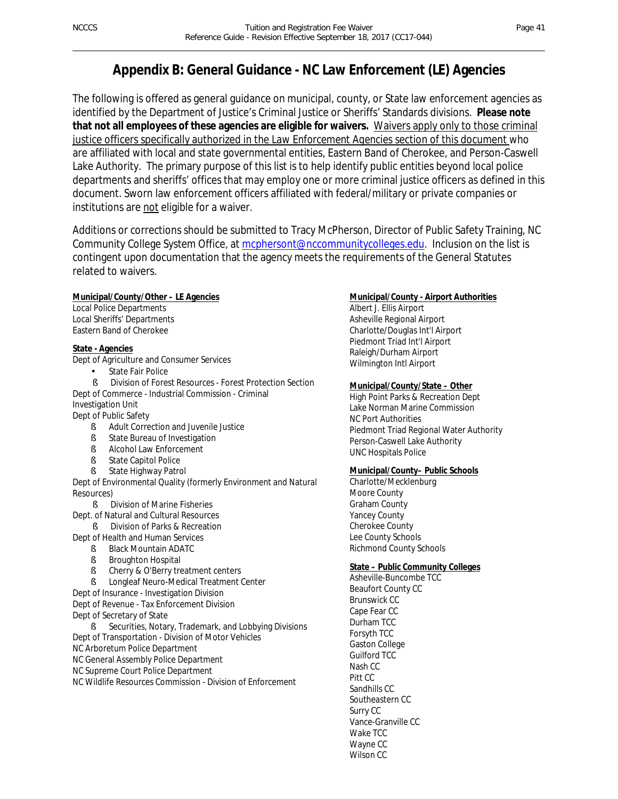## **Appendix B: General Guidance - NC Law Enforcement (LE) Agencies**

The following is offered as general guidance on municipal, county, or State law enforcement agencies as identified by the Department of Justice's Criminal Justice or Sheriffs' Standards divisions. **Please note that not all employees of these agencies are eligible for waivers.** Waivers apply only to those criminal justice officers specifically authorized in the *Law Enforcement Agencies* section of this document who are affiliated with local and state governmental entities, Eastern Band of Cherokee, and Person-Caswell Lake Authority. The primary purpose of this list is to help identify public entities beyond local police departments and sheriffs' offices that may employ one or more criminal justice officers as defined in this document. Sworn law enforcement officers affiliated with federal/military or private companies or institutions are not eligible for a waiver.

Additions or corrections should be submitted to Tracy McPherson, Director of Public Safety Training, NC Community College System Office, at mcphersont@nccommunitycolleges.edu. Inclusion on the list is contingent upon documentation that the agency meets the requirements of the General Statutes related to waivers.

#### **Municipal/County/Other – LE Agencies**

Local Police Departments Local Sheriffs' Departments Eastern Band of Cherokee

#### **State - Agencies**

Dept of Agriculture and Consumer Services

State Fair Police

§ Division of Forest Resources - Forest Protection Section Dept of Commerce - Industrial Commission - Criminal Investigation Unit

Dept of Public Safety

- § Adult Correction and Juvenile Justice
- § State Bureau of Investigation
- § Alcohol Law Enforcement
- § State Capitol Police
- § State Highway Patrol

Dept of Environmental Quality (formerly Environment and Natural Resources)

**§** Division of Marine Fisheries

- Dept. of Natural and Cultural Resources
	- **§** Division of Parks & Recreation
- Dept of Health and Human Services
	- § Black Mountain ADATC
	- § Broughton Hospital
	- § Cherry & O'Berry treatment centers
	- **§** Longleaf Neuro-Medical Treatment Center

Dept of Insurance - Investigation Division

Dept of Revenue - Tax Enforcement Division

Dept of Secretary of State

§ Securities, Notary, Trademark, and Lobbying Divisions Dept of Transportation - Division of Motor Vehicles NC Arboretum Police Department

NC General Assembly Police Department

NC Supreme Court Police Department

NC Wildlife Resources Commission - Division of Enforcement

#### **Municipal/County - Airport Authorities**

Albert J. Ellis Airport Asheville Regional Airport Charlotte/Douglas Int'l Airport Piedmont Triad Int'l Airport Raleigh/Durham Airport Wilmington Intl Airport

#### **Municipal/County/State – Other**

High Point Parks & Recreation Dept Lake Norman Marine Commission NC Port Authorities Piedmont Triad Regional Water Authority Person-Caswell Lake Authority UNC Hospitals Police

#### **Municipal/County– Public Schools**

Charlotte/Mecklenburg Moore County Graham County Yancey County Cherokee County Lee County Schools Richmond County Schools

#### **State – Public Community Colleges**

Asheville-Buncombe TCC Beaufort County CC Brunswick CC Cape Fear CC Durham TCC Forsyth TCC Gaston College Guilford TCC Nash CC Pitt CC Sandhills CC Southeastern CC Surry CC Vance-Granville CC Wake TCC Wayne CC Wilson CC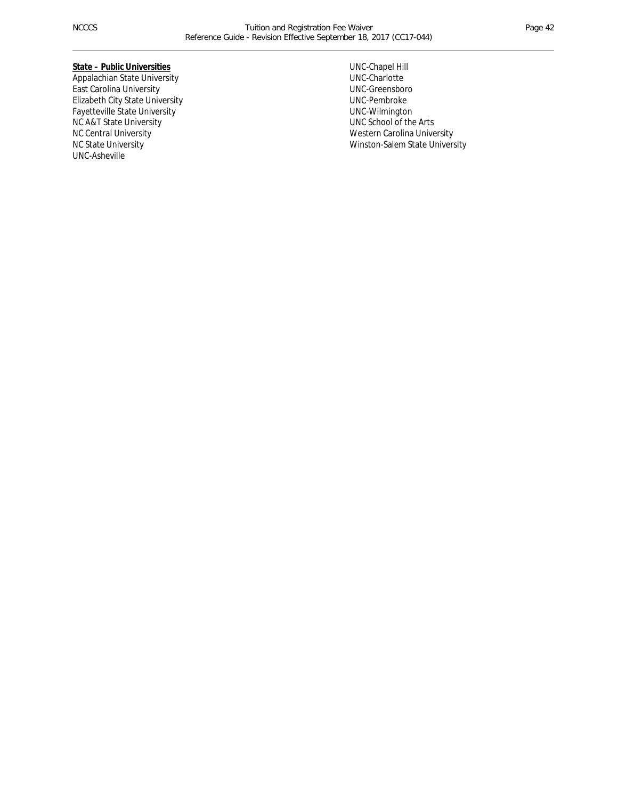#### **State – Public Universities**

Appalachian State University East Carolina University Elizabeth City State University Fayetteville State University NC A&T State University NC Central University NC State University UNC-Asheville

UNC-Chapel Hill UNC-Charlotte UNC-Greensboro UNC-Pembroke UNC-Wilmington UNC School of the Arts Western Carolina University Winston-Salem State University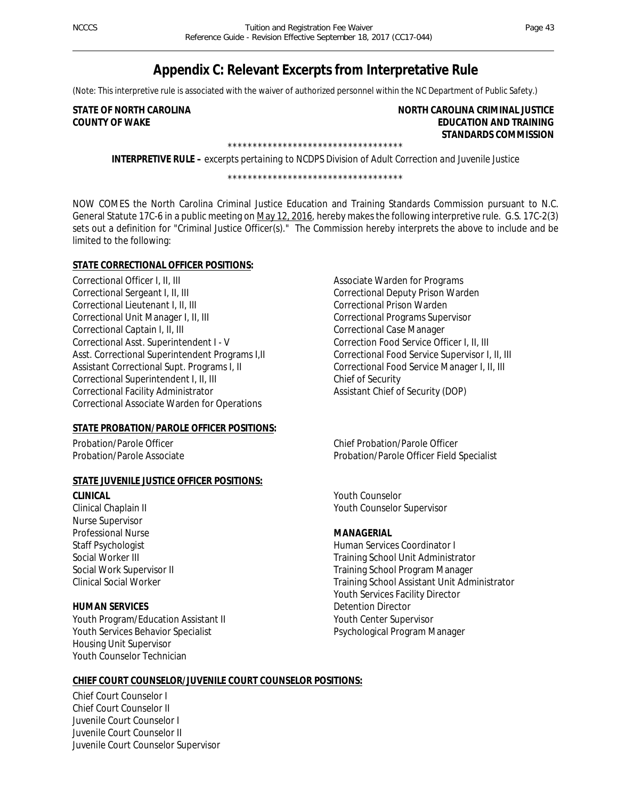## **Appendix C: Relevant Excerpts from Interpretative Rule**

(Note: This interpretive rule is associated with the waiver of authorized personnel within the NC Department of Public Safety.)

#### **STATE OF NORTH CAROLINA NORTH CAROLINA CRIMINAL JUSTICE COUNTY OF WAKE EDUCATION AND TRAINING STANDARDS COMMISSION**  \*\*\*\*\*\*\*\*\*\*\*\*\*\*\*\*\*\*\*\*\*\*\*\*\*\*\*\*\*\*\*\*\*\*\*

**INTERPRETIVE RULE –** *excerpts pertaining to NCDPS Division of Adult Correction and Juvenile Justice*

\*\*\*\*\*\*\*\*\*\*\*\*\*\*\*\*\*\*\*\*\*\*\*\*\*\*\*\*\*\*\*\*\*\*\*

NOW COMES the North Carolina Criminal Justice Education and Training Standards Commission pursuant to N.C. General Statute 17C-6 in a public meeting on May 12, 2016, hereby makes the following interpretive rule. G.S. 17C-2(3) sets out a definition for "Criminal Justice Officer(s)." The Commission hereby interprets the above to include and be limited to the following:

#### **STATE CORRECTIONAL OFFICER POSITIONS:**

Correctional Officer I, II, III Correctional Sergeant I, II, III Correctional Lieutenant I, II, III Correctional Unit Manager I, II, III Correctional Captain I, II, III Correctional Asst. Superintendent I - V Asst. Correctional Superintendent Programs I,II Assistant Correctional Supt. Programs I, II Correctional Superintendent I, II, III Correctional Facility Administrator Correctional Associate Warden for Operations

#### **STATE PROBATION/PAROLE OFFICER POSITIONS:**

Probation/Parole Officer Probation/Parole Associate

#### **STATE JUVENILE JUSTICE OFFICER POSITIONS:**

*CLINICAL* Clinical Chaplain II Nurse Supervisor Professional Nurse Staff Psychologist Social Worker III Social Work Supervisor II

#### *HUMAN SERVICES*

Clinical Social Worker

Youth Program/Education Assistant II Youth Services Behavior Specialist Housing Unit Supervisor Youth Counselor Technician

Associate Warden for Programs Correctional Deputy Prison Warden Correctional Prison Warden Correctional Programs Supervisor Correctional Case Manager Correction Food Service Officer I, II, III Correctional Food Service Supervisor I, II, III Correctional Food Service Manager I, II, III Chief of Security Assistant Chief of Security (DOP)

Chief Probation/Parole Officer Probation/Parole Officer Field Specialist

Youth Counselor Youth Counselor Supervisor

#### *MANAGERIAL*

Human Services Coordinator I Training School Unit Administrator Training School Program Manager Training School Assistant Unit Administrator Youth Services Facility Director Detention Director Youth Center Supervisor Psychological Program Manager

#### **CHIEF COURT COUNSELOR/JUVENILE COURT COUNSELOR POSITIONS:**

Chief Court Counselor I Chief Court Counselor II Juvenile Court Counselor I Juvenile Court Counselor II Juvenile Court Counselor Supervisor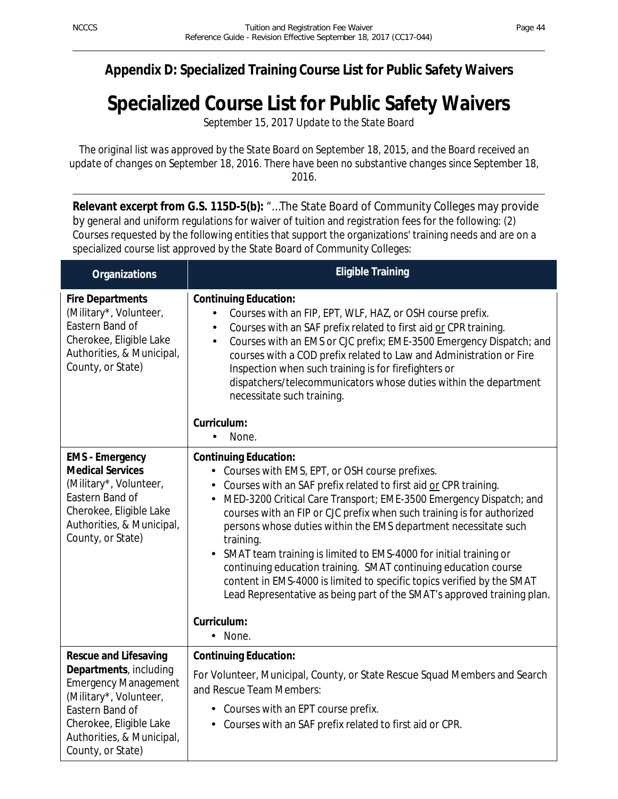## **Appendix D: Specialized Training Course List for Public Safety Waivers**

## **Specialized Course List for Public Safety Waivers**

*September 15, 2017 Update to the State Board*

*The original list was approved by the State Board on September 18, 2015, and the Board received an update of changes on September 18, 2016. There have been no substantive changes since September 18, 2016.* 

**Relevant excerpt from G.S. 115D-5(b):** "…The State Board of Community Colleges may provide by general and uniform regulations for waiver of tuition and registration fees for the following: (2) Courses requested by the following entities that support the organizations' training needs and are on a specialized course list approved by the State Board of Community Colleges:

| <b>Organizations</b>                                                                                                                                                                                            | <b>Eligible Training</b>                                                                                                                                                                                                                                                                                                                                                                                                                                                                                                                                                                                                                                                                                      |
|-----------------------------------------------------------------------------------------------------------------------------------------------------------------------------------------------------------------|---------------------------------------------------------------------------------------------------------------------------------------------------------------------------------------------------------------------------------------------------------------------------------------------------------------------------------------------------------------------------------------------------------------------------------------------------------------------------------------------------------------------------------------------------------------------------------------------------------------------------------------------------------------------------------------------------------------|
| <b>Fire Departments</b><br>(Military*, Volunteer,<br>Eastern Band of<br>Cherokee, Eligible Lake<br>Authorities, & Municipal,<br>County, or State)                                                               | <b>Continuing Education:</b><br>Courses with an FIP, EPT, WLF, HAZ, or OSH course prefix.<br>ä,<br>Courses with an SAF prefix related to first aid or CPR training.<br>Courses with an EMS or CJC prefix; EME-3500 Emergency Dispatch; and<br>×,<br>courses with a COD prefix related to Law and Administration or Fire<br>Inspection when such training is for firefighters or<br>dispatchers/telecommunicators whose duties within the department<br>necessitate such training.                                                                                                                                                                                                                             |
|                                                                                                                                                                                                                 | Curriculum:<br>None.                                                                                                                                                                                                                                                                                                                                                                                                                                                                                                                                                                                                                                                                                          |
| <b>EMS</b> - Emergency<br><b>Medical Services</b><br>(Military*, Volunteer,<br>Eastern Band of<br>Cherokee, Eligible Lake<br>Authorities, & Municipal,<br>County, or State)                                     | <b>Continuing Education:</b><br>Courses with EMS, EPT, or OSH course prefixes.<br>¥.<br>Courses with an SAF prefix related to first aid or CPR training.<br>MED-3200 Critical Care Transport; EME-3500 Emergency Dispatch; and<br>courses with an FIP or CJC prefix when such training is for authorized<br>persons whose duties within the EMS department necessitate such<br>training.<br>SMAT team training is limited to EMS-4000 for initial training or<br>continuing education training. SMAT continuing education course<br>content in EMS-4000 is limited to specific topics verified by the SMAT<br>Lead Representative as being part of the SMAT's approved training plan.<br>Curriculum:<br>None. |
| <b>Rescue and Lifesaving</b><br>Departments, including<br><b>Emergency Management</b><br>(Military*, Volunteer,<br>Eastern Band of<br>Cherokee, Eligible Lake<br>Authorities, & Municipal,<br>County, or State) | <b>Continuing Education:</b><br>For Volunteer, Municipal, County, or State Rescue Squad Members and Search<br>and Rescue Team Members:<br>Courses with an EPT course prefix.<br>Courses with an SAF prefix related to first aid or CPR.<br>$\sim$                                                                                                                                                                                                                                                                                                                                                                                                                                                             |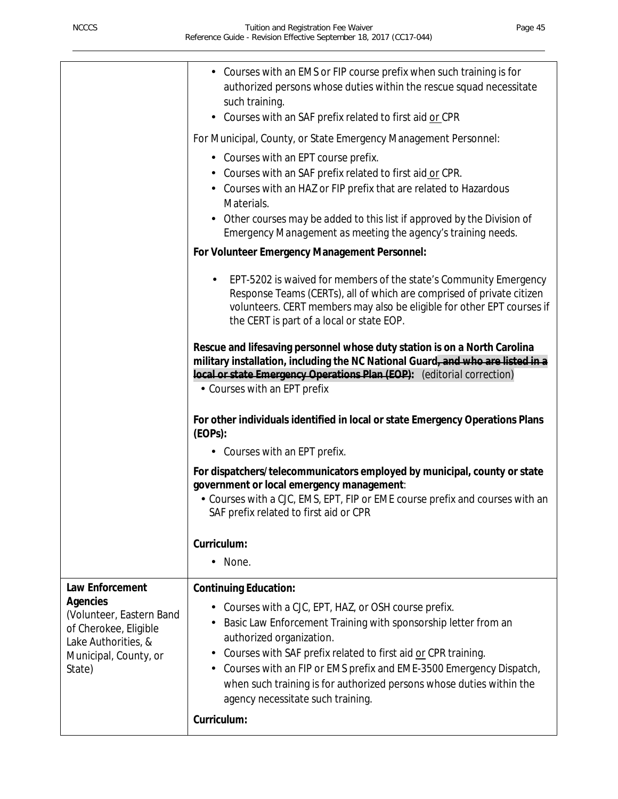| Courses with an EMS or FIP course prefix when such training is for<br>authorized persons whose duties within the rescue squad necessitate<br>such training.                                                                                                           |  |
|-----------------------------------------------------------------------------------------------------------------------------------------------------------------------------------------------------------------------------------------------------------------------|--|
| Courses with an SAF prefix related to first aid or CPR<br>×.                                                                                                                                                                                                          |  |
| For Municipal, County, or State Emergency Management Personnel:                                                                                                                                                                                                       |  |
| • Courses with an EPT course prefix.                                                                                                                                                                                                                                  |  |
| Courses with an SAF prefix related to first aid or CPR.<br>Courses with an HAZ or FIP prefix that are related to Hazardous<br>Materials.                                                                                                                              |  |
| Other courses may be added to this list if approved by the Division of<br>Emergency Management as meeting the agency's training needs.                                                                                                                                |  |
| For Volunteer Emergency Management Personnel:                                                                                                                                                                                                                         |  |
| EPT-5202 is waived for members of the state's Community Emergency<br>Response Teams (CERTs), all of which are comprised of private citizen<br>volunteers. CERT members may also be eligible for other EPT courses if<br>the CERT is part of a local or state EOP.     |  |
| Rescue and lifesaving personnel whose duty station is on a North Carolina<br>military installation, including the NC National Guard-and who are listed in a<br>local or state Emergency Operations Plan (EOP): (editorial correction)<br>• Courses with an EPT prefix |  |
| For other individuals identified in local or state Emergency Operations Plans<br>(EDPs):                                                                                                                                                                              |  |
| - Courses with an EPT prefix.                                                                                                                                                                                                                                         |  |
| For dispatchers/telecommunicators employed by municipal, county or state<br>government or local emergency management:<br>- Courses with a CJC, EMS, EPT, FIP or EME course prefix and courses with an<br>SAF prefix related to first aid or CPR                       |  |
| Curriculum:                                                                                                                                                                                                                                                           |  |
| None.                                                                                                                                                                                                                                                                 |  |
| Law Enforcement<br><b>Continuing Education:</b>                                                                                                                                                                                                                       |  |
| <b>Agencies</b><br>Courses with a CJC, EPT, HAZ, or OSH course prefix.<br>(Volunteer, Eastern Band                                                                                                                                                                    |  |
| Basic Law Enforcement Training with sponsorship letter from an<br>of Cherokee, Eligible                                                                                                                                                                               |  |
| authorized organization.<br>Lake Authorities, &<br>Courses with SAF prefix related to first aid or CPR training.<br>Municipal, County, or<br>$\blacksquare$                                                                                                           |  |
| Courses with an FIP or EMS prefix and EME-3500 Emergency Dispatch,<br>State)<br>when such training is for authorized persons whose duties within the<br>agency necessitate such training.                                                                             |  |
| Curriculum:                                                                                                                                                                                                                                                           |  |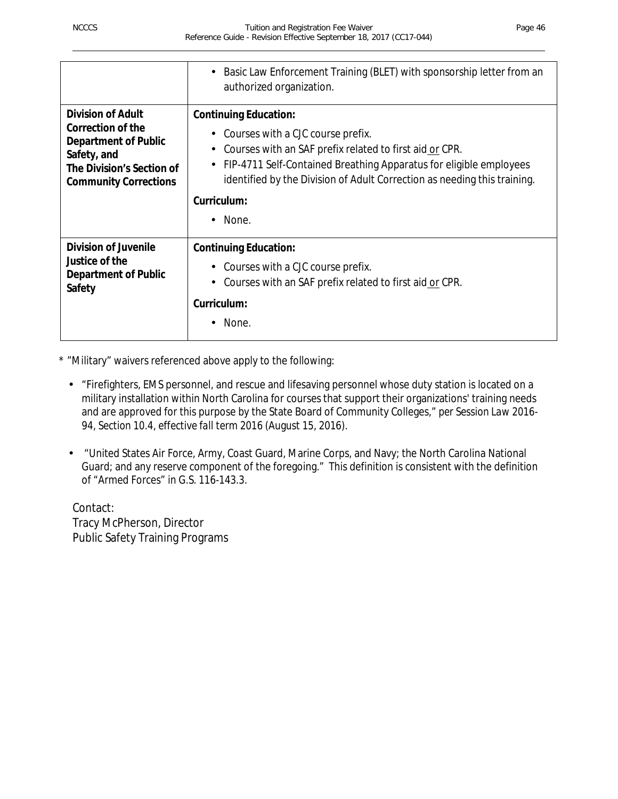|                                                                                                                                                          | Basic Law Enforcement Training (BLET) with sponsorship letter from an<br>authorized organization.                                                                                                                                                                                                                                                    |
|----------------------------------------------------------------------------------------------------------------------------------------------------------|------------------------------------------------------------------------------------------------------------------------------------------------------------------------------------------------------------------------------------------------------------------------------------------------------------------------------------------------------|
| <b>Division of Adult</b><br>Correction of the<br><b>Department of Public</b><br>Safety, and<br>The Division's Section of<br><b>Community Corrections</b> | <b>Continuing Education:</b><br>Courses with a CJC course prefix.<br>$\sim$<br>Courses with an SAF prefix related to first aid or CPR.<br>$\blacksquare$<br>FIP-4711 Self-Contained Breathing Apparatus for eligible employees<br>$\blacksquare$<br>identified by the Division of Adult Correction as needing this training.<br>Curriculum:<br>None. |
| <b>Division of Juvenile</b><br>Justice of the<br><b>Department of Public</b><br>Safety                                                                   | <b>Continuing Education:</b><br>Courses with a CJC course prefix.<br>Courses with an SAF prefix related to first aid or CPR.<br>Curriculum:<br>None.                                                                                                                                                                                                 |

\* "Military" waivers referenced above apply to the following:

- $\mathbb{Z}^2$ "Firefighters, EMS personnel, and rescue and lifesaving personnel whose duty station is located on a military installation within North Carolina for courses that support their organizations' training needs and are approved for this purpose by the State Board of Community Colleges," *per Session Law 2016- 94, Section 10.4, effective fall term 2016 (*August 15, 2016).
- "United States Air Force, Army, Coast Guard, Marine Corps, and Navy; the North Carolina National ä, Guard; and any reserve component of the foregoing." This definition is consistent with the definition of "Armed Forces" in G.S. 116-143.3.

Contact: Tracy McPherson, Director Public Safety Training Programs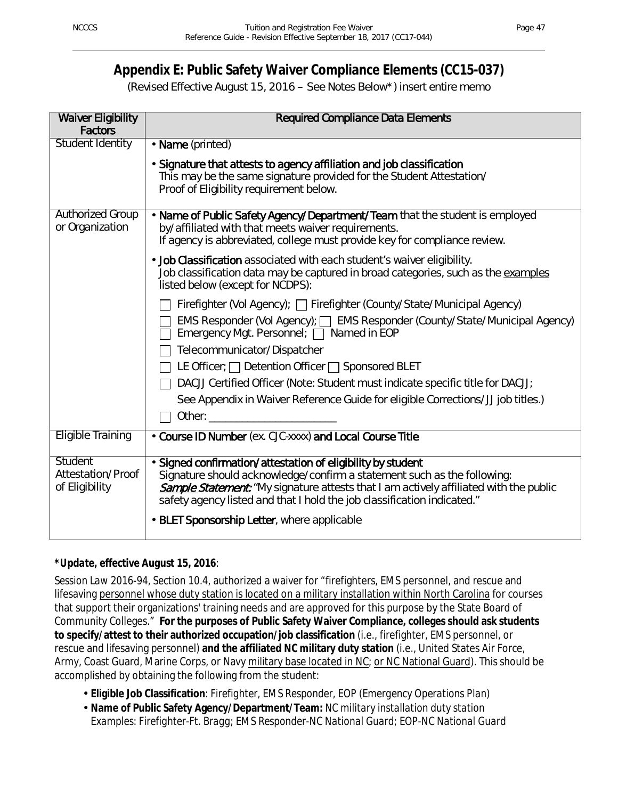## **Appendix E: Public Safety Waiver Compliance Elements (CC15-037)**

(Revised Effective August 15, 2016 – See Notes Below\*) insert entire memo

| <b>Waiver Eligibility</b><br><b>Factors</b>           | <b>Required Compliance Data Elements</b>                                                                                                                                                                                                                                                                 |
|-------------------------------------------------------|----------------------------------------------------------------------------------------------------------------------------------------------------------------------------------------------------------------------------------------------------------------------------------------------------------|
| <b>Student Identity</b>                               | · Name (printed)                                                                                                                                                                                                                                                                                         |
|                                                       | Signature that attests to agency affiliation and job classification<br>This may be the same signature provided for the Student Attestation/<br>Proof of Eligibility requirement below.                                                                                                                   |
| <b>Authorized Group</b><br>or Organization            | · Name of Public Safety Agency/Department/Team that the student is employed<br>by/affiliated with that meets waiver requirements.<br>If agency is abbreviated, college must provide key for compliance review.                                                                                           |
|                                                       | . Job Classification associated with each student's waiver eligibility.<br>Job classification data may be captured in broad categories, such as the examples<br>listed below (except for NCDPS):                                                                                                         |
|                                                       | Firefighter (Vol Agency); □ Firefighter (County/State/Municipal Agency)                                                                                                                                                                                                                                  |
|                                                       | EMS Responder (Vol Agency);  SEMS Responder (County/State/Municipal Agency)<br>Emergency Mgt. Personnel; □ Named in EOP                                                                                                                                                                                  |
|                                                       | Telecommunicator/Dispatcher                                                                                                                                                                                                                                                                              |
|                                                       | LE Officer; $\Box$ Detention Officer $\Box$ Sponsored BLET                                                                                                                                                                                                                                               |
|                                                       | DACJJ Certified Officer (Note: Student must indicate specific title for DACJJ;                                                                                                                                                                                                                           |
|                                                       | See Appendix in Waiver Reference Guide for eligible Corrections/JJ job titles.)                                                                                                                                                                                                                          |
|                                                       | Other: and the state of the state of the state of the state of the state of the state of the state of the state of the state of the state of the state of the state of the state of the state of the state of the state of the                                                                           |
| <b>Eligible Training</b>                              | Course ID Number (ex. CJC-xxxx) and Local Course Title                                                                                                                                                                                                                                                   |
| <b>Student</b><br>Attestation/Proof<br>of Eligibility | Signed confirmation/attestation of eligibility by student<br>Signature should acknowledge/confirm a statement such as the following:<br>Sample Statement: "My signature attests that I am actively affiliated with the public<br>safety agency listed and that I hold the job classification indicated." |
|                                                       | <b>BLET Sponsorship Letter, where applicable</b>                                                                                                                                                                                                                                                         |

## *\*Update, effective August 15, 2016*:

*Session Law 2016-94, Section 10.4,* authorized a waiver for "firefighters, EMS personnel, and rescue and lifesaving personnel whose duty station is located on a military installation within North Carolina for courses that support their organizations' training needs and are approved for this purpose by the State Board of Community Colleges." **For the purposes of Public Safety Waiver Compliance, colleges should ask students to specify/attest to their authorized occupation/job classification** (i.e., firefighter, EMS personnel, or rescue and lifesaving personnel) **and the affiliated NC military duty station** (i.e., United States Air Force, Army, Coast Guard, Marine Corps, or Navy military base located in NC; or NC National Guard). This should be accomplished by obtaining the following from the student:

- **Eligible Job Classification**: *Firefighter, EMS Responder, EOP (Emergency Operations Plan)*
- **Name of Public Safety Agency/Department/Team:** *NC military installation duty station Examples: Firefighter-Ft. Bragg; EMS Responder-NC National Guard; EOP-NC National Guard*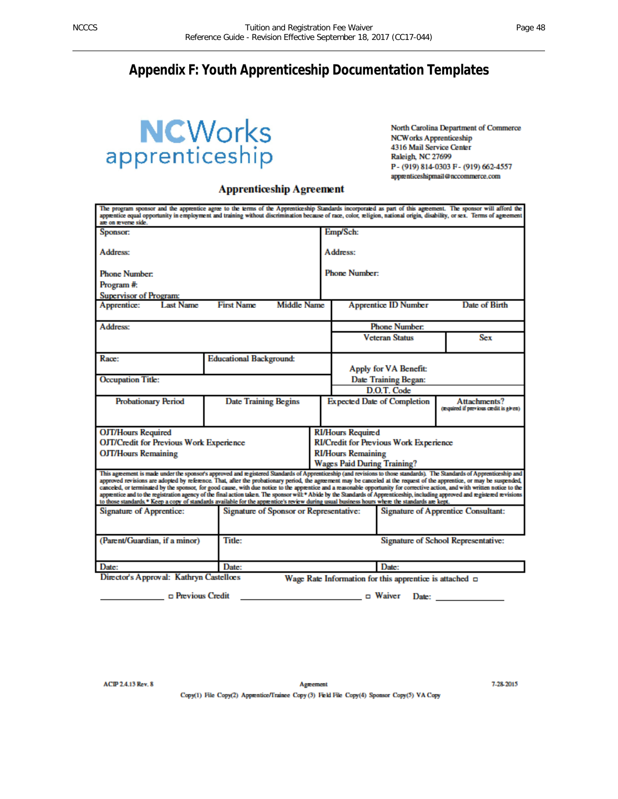## **Appendix F: Youth Apprenticeship Documentation Templates**

# **NCWorks**<br>apprenticeship

North Carolina Department of Commerce **NCWorks Apprenticeship** 4316 Mail Service Center Raleigh, NC 27699 P-(919) 814-0303 F-(919) 662-4557 apprenticeshipmail@nccommerce.com

#### **Apprenticeship Agreement**

| The program sponsor and the apprentice agree to the terms of the Apprenticeship Standards incorporated as part of this agreement. The sponsor will afford the<br>apprentice equal opportunity in employment and training without discrimination because of race, color, religion, national origin, disability, or sex. Terms of agreement<br>are on reverse side.                                                                                                                                                                                                                                                                                                                                                                                                                                                                                                  |                                |                                                                                |                                               |                                                                 |                                                              |                                                        |
|--------------------------------------------------------------------------------------------------------------------------------------------------------------------------------------------------------------------------------------------------------------------------------------------------------------------------------------------------------------------------------------------------------------------------------------------------------------------------------------------------------------------------------------------------------------------------------------------------------------------------------------------------------------------------------------------------------------------------------------------------------------------------------------------------------------------------------------------------------------------|--------------------------------|--------------------------------------------------------------------------------|-----------------------------------------------|-----------------------------------------------------------------|--------------------------------------------------------------|--------------------------------------------------------|
| Sponsor:                                                                                                                                                                                                                                                                                                                                                                                                                                                                                                                                                                                                                                                                                                                                                                                                                                                           |                                |                                                                                |                                               | Emp/Sch:                                                        |                                                              |                                                        |
| Address:                                                                                                                                                                                                                                                                                                                                                                                                                                                                                                                                                                                                                                                                                                                                                                                                                                                           |                                | Address:                                                                       |                                               |                                                                 |                                                              |                                                        |
| <b>Phone Number:</b><br>Program #:                                                                                                                                                                                                                                                                                                                                                                                                                                                                                                                                                                                                                                                                                                                                                                                                                                 |                                |                                                                                |                                               | <b>Phone Number:</b>                                            |                                                              |                                                        |
| <b>Supervisor of Program:</b>                                                                                                                                                                                                                                                                                                                                                                                                                                                                                                                                                                                                                                                                                                                                                                                                                                      |                                |                                                                                |                                               |                                                                 |                                                              |                                                        |
| Apprentice:<br><b>Last Name</b>                                                                                                                                                                                                                                                                                                                                                                                                                                                                                                                                                                                                                                                                                                                                                                                                                                    | <b>First Name</b>              | <b>Middle Name</b>                                                             |                                               |                                                                 | <b>Apprentice ID Number</b>                                  | Date of Birth                                          |
| Address:                                                                                                                                                                                                                                                                                                                                                                                                                                                                                                                                                                                                                                                                                                                                                                                                                                                           |                                |                                                                                |                                               |                                                                 | <b>Phone Number:</b>                                         |                                                        |
|                                                                                                                                                                                                                                                                                                                                                                                                                                                                                                                                                                                                                                                                                                                                                                                                                                                                    |                                |                                                                                |                                               |                                                                 | <b>Veteran Status</b>                                        | Sex                                                    |
| Race:                                                                                                                                                                                                                                                                                                                                                                                                                                                                                                                                                                                                                                                                                                                                                                                                                                                              | <b>Educational Background:</b> |                                                                                |                                               |                                                                 | Apply for VA Benefit:                                        |                                                        |
| <b>Occupation Title:</b>                                                                                                                                                                                                                                                                                                                                                                                                                                                                                                                                                                                                                                                                                                                                                                                                                                           |                                |                                                                                | Date Training Began:                          |                                                                 |                                                              |                                                        |
|                                                                                                                                                                                                                                                                                                                                                                                                                                                                                                                                                                                                                                                                                                                                                                                                                                                                    |                                |                                                                                |                                               |                                                                 | D.O.T. Code                                                  |                                                        |
| <b>Probationary Period</b>                                                                                                                                                                                                                                                                                                                                                                                                                                                                                                                                                                                                                                                                                                                                                                                                                                         |                                | <b>Date Training Begins</b>                                                    |                                               | <b>Expected Date of Completion</b>                              |                                                              | Attachments?<br>(required if previous credit is given) |
| <b>OJT/Hours Required</b>                                                                                                                                                                                                                                                                                                                                                                                                                                                                                                                                                                                                                                                                                                                                                                                                                                          |                                |                                                                                |                                               | <b>RI/Hours Required</b>                                        |                                                              |                                                        |
| <b>OJT/Credit for Previous Work Experience</b>                                                                                                                                                                                                                                                                                                                                                                                                                                                                                                                                                                                                                                                                                                                                                                                                                     |                                |                                                                                | <b>RI/Credit for Previous Work Experience</b> |                                                                 |                                                              |                                                        |
| <b>OJT/Hours Remaining</b>                                                                                                                                                                                                                                                                                                                                                                                                                                                                                                                                                                                                                                                                                                                                                                                                                                         |                                |                                                                                |                                               | <b>RI/Hours Remaining</b><br><b>Wages Paid During Training?</b> |                                                              |                                                        |
|                                                                                                                                                                                                                                                                                                                                                                                                                                                                                                                                                                                                                                                                                                                                                                                                                                                                    |                                |                                                                                |                                               |                                                                 |                                                              |                                                        |
| This agreement is made under the sponsor's approved and registered Standards of Apprenticeship (and revisions to those standards). The Standards of Apprenticeship and<br>approved revisions are adopted by reference. That, after the probationary period, the agreement may be canceled at the request of the apprentice, or may be suspended,<br>canceled, or terminated by the sponsor, for good cause, with due notice to the apprentice and a reasonable opportunity for corrective action, and with written notice to the<br>apprentice and to the registration agency of the final action taken. The sponsor will * Abide by the Standards of Apprenticeship, including approved and registered revisions<br>to those standards.* Keep a copy of standards available for the apprentice's review during usual business hours where the standards are kept. |                                |                                                                                |                                               |                                                                 |                                                              |                                                        |
| Signature of Apprentice:                                                                                                                                                                                                                                                                                                                                                                                                                                                                                                                                                                                                                                                                                                                                                                                                                                           |                                | Signature of Sponsor or Representative:<br>Signature of Apprentice Consultant: |                                               |                                                                 |                                                              |                                                        |
| (Parent/Guardian, if a minor)                                                                                                                                                                                                                                                                                                                                                                                                                                                                                                                                                                                                                                                                                                                                                                                                                                      | <b>Title:</b>                  |                                                                                |                                               |                                                                 | Signature of School Representative:                          |                                                        |
| Date:                                                                                                                                                                                                                                                                                                                                                                                                                                                                                                                                                                                                                                                                                                                                                                                                                                                              | Date:                          |                                                                                |                                               |                                                                 | Date:                                                        |                                                        |
| Director's Approval: Kathryn Castelloes                                                                                                                                                                                                                                                                                                                                                                                                                                                                                                                                                                                                                                                                                                                                                                                                                            |                                |                                                                                |                                               |                                                                 | Wage Rate Information for this apprentice is attached $\Box$ |                                                        |

□ Previous Credit

 $\Box$   $\Box$  Waiver Date:

ACIP 2.4.13 Rev. 8

7-28-2015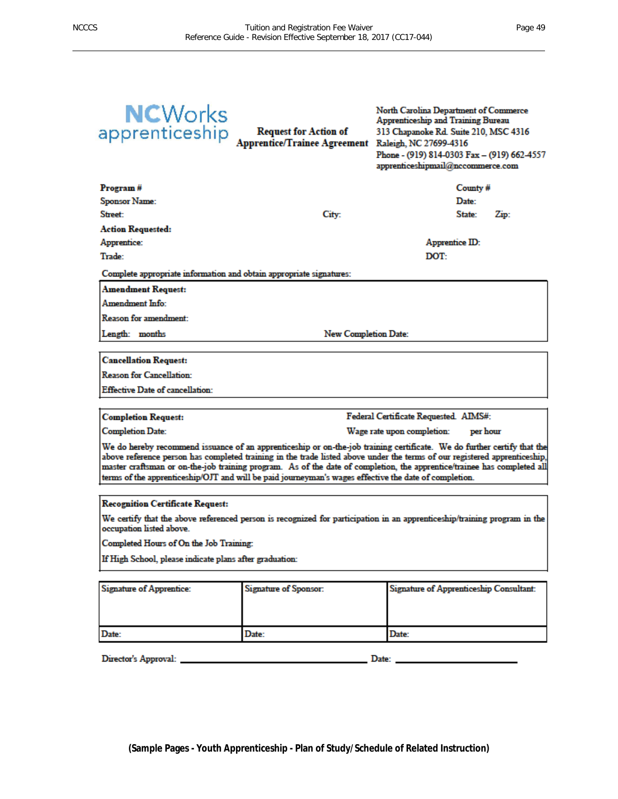| County#<br>Program#<br><b>Sponsor Name:</b><br>Date:<br><b>Street:</b><br>City:<br>State:<br>Zip:<br><b>Action Requested:</b><br>Apprentice:<br>Apprentice ID:<br>Trade:<br>DOT:<br>Complete appropriate information and obtain appropriate signatures:<br>Amendment Request:<br>Amendment Info:<br><b>Reason for amendment:</b><br><b>New Completion Date:</b><br>Length: months                                                                                                        |  |  |  |  |
|------------------------------------------------------------------------------------------------------------------------------------------------------------------------------------------------------------------------------------------------------------------------------------------------------------------------------------------------------------------------------------------------------------------------------------------------------------------------------------------|--|--|--|--|
|                                                                                                                                                                                                                                                                                                                                                                                                                                                                                          |  |  |  |  |
|                                                                                                                                                                                                                                                                                                                                                                                                                                                                                          |  |  |  |  |
|                                                                                                                                                                                                                                                                                                                                                                                                                                                                                          |  |  |  |  |
|                                                                                                                                                                                                                                                                                                                                                                                                                                                                                          |  |  |  |  |
|                                                                                                                                                                                                                                                                                                                                                                                                                                                                                          |  |  |  |  |
|                                                                                                                                                                                                                                                                                                                                                                                                                                                                                          |  |  |  |  |
|                                                                                                                                                                                                                                                                                                                                                                                                                                                                                          |  |  |  |  |
|                                                                                                                                                                                                                                                                                                                                                                                                                                                                                          |  |  |  |  |
|                                                                                                                                                                                                                                                                                                                                                                                                                                                                                          |  |  |  |  |
|                                                                                                                                                                                                                                                                                                                                                                                                                                                                                          |  |  |  |  |
|                                                                                                                                                                                                                                                                                                                                                                                                                                                                                          |  |  |  |  |
|                                                                                                                                                                                                                                                                                                                                                                                                                                                                                          |  |  |  |  |
| <b>Cancellation Request:</b>                                                                                                                                                                                                                                                                                                                                                                                                                                                             |  |  |  |  |
| <b>Reason for Cancellation:</b>                                                                                                                                                                                                                                                                                                                                                                                                                                                          |  |  |  |  |
| Effective Date of cancellation:                                                                                                                                                                                                                                                                                                                                                                                                                                                          |  |  |  |  |
|                                                                                                                                                                                                                                                                                                                                                                                                                                                                                          |  |  |  |  |
| Federal Certificate Requested. AIMS#:<br><b>Completion Request:</b>                                                                                                                                                                                                                                                                                                                                                                                                                      |  |  |  |  |
| <b>Completion Date:</b><br>per hour<br>Wage rate upon completion:                                                                                                                                                                                                                                                                                                                                                                                                                        |  |  |  |  |
| We do hereby recommend issuance of an apprenticeship or on-the-job training certificate. We do further certify that the<br>above reference person has completed training in the trade listed above under the terms of our registered apprenticeship,<br>master craftsman or on-the-job training program. As of the date of completion, the apprentice/trainee has completed all<br>terms of the apprenticeship/OJT and will be paid journeyman's wages effective the date of completion. |  |  |  |  |
| <b>Recognition Certificate Request:</b>                                                                                                                                                                                                                                                                                                                                                                                                                                                  |  |  |  |  |
| We certify that the above referenced person is recognized for participation in an apprenticeship/training program in the<br>occupation listed above.                                                                                                                                                                                                                                                                                                                                     |  |  |  |  |
| Completed Hours of On the Job Training:                                                                                                                                                                                                                                                                                                                                                                                                                                                  |  |  |  |  |
| If High School, please indicate plans after graduation:                                                                                                                                                                                                                                                                                                                                                                                                                                  |  |  |  |  |
|                                                                                                                                                                                                                                                                                                                                                                                                                                                                                          |  |  |  |  |
| <b>Signature of Apprentice:</b><br>Signature of Sponsor:<br>Signature of Apprenticeship Consultant:                                                                                                                                                                                                                                                                                                                                                                                      |  |  |  |  |
|                                                                                                                                                                                                                                                                                                                                                                                                                                                                                          |  |  |  |  |
|                                                                                                                                                                                                                                                                                                                                                                                                                                                                                          |  |  |  |  |
| Date:<br>Date:<br>Date:                                                                                                                                                                                                                                                                                                                                                                                                                                                                  |  |  |  |  |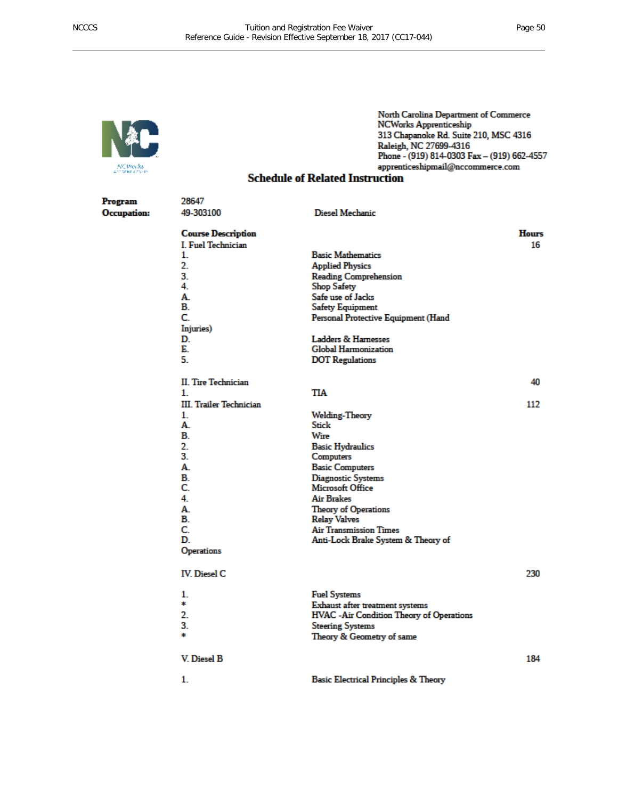

Program

**Occupation:** 

#### North Carolina Department of Commerce **NCWorks Apprenticeship** 313 Chapanoke Rd. Suite 210, MSC 4316 Raleigh, NC 27699-4316 Phone - (919) 814-0303 Fax - (919) 662-4557 apprenticeshipmail@nccommerce.com

#### **Schedule of Related Instruction**

| 28647                          |                                                  |              |
|--------------------------------|--------------------------------------------------|--------------|
| 49-303100                      | Diesel Mechanic                                  |              |
| <b>Course Description</b>      |                                                  | <b>Hours</b> |
| <b>I. Fuel Technician</b>      |                                                  | 16           |
| 1.                             | <b>Basic Mathematics</b>                         |              |
| 2.                             | <b>Applied Physics</b>                           |              |
| 3.                             | <b>Reading Comprehension</b>                     |              |
| 4.                             | <b>Shop Safety</b>                               |              |
| A.                             | Safe use of Jacks                                |              |
| B.                             | <b>Safety Equipment</b>                          |              |
| C.                             | Personal Protective Equipment (Hand              |              |
| Injuries)                      |                                                  |              |
| D.                             | <b>Ladders &amp; Hamesses</b>                    |              |
| Е.                             | <b>Global Harmonization</b>                      |              |
| 5.                             | <b>DOT</b> Regulations                           |              |
|                                |                                                  |              |
| <b>II. Tire Technician</b>     |                                                  | 40           |
| 1.                             | TIA                                              |              |
| <b>III. Trailer Technician</b> |                                                  | 112          |
|                                |                                                  |              |
| 1.                             | <b>Welding-Theory</b><br>Stick                   |              |
| A.                             |                                                  |              |
| В.                             | Wire                                             |              |
| 2.                             | <b>Basic Hydraulics</b>                          |              |
| 3.                             | Computers                                        |              |
| А.                             | <b>Basic Computers</b>                           |              |
| В.                             | Diagnostic Systems                               |              |
| C.                             | Microsoft Office                                 |              |
| 4.                             | Air Brakes                                       |              |
| A.                             | <b>Theory of Operations</b>                      |              |
| В.                             | <b>Relay Valves</b>                              |              |
| C.                             | <b>Air Transmission Times</b>                    |              |
| D.                             | Anti-Lock Brake System & Theory of               |              |
| <b>Operations</b>              |                                                  |              |
| <b>IV.</b> Diesel C            |                                                  | 230          |
| 1.                             | <b>Fuel Systems</b>                              |              |
| *                              | Exhaust after treatment systems                  |              |
| 2.                             | <b>HVAC</b> - Air Condition Theory of Operations |              |
| 3.                             | <b>Steering Systems</b>                          |              |
| *                              | Theory & Geometry of same                        |              |
| V. Diesel B                    |                                                  | 184          |
| 1.                             | <b>Basic Electrical Principles &amp; Theory</b>  |              |
|                                |                                                  |              |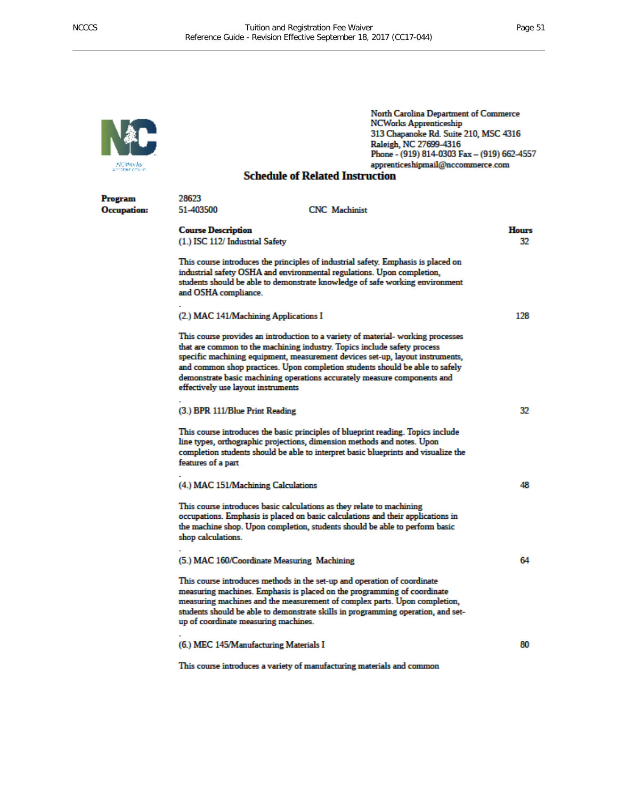

Program **Occupation:**  North Carolina Department of Commerce **NCWorks Apprenticeship** 313 Chapanoke Rd. Suite 210, MSC 4316 Raleigh, NC 27699-4316<br>Phone - (919) 814-0303 Fax - (919) 662-4557 apprenticeshipmail@nccommerce.com

#### **Schedule of Related Instruction**

| 28623<br>51-403500                                           | <b>CNC</b> Machinist                                                                                                                                                                                                                                                                                                                                                                                      |                    |
|--------------------------------------------------------------|-----------------------------------------------------------------------------------------------------------------------------------------------------------------------------------------------------------------------------------------------------------------------------------------------------------------------------------------------------------------------------------------------------------|--------------------|
| <b>Course Description</b><br>(1.) ISC 112/ Industrial Safety |                                                                                                                                                                                                                                                                                                                                                                                                           | <b>Hours</b><br>32 |
| and OSHA compliance.                                         | This course introduces the principles of industrial safety. Emphasis is placed on<br>industrial safety OSHA and environmental regulations. Upon completion,<br>students should be able to demonstrate knowledge of safe working environment                                                                                                                                                               |                    |
| (2.) MAC 141/Machining Applications I                        |                                                                                                                                                                                                                                                                                                                                                                                                           | 128                |
| effectively use layout instruments                           | This course provides an introduction to a variety of material- working processes<br>that are common to the machining industry. Topics include safety process<br>specific machining equipment, measurement devices set-up, layout instruments,<br>and common shop practices. Upon completion students should be able to safely<br>demonstrate basic machining operations accurately measure components and |                    |
| (3.) BPR 111/Blue Print Reading                              |                                                                                                                                                                                                                                                                                                                                                                                                           | 32                 |
| features of a part                                           | This course introduces the basic principles of blueprint reading. Topics include<br>line types, orthographic projections, dimension methods and notes. Upon<br>completion students should be able to interpret basic blueprints and visualize the                                                                                                                                                         |                    |
| (4.) MAC 151/Machining Calculations                          |                                                                                                                                                                                                                                                                                                                                                                                                           | 48                 |
| shop calculations.                                           | This course introduces basic calculations as they relate to machining<br>occupations. Emphasis is placed on basic calculations and their applications in<br>the machine shop. Upon completion, students should be able to perform basic                                                                                                                                                                   |                    |
|                                                              | (5.) MAC 160/Coordinate Measuring Machining                                                                                                                                                                                                                                                                                                                                                               | 64                 |
| up of coordinate measuring machines.                         | This course introduces methods in the set-up and operation of coordinate<br>measuring machines. Emphasis is placed on the programming of coordinate<br>measuring machines and the measurement of complex parts. Upon completion,<br>students should be able to demonstrate skills in programming operation, and set-                                                                                      |                    |
| (6.) MEC 145/Manufacturing Materials I                       |                                                                                                                                                                                                                                                                                                                                                                                                           | 80                 |
|                                                              | This course introduces a variety of manufacturing materials and common                                                                                                                                                                                                                                                                                                                                    |                    |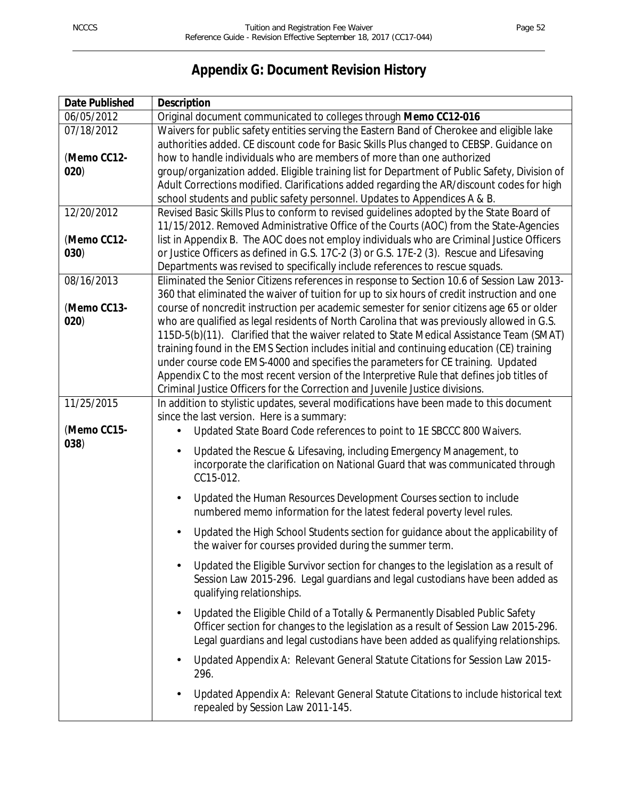## **Appendix G: Document Revision History**

| <b>Date Published</b> | <b>Description</b>                                                                                                                                                                      |
|-----------------------|-----------------------------------------------------------------------------------------------------------------------------------------------------------------------------------------|
| 06/05/2012            | Original document communicated to colleges through Memo CC12-016                                                                                                                        |
| 07/18/2012            | Waivers for public safety entities serving the Eastern Band of Cherokee and eligible lake                                                                                               |
|                       | authorities added. CE discount code for Basic Skills Plus changed to CEBSP. Guidance on                                                                                                 |
| (Memo CC12-           | how to handle individuals who are members of more than one authorized                                                                                                                   |
| 020)                  | group/organization added. Eligible training list for Department of Public Safety, Division of                                                                                           |
|                       | Adult Corrections modified. Clarifications added regarding the AR/discount codes for high                                                                                               |
|                       | school students and public safety personnel. Updates to Appendices A & B.                                                                                                               |
| 12/20/2012            | Revised Basic Skills Plus to conform to revised guidelines adopted by the State Board of                                                                                                |
|                       | 11/15/2012. Removed Administrative Office of the Courts (AOC) from the State-Agencies                                                                                                   |
| (Memo CC12-           | list in Appendix B. The AOC does not employ individuals who are Criminal Justice Officers                                                                                               |
| 030)                  | or Justice Officers as defined in G.S. 17C-2 (3) or G.S. 17E-2 (3). Rescue and Lifesaving                                                                                               |
|                       | Departments was revised to specifically include references to rescue squads.                                                                                                            |
| 08/16/2013            | Eliminated the Senior Citizens references in response to Section 10.6 of Session Law 2013-                                                                                              |
|                       | 360 that eliminated the waiver of tuition for up to six hours of credit instruction and one                                                                                             |
| (Memo CC13-           | course of noncredit instruction per academic semester for senior citizens age 65 or older<br>who are qualified as legal residents of North Carolina that was previously allowed in G.S. |
| 020)                  | 115D-5(b)(11). Clarified that the waiver related to State Medical Assistance Team (SMAT)                                                                                                |
|                       | training found in the EMS Section includes initial and continuing education (CE) training                                                                                               |
|                       | under course code EMS-4000 and specifies the parameters for CE training. Updated                                                                                                        |
|                       | Appendix C to the most recent version of the Interpretive Rule that defines job titles of                                                                                               |
|                       | Criminal Justice Officers for the Correction and Juvenile Justice divisions.                                                                                                            |
| 11/25/2015            | In addition to stylistic updates, several modifications have been made to this document                                                                                                 |
|                       | since the last version. Here is a summary:                                                                                                                                              |
| (Memo CC15-           | Updated State Board Code references to point to 1E SBCCC 800 Waivers.                                                                                                                   |
| 038)                  |                                                                                                                                                                                         |
|                       | Updated the Rescue & Lifesaving, including Emergency Management, to<br>incorporate the clarification on National Guard that was communicated through                                    |
|                       | CC15-012.                                                                                                                                                                               |
|                       |                                                                                                                                                                                         |
|                       | Updated the Human Resources Development Courses section to include                                                                                                                      |
|                       | numbered memo information for the latest federal poverty level rules.                                                                                                                   |
|                       | Updated the High School Students section for guidance about the applicability of                                                                                                        |
|                       | the waiver for courses provided during the summer term.                                                                                                                                 |
|                       | Updated the Eligible Survivor section for changes to the legislation as a result of                                                                                                     |
|                       | Session Law 2015-296. Legal guardians and legal custodians have been added as                                                                                                           |
|                       | qualifying relationships.                                                                                                                                                               |
|                       |                                                                                                                                                                                         |
|                       | Updated the Eligible Child of a Totally & Permanently Disabled Public Safety<br>$\blacksquare$                                                                                          |
|                       | Officer section for changes to the legislation as a result of Session Law 2015-296.<br>Legal guardians and legal custodians have been added as qualifying relationships.                |
|                       |                                                                                                                                                                                         |
|                       | Updated Appendix A: Relevant General Statute Citations for Session Law 2015-<br>$\blacksquare$<br>296.                                                                                  |
|                       | Updated Appendix A: Relevant General Statute Citations to include historical text                                                                                                       |
|                       | repealed by Session Law 2011-145.                                                                                                                                                       |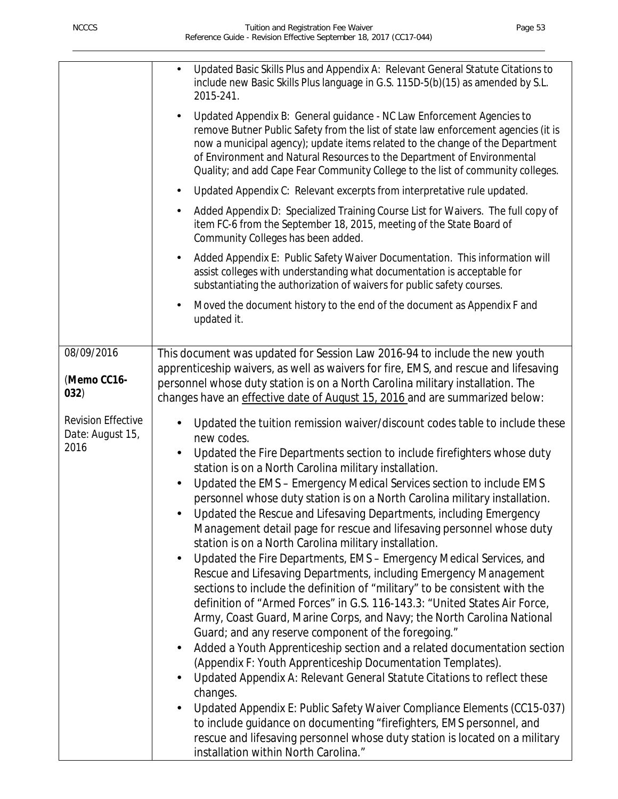|                                                       | Updated Basic Skills Plus and Appendix A: Relevant General Statute Citations to<br>include new Basic Skills Plus language in G.S. 115D-5(b)(15) as amended by S.L.<br>2015-241.<br>Updated Appendix B: General guidance - NC Law Enforcement Agencies to<br>remove Butner Public Safety from the list of state law enforcement agencies (it is<br>now a municipal agency); update items related to the change of the Department<br>of Environment and Natural Resources to the Department of Environmental<br>Quality; and add Cape Fear Community College to the list of community colleges.<br>Updated Appendix C: Relevant excerpts from interpretative rule updated.<br>Added Appendix D: Specialized Training Course List for Waivers. The full copy of<br>item FC-6 from the September 18, 2015, meeting of the State Board of<br>Community Colleges has been added.<br>Added Appendix E: Public Safety Waiver Documentation. This information will<br>assist colleges with understanding what documentation is acceptable for                                                                                                                                                                                                                                                                                                                                                                                                                                                                                                                                                                      |
|-------------------------------------------------------|-----------------------------------------------------------------------------------------------------------------------------------------------------------------------------------------------------------------------------------------------------------------------------------------------------------------------------------------------------------------------------------------------------------------------------------------------------------------------------------------------------------------------------------------------------------------------------------------------------------------------------------------------------------------------------------------------------------------------------------------------------------------------------------------------------------------------------------------------------------------------------------------------------------------------------------------------------------------------------------------------------------------------------------------------------------------------------------------------------------------------------------------------------------------------------------------------------------------------------------------------------------------------------------------------------------------------------------------------------------------------------------------------------------------------------------------------------------------------------------------------------------------------------------------------------------------------------------------------------------|
|                                                       | substantiating the authorization of waivers for public safety courses.<br>Moved the document history to the end of the document as Appendix F and<br>updated it.                                                                                                                                                                                                                                                                                                                                                                                                                                                                                                                                                                                                                                                                                                                                                                                                                                                                                                                                                                                                                                                                                                                                                                                                                                                                                                                                                                                                                                          |
| 08/09/2016<br>(Memo CC16-<br>032)                     | This document was updated for Session Law 2016-94 to include the new youth<br>apprenticeship waivers, as well as waivers for fire, EMS, and rescue and lifesaving<br>personnel whose duty station is on a North Carolina military installation. The<br>changes have an effective date of August 15, 2016 and are summarized below:                                                                                                                                                                                                                                                                                                                                                                                                                                                                                                                                                                                                                                                                                                                                                                                                                                                                                                                                                                                                                                                                                                                                                                                                                                                                        |
| <b>Revision Effective</b><br>Date: August 15,<br>2016 | Updated the tuition remission waiver/discount codes table to include these<br>new codes.<br>Updated the Fire Departments section to include firefighters whose duty<br>$\blacksquare$<br>station is on a North Carolina military installation.<br>Updated the EMS - Emergency Medical Services section to include EMS<br>i.<br>personnel whose duty station is on a North Carolina military installation.<br>Updated the Rescue and Lifesaving Departments, including Emergency<br>Management detail page for rescue and lifesaving personnel whose duty<br>station is on a North Carolina military installation.<br>Updated the Fire Departments, EMS - Emergency Medical Services, and<br>$\blacksquare$<br>Rescue and Lifesaving Departments, including Emergency Management<br>sections to include the definition of "military" to be consistent with the<br>definition of "Armed Forces" in G.S. 116-143.3: "United States Air Force,<br>Army, Coast Guard, Marine Corps, and Navy; the North Carolina National<br>Guard; and any reserve component of the foregoing."<br>Added a Youth Apprenticeship section and a related documentation section<br>$\blacksquare$<br>(Appendix F: Youth Apprenticeship Documentation Templates).<br>Updated Appendix A: Relevant General Statute Citations to reflect these<br>changes.<br>Updated Appendix E: Public Safety Waiver Compliance Elements (CC15-037)<br>to include guidance on documenting "firefighters, EMS personnel, and<br>rescue and lifesaving personnel whose duty station is located on a military<br>installation within North Carolina." |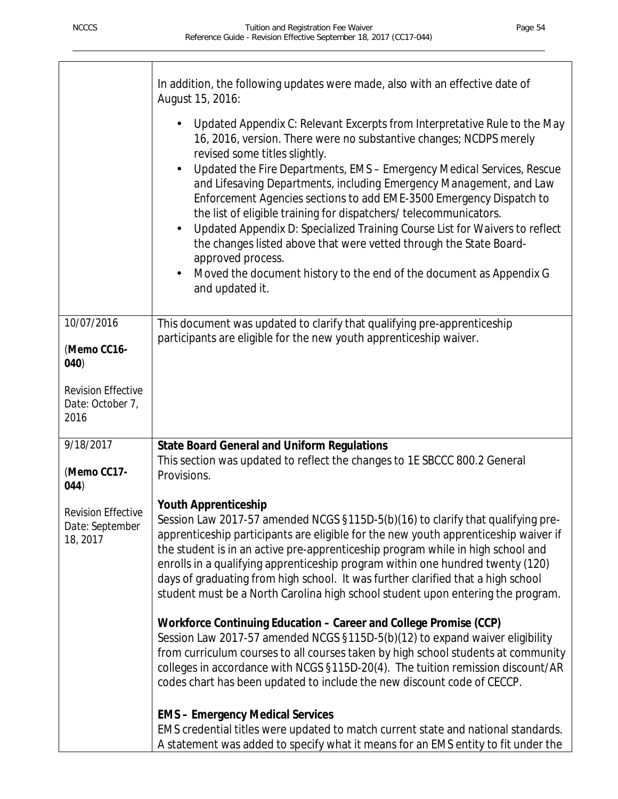Í

|                                                          | In addition, the following updates were made, also with an effective date of<br>August 15, 2016:                                                                                                                                                                                                                                                                                                                                                                                                                                                                                                                                                                                                                                                                   |
|----------------------------------------------------------|--------------------------------------------------------------------------------------------------------------------------------------------------------------------------------------------------------------------------------------------------------------------------------------------------------------------------------------------------------------------------------------------------------------------------------------------------------------------------------------------------------------------------------------------------------------------------------------------------------------------------------------------------------------------------------------------------------------------------------------------------------------------|
|                                                          | Updated Appendix C: Relevant Excerpts from Interpretative Rule to the May<br>16, 2016, version. There were no substantive changes; NCDPS merely<br>revised some titles slightly.<br>Updated the Fire Departments, EMS - Emergency Medical Services, Rescue<br>and Lifesaving Departments, including Emergency Management, and Law<br>Enforcement Agencies sections to add EME-3500 Emergency Dispatch to<br>the list of eligible training for dispatchers/telecommunicators.<br>Updated Appendix D: Specialized Training Course List for Waivers to reflect<br>the changes listed above that were vetted through the State Board-<br>approved process.<br>Moved the document history to the end of the document as Appendix G<br>$\blacksquare$<br>and updated it. |
| 10/07/2016                                               | This document was updated to clarify that qualifying pre-apprenticeship<br>participants are eligible for the new youth apprenticeship waiver.                                                                                                                                                                                                                                                                                                                                                                                                                                                                                                                                                                                                                      |
| (Memo CC16-<br>040)                                      |                                                                                                                                                                                                                                                                                                                                                                                                                                                                                                                                                                                                                                                                                                                                                                    |
| <b>Revision Effective</b><br>Date: October 7,<br>2016    |                                                                                                                                                                                                                                                                                                                                                                                                                                                                                                                                                                                                                                                                                                                                                                    |
| 9/18/2017                                                | <b>State Board General and Uniform Regulations</b><br>This section was updated to reflect the changes to 1E SBCCC 800.2 General                                                                                                                                                                                                                                                                                                                                                                                                                                                                                                                                                                                                                                    |
| (Memo CC17-<br>044)                                      | Provisions.                                                                                                                                                                                                                                                                                                                                                                                                                                                                                                                                                                                                                                                                                                                                                        |
| <b>Revision Effective</b><br>Date: September<br>18, 2017 | <b>Youth Apprenticeship</b><br>Session Law 2017-57 amended NCGS §115D-5(b)(16) to clarify that qualifying pre-<br>apprenticeship participants are eligible for the new youth apprenticeship waiver if<br>the student is in an active pre-apprenticeship program while in high school and<br>enrolls in a qualifying apprenticeship program within one hundred twenty (120)<br>days of graduating from high school. It was further clarified that a high school<br>student must be a North Carolina high school student upon entering the program.                                                                                                                                                                                                                  |
|                                                          | Workforce Continuing Education - Career and College Promise (CCP)<br>Session Law 2017-57 amended NCGS §115D-5(b)(12) to expand waiver eligibility<br>from curriculum courses to all courses taken by high school students at community<br>colleges in accordance with NCGS §115D-20(4). The tuition remission discount/AR<br>codes chart has been updated to include the new discount code of CECCP.                                                                                                                                                                                                                                                                                                                                                               |
|                                                          | <b>EMS - Emergency Medical Services</b>                                                                                                                                                                                                                                                                                                                                                                                                                                                                                                                                                                                                                                                                                                                            |
|                                                          | EMS credential titles were updated to match current state and national standards.<br>A statement was added to specify what it means for an EMS entity to fit under the                                                                                                                                                                                                                                                                                                                                                                                                                                                                                                                                                                                             |